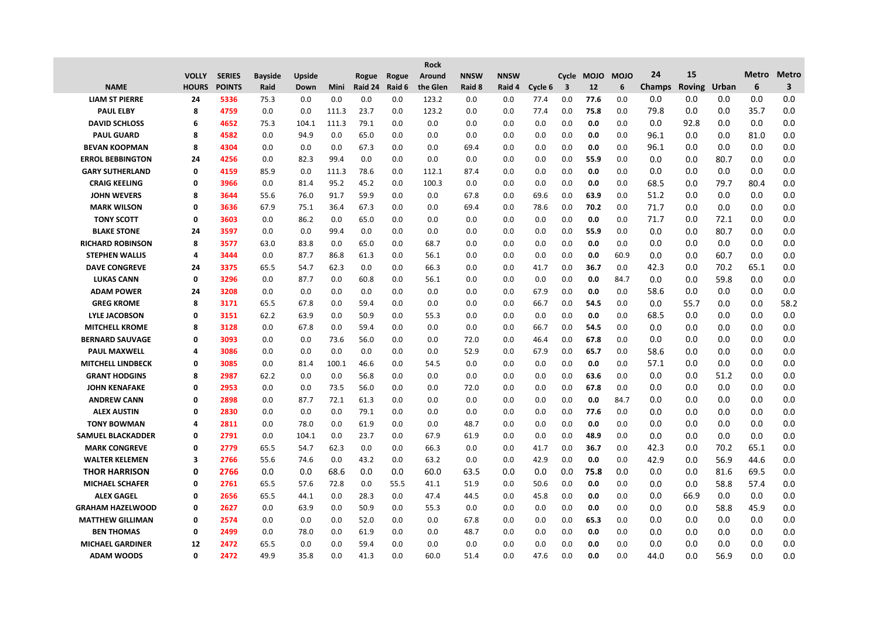|                          |              |               |                |        |             |         |        | <b>Rock</b> |             |             |         |                         |            |             |               |               |       |              |                         |
|--------------------------|--------------|---------------|----------------|--------|-------------|---------|--------|-------------|-------------|-------------|---------|-------------------------|------------|-------------|---------------|---------------|-------|--------------|-------------------------|
|                          | <b>VOLLY</b> | <b>SERIES</b> | <b>Bayside</b> | Upside |             | Rogue   | Rogue  | Around      | <b>NNSW</b> | <b>NNSW</b> |         |                         | Cycle MOJO | <b>MOJO</b> | 24            | 15            |       | <b>Metro</b> | <b>Metro</b>            |
| <b>NAME</b>              | <b>HOURS</b> | <b>POINTS</b> | Raid           | Down   | <b>Mini</b> | Raid 24 | Raid 6 | the Glen    | Raid 8      | Raid 4      | Cycle 6 | $\overline{\mathbf{3}}$ | 12         | 6           | <b>Champs</b> | <b>Roving</b> | Urban | 6            | $\overline{\mathbf{3}}$ |
| <b>LIAM ST PIERRE</b>    | 24           | 5336          | 75.3           | 0.0    | 0.0         | 0.0     | 0.0    | 123.2       | 0.0         | 0.0         | 77.4    | 0.0                     | 77.6       | 0.0         | 0.0           | 0.0           | 0.0   | 0.0          | 0.0                     |
| <b>PAUL ELBY</b>         | 8            | 4759          | 0.0            | 0.0    | 111.3       | 23.7    | 0.0    | 123.2       | 0.0         | 0.0         | 77.4    | 0.0                     | 75.8       | 0.0         | 79.8          | 0.0           | 0.0   | 35.7         | 0.0                     |
| <b>DAVID SCHLOSS</b>     | 6            | 4652          | 75.3           | 104.1  | 111.3       | 79.1    | 0.0    | 0.0         | 0.0         | 0.0         | 0.0     | 0.0                     | 0.0        | 0.0         | 0.0           | 92.8          | 0.0   | 0.0          | 0.0                     |
| <b>PAUL GUARD</b>        | 8            | 4582          | 0.0            | 94.9   | 0.0         | 65.0    | 0.0    | 0.0         | 0.0         | 0.0         | 0.0     | 0.0                     | 0.0        | 0.0         | 96.1          | 0.0           | 0.0   | 81.0         | 0.0                     |
| <b>BEVAN KOOPMAN</b>     | 8            | 4304          | 0.0            | 0.0    | 0.0         | 67.3    | 0.0    | 0.0         | 69.4        | 0.0         | 0.0     | 0.0                     | 0.0        | 0.0         | 96.1          | 0.0           | 0.0   | 0.0          | 0.0                     |
| <b>ERROL BEBBINGTON</b>  | 24           | 4256          | 0.0            | 82.3   | 99.4        | 0.0     | 0.0    | 0.0         | 0.0         | 0.0         | 0.0     | 0.0                     | 55.9       | 0.0         | 0.0           | 0.0           | 80.7  | 0.0          | 0.0                     |
| <b>GARY SUTHERLAND</b>   | 0            | 4159          | 85.9           | 0.0    | 111.3       | 78.6    | 0.0    | 112.1       | 87.4        | 0.0         | 0.0     | 0.0                     | 0.0        | 0.0         | 0.0           | 0.0           | 0.0   | 0.0          | 0.0                     |
| <b>CRAIG KEELING</b>     | 0            | 3966          | 0.0            | 81.4   | 95.2        | 45.2    | 0.0    | 100.3       | 0.0         | 0.0         | 0.0     | 0.0                     | 0.0        | 0.0         | 68.5          | 0.0           | 79.7  | 80.4         | 0.0                     |
| <b>JOHN WEVERS</b>       | 8            | 3644          | 55.6           | 76.0   | 91.7        | 59.9    | 0.0    | 0.0         | 67.8        | 0.0         | 69.6    | 0.0                     | 63.9       | 0.0         | 51.2          | 0.0           | 0.0   | 0.0          | 0.0                     |
| <b>MARK WILSON</b>       | 0            | 3636          | 67.9           | 75.1   | 36.4        | 67.3    | 0.0    | 0.0         | 69.4        | 0.0         | 78.6    | 0.0                     | 70.2       | 0.0         | 71.7          | 0.0           | 0.0   | 0.0          | 0.0                     |
| <b>TONY SCOTT</b>        | 0            | 3603          | 0.0            | 86.2   | 0.0         | 65.0    | 0.0    | 0.0         | 0.0         | 0.0         | 0.0     | 0.0                     | 0.0        | 0.0         | 71.7          | 0.0           | 72.1  | 0.0          | 0.0                     |
| <b>BLAKE STONE</b>       | 24           | 3597          | 0.0            | 0.0    | 99.4        | 0.0     | 0.0    | 0.0         | 0.0         | 0.0         | 0.0     | 0.0                     | 55.9       | 0.0         | 0.0           | 0.0           | 80.7  | 0.0          | 0.0                     |
| <b>RICHARD ROBINSON</b>  | 8            | 3577          | 63.0           | 83.8   | 0.0         | 65.0    | 0.0    | 68.7        | 0.0         | 0.0         | 0.0     | 0.0                     | 0.0        | 0.0         | 0.0           | 0.0           | 0.0   | 0.0          | 0.0                     |
| <b>STEPHEN WALLIS</b>    | 4            | 3444          | 0.0            | 87.7   | 86.8        | 61.3    | 0.0    | 56.1        | 0.0         | 0.0         | 0.0     | 0.0                     | 0.0        | 60.9        | 0.0           | 0.0           | 60.7  | 0.0          | 0.0                     |
| <b>DAVE CONGREVE</b>     | 24           | 3375          | 65.5           | 54.7   | 62.3        | 0.0     | 0.0    | 66.3        | 0.0         | 0.0         | 41.7    | 0.0                     | 36.7       | 0.0         | 42.3          | 0.0           | 70.2  | 65.1         | 0.0                     |
| <b>LUKAS CANN</b>        | 0            | 3296          | 0.0            | 87.7   | 0.0         | 60.8    | 0.0    | 56.1        | 0.0         | 0.0         | 0.0     | 0.0                     | 0.0        | 84.7        | 0.0           | 0.0           | 59.8  | 0.0          | 0.0                     |
| <b>ADAM POWER</b>        | 24           | 3208          | 0.0            | 0.0    | 0.0         | 0.0     | 0.0    | 0.0         | 0.0         | 0.0         | 67.9    | 0.0                     | 0.0        | 0.0         | 58.6          | 0.0           | 0.0   | 0.0          | 0.0                     |
| <b>GREG KROME</b>        | 8            | 3171          | 65.5           | 67.8   | 0.0         | 59.4    | 0.0    | 0.0         | 0.0         | 0.0         | 66.7    | 0.0                     | 54.5       | 0.0         | 0.0           | 55.7          | 0.0   | 0.0          | 58.2                    |
| <b>LYLE JACOBSON</b>     | 0            | 3151          | 62.2           | 63.9   | 0.0         | 50.9    | 0.0    | 55.3        | 0.0         | 0.0         | 0.0     | 0.0                     | 0.0        | 0.0         | 68.5          | 0.0           | 0.0   | 0.0          | 0.0                     |
| <b>MITCHELL KROME</b>    | 8            | 3128          | 0.0            | 67.8   | 0.0         | 59.4    | 0.0    | 0.0         | 0.0         | 0.0         | 66.7    | 0.0                     | 54.5       | 0.0         | 0.0           | 0.0           | 0.0   | 0.0          | 0.0                     |
| <b>BERNARD SAUVAGE</b>   | 0            | 3093          | 0.0            | 0.0    | 73.6        | 56.0    | 0.0    | 0.0         | 72.0        | 0.0         | 46.4    | 0.0                     | 67.8       | 0.0         | 0.0           | 0.0           | 0.0   | 0.0          | 0.0                     |
| <b>PAUL MAXWELL</b>      | 4            | 3086          | 0.0            | 0.0    | 0.0         | 0.0     | 0.0    | 0.0         | 52.9        | 0.0         | 67.9    | 0.0                     | 65.7       | 0.0         | 58.6          | 0.0           | 0.0   | $0.0\,$      | 0.0                     |
| <b>MITCHELL LINDBECK</b> | 0            | 3085          | 0.0            | 81.4   | 100.1       | 46.6    | 0.0    | 54.5        | 0.0         | 0.0         | 0.0     | 0.0                     | 0.0        | 0.0         | 57.1          | 0.0           | 0.0   | $0.0\,$      | 0.0                     |
| <b>GRANT HODGINS</b>     | 8            | 2987          | 62.2           | 0.0    | 0.0         | 56.8    | 0.0    | 0.0         | 0.0         | 0.0         | 0.0     | 0.0                     | 63.6       | 0.0         | 0.0           | 0.0           | 51.2  | 0.0          | 0.0                     |
| <b>JOHN KENAFAKE</b>     | 0            | 2953          | 0.0            | 0.0    | 73.5        | 56.0    | 0.0    | 0.0         | 72.0        | 0.0         | 0.0     | 0.0                     | 67.8       | 0.0         | 0.0           | 0.0           | 0.0   | 0.0          | 0.0                     |
| <b>ANDREW CANN</b>       | 0            | 2898          | 0.0            | 87.7   | 72.1        | 61.3    | 0.0    | 0.0         | 0.0         | 0.0         | 0.0     | 0.0                     | 0.0        | 84.7        | 0.0           | 0.0           | 0.0   | 0.0          | 0.0                     |
| <b>ALEX AUSTIN</b>       | 0            | 2830          | 0.0            | 0.0    | 0.0         | 79.1    | 0.0    | 0.0         | 0.0         | 0.0         | 0.0     | 0.0                     | 77.6       | 0.0         | 0.0           | 0.0           | 0.0   | 0.0          | 0.0                     |
| <b>TONY BOWMAN</b>       | 4            | 2811          | 0.0            | 78.0   | 0.0         | 61.9    | 0.0    | 0.0         | 48.7        | 0.0         | 0.0     | 0.0                     | 0.0        | 0.0         | 0.0           | 0.0           | 0.0   | $0.0\,$      | 0.0                     |
| <b>SAMUEL BLACKADDER</b> | 0            | 2791          | 0.0            | 104.1  | 0.0         | 23.7    | 0.0    | 67.9        | 61.9        | 0.0         | 0.0     | 0.0                     | 48.9       | 0.0         | 0.0           | 0.0           | 0.0   | 0.0          | 0.0                     |
| <b>MARK CONGREVE</b>     | 0            | 2779          | 65.5           | 54.7   | 62.3        | 0.0     | 0.0    | 66.3        | 0.0         | 0.0         | 41.7    | 0.0                     | 36.7       | 0.0         | 42.3          | 0.0           | 70.2  | 65.1         | 0.0                     |
| <b>WALTER KELEMEN</b>    | 3            | 2766          | 55.6           | 74.6   | 0.0         | 43.2    | 0.0    | 63.2        | 0.0         | 0.0         | 42.9    | 0.0                     | 0.0        | 0.0         | 42.9          | 0.0           | 56.9  | 44.6         | 0.0                     |
| <b>THOR HARRISON</b>     | 0            | 2766          | 0.0            | 0.0    | 68.6        | 0.0     | 0.0    | 60.0        | 63.5        | 0.0         | 0.0     | 0.0                     | 75.8       | 0.0         | 0.0           | 0.0           | 81.6  | 69.5         | 0.0                     |
| <b>MICHAEL SCHAFER</b>   | 0            | 2761          | 65.5           | 57.6   | 72.8        | 0.0     | 55.5   | 41.1        | 51.9        | 0.0         | 50.6    | 0.0                     | 0.0        | 0.0         | 0.0           | 0.0           | 58.8  | 57.4         | 0.0                     |
| <b>ALEX GAGEL</b>        | 0            | 2656          | 65.5           | 44.1   | 0.0         | 28.3    | 0.0    | 47.4        | 44.5        | 0.0         | 45.8    | 0.0                     | 0.0        | 0.0         | 0.0           | 66.9          | 0.0   | 0.0          | 0.0                     |
| <b>GRAHAM HAZELWOOD</b>  | 0            | 2627          | 0.0            | 63.9   | 0.0         | 50.9    | 0.0    | 55.3        | 0.0         | 0.0         | 0.0     | 0.0                     | 0.0        | 0.0         | 0.0           | 0.0           | 58.8  | 45.9         | 0.0                     |
| <b>MATTHEW GILLIMAN</b>  | 0            | 2574          | 0.0            | 0.0    | 0.0         | 52.0    | 0.0    | 0.0         | 67.8        | 0.0         | 0.0     | 0.0                     | 65.3       | 0.0         | 0.0           | 0.0           | 0.0   | 0.0          | 0.0                     |
| <b>BEN THOMAS</b>        | 0            | 2499          | 0.0            | 78.0   | 0.0         | 61.9    | 0.0    | 0.0         | 48.7        | 0.0         | 0.0     | 0.0                     | 0.0        | 0.0         | 0.0           | 0.0           | 0.0   | 0.0          | 0.0                     |
| <b>MICHAEL GARDINER</b>  | 12           | 2472          | 65.5           | 0.0    | 0.0         | 59.4    | 0.0    | 0.0         | 0.0         | 0.0         | 0.0     | 0.0                     | 0.0        | 0.0         | 0.0           | 0.0           | 0.0   | 0.0          | 0.0                     |
| <b>ADAM WOODS</b>        | 0            | 2472          | 49.9           | 35.8   | 0.0         | 41.3    | 0.0    | 60.0        | 51.4        | 0.0         | 47.6    | 0.0                     | 0.0        | 0.0         | 44.0          | 0.0           | 56.9  | 0.0          | 0.0                     |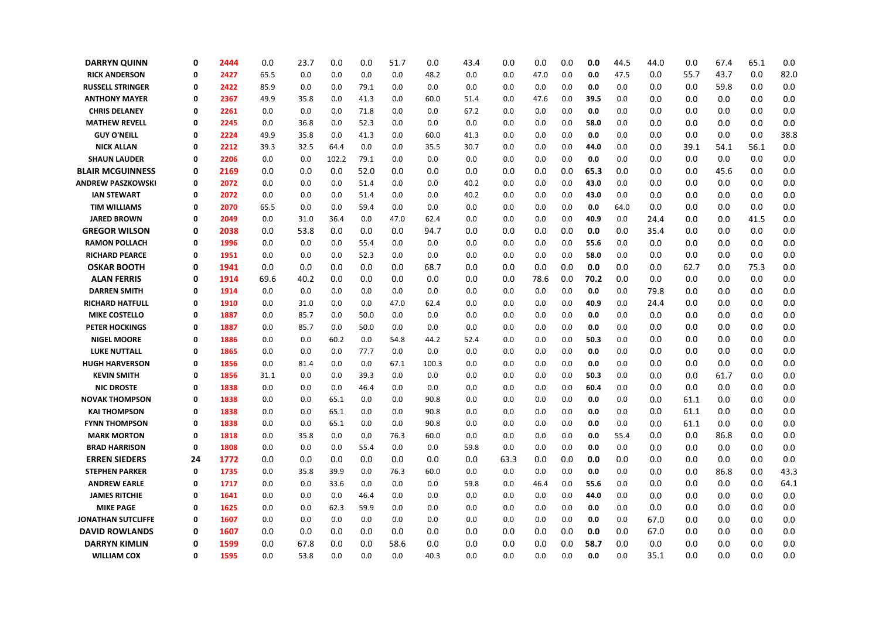| <b>DARRYN QUINN</b>       | 0  | 2444 | 0.0  | 23.7 | 0.0   | 0.0  | 51.7 | 0.0   | 43.4 | 0.0     | 0.0  | 0.0 | 0.0  | 44.5 | 44.0 | 0.0  | 67.4 | 65.1 | 0.0  |
|---------------------------|----|------|------|------|-------|------|------|-------|------|---------|------|-----|------|------|------|------|------|------|------|
| <b>RICK ANDERSON</b>      | 0  | 2427 | 65.5 | 0.0  | 0.0   | 0.0  | 0.0  | 48.2  | 0.0  | 0.0     | 47.0 | 0.0 | 0.0  | 47.5 | 0.0  | 55.7 | 43.7 | 0.0  | 82.0 |
| RUSSELL STRINGER          | 0  | 2422 | 85.9 | 0.0  | 0.0   | 79.1 | 0.0  | 0.0   | 0.0  | 0.0     | 0.0  | 0.0 | 0.0  | 0.0  | 0.0  | 0.0  | 59.8 | 0.0  | 0.0  |
| <b>ANTHONY MAYER</b>      | 0  | 2367 | 49.9 | 35.8 | 0.0   | 41.3 | 0.0  | 60.0  | 51.4 | 0.0     | 47.6 | 0.0 | 39.5 | 0.0  | 0.0  | 0.0  | 0.0  | 0.0  | 0.0  |
| <b>CHRIS DELANEY</b>      | 0  | 2261 | 0.0  | 0.0  | 0.0   | 71.8 | 0.0  | 0.0   | 67.2 | 0.0     | 0.0  | 0.0 | 0.0  | 0.0  | 0.0  | 0.0  | 0.0  | 0.0  | 0.0  |
| <b>MATHEW REVELL</b>      | 0  | 2245 | 0.0  | 36.8 | 0.0   | 52.3 | 0.0  | 0.0   | 0.0  | 0.0     | 0.0  | 0.0 | 58.0 | 0.0  | 0.0  | 0.0  | 0.0  | 0.0  | 0.0  |
| <b>GUY O'NEILL</b>        | 0  | 2224 | 49.9 | 35.8 | 0.0   | 41.3 | 0.0  | 60.0  | 41.3 | 0.0     | 0.0  | 0.0 | 0.0  | 0.0  | 0.0  | 0.0  | 0.0  | 0.0  | 38.8 |
| <b>NICK ALLAN</b>         | 0  | 2212 | 39.3 | 32.5 | 64.4  | 0.0  | 0.0  | 35.5  | 30.7 | 0.0     | 0.0  | 0.0 | 44.0 | 0.0  | 0.0  | 39.1 | 54.1 | 56.1 | 0.0  |
| <b>SHAUN LAUDER</b>       | 0  | 2206 | 0.0  | 0.0  | 102.2 | 79.1 | 0.0  | 0.0   | 0.0  | 0.0     | 0.0  | 0.0 | 0.0  | 0.0  | 0.0  | 0.0  | 0.0  | 0.0  | 0.0  |
| <b>BLAIR MCGUINNESS</b>   | 0  | 2169 | 0.0  | 0.0  | 0.0   | 52.0 | 0.0  | 0.0   | 0.0  | 0.0     | 0.0  | 0.0 | 65.3 | 0.0  | 0.0  | 0.0  | 45.6 | 0.0  | 0.0  |
| <b>ANDREW PASZKOWSKI</b>  | 0  | 2072 | 0.0  | 0.0  | 0.0   | 51.4 | 0.0  | 0.0   | 40.2 | 0.0     | 0.0  | 0.0 | 43.0 | 0.0  | 0.0  | 0.0  | 0.0  | 0.0  | 0.0  |
| <b>IAN STEWART</b>        | 0  | 2072 | 0.0  | 0.0  | 0.0   | 51.4 | 0.0  | 0.0   | 40.2 | 0.0     | 0.0  | 0.0 | 43.0 | 0.0  | 0.0  | 0.0  | 0.0  | 0.0  | 0.0  |
| <b>TIM WILLIAMS</b>       | 0  | 2070 | 65.5 | 0.0  | 0.0   | 59.4 | 0.0  | 0.0   | 0.0  | 0.0     | 0.0  | 0.0 | 0.0  | 64.0 | 0.0  | 0.0  | 0.0  | 0.0  | 0.0  |
| <b>JARED BROWN</b>        | 0  | 2049 | 0.0  | 31.0 | 36.4  | 0.0  | 47.0 | 62.4  | 0.0  | 0.0     | 0.0  | 0.0 | 40.9 | 0.0  | 24.4 | 0.0  | 0.0  | 41.5 | 0.0  |
| <b>GREGOR WILSON</b>      | 0  | 2038 | 0.0  | 53.8 | 0.0   | 0.0  | 0.0  | 94.7  | 0.0  | 0.0     | 0.0  | 0.0 | 0.0  | 0.0  | 35.4 | 0.0  | 0.0  | 0.0  | 0.0  |
| <b>RAMON POLLACH</b>      | 0  | 1996 | 0.0  | 0.0  | 0.0   | 55.4 | 0.0  | 0.0   | 0.0  | 0.0     | 0.0  | 0.0 | 55.6 | 0.0  | 0.0  | 0.0  | 0.0  | 0.0  | 0.0  |
| <b>RICHARD PEARCE</b>     | 0  | 1951 | 0.0  | 0.0  | 0.0   | 52.3 | 0.0  | 0.0   | 0.0  | 0.0     | 0.0  | 0.0 | 58.0 | 0.0  | 0.0  | 0.0  | 0.0  | 0.0  | 0.0  |
| <b>OSKAR BOOTH</b>        | 0  | 1941 | 0.0  | 0.0  | 0.0   | 0.0  | 0.0  | 68.7  | 0.0  | 0.0     | 0.0  | 0.0 | 0.0  | 0.0  | 0.0  | 62.7 | 0.0  | 75.3 | 0.0  |
| <b>ALAN FERRIS</b>        | 0  | 1914 | 69.6 | 40.2 | 0.0   | 0.0  | 0.0  | 0.0   | 0.0  | 0.0     | 78.6 | 0.0 | 70.2 | 0.0  | 0.0  | 0.0  | 0.0  | 0.0  | 0.0  |
| <b>DARREN SMITH</b>       | 0  | 1914 | 0.0  | 0.0  | 0.0   | 0.0  | 0.0  | 0.0   | 0.0  | 0.0     | 0.0  | 0.0 | 0.0  | 0.0  | 79.8 | 0.0  | 0.0  | 0.0  | 0.0  |
| <b>RICHARD HATFULL</b>    | 0  | 1910 | 0.0  | 31.0 | 0.0   | 0.0  | 47.0 | 62.4  | 0.0  | 0.0     | 0.0  | 0.0 | 40.9 | 0.0  | 24.4 | 0.0  | 0.0  | 0.0  | 0.0  |
| <b>MIKE COSTELLO</b>      | 0  | 1887 | 0.0  | 85.7 | 0.0   | 50.0 | 0.0  | 0.0   | 0.0  | 0.0     | 0.0  | 0.0 | 0.0  | 0.0  | 0.0  | 0.0  | 0.0  | 0.0  | 0.0  |
| <b>PETER HOCKINGS</b>     | 0  | 1887 | 0.0  | 85.7 | 0.0   | 50.0 | 0.0  | 0.0   | 0.0  | 0.0     | 0.0  | 0.0 | 0.0  | 0.0  | 0.0  | 0.0  | 0.0  | 0.0  | 0.0  |
| <b>NIGEL MOORE</b>        | 0  | 1886 | 0.0  | 0.0  | 60.2  | 0.0  | 54.8 | 44.2  | 52.4 | 0.0     | 0.0  | 0.0 | 50.3 | 0.0  | 0.0  | 0.0  | 0.0  | 0.0  | 0.0  |
| <b>LUKE NUTTALL</b>       | 0  | 1865 | 0.0  | 0.0  | 0.0   | 77.7 | 0.0  | 0.0   | 0.0  | 0.0     | 0.0  | 0.0 | 0.0  | 0.0  | 0.0  | 0.0  | 0.0  | 0.0  | 0.0  |
| <b>HUGH HARVERSON</b>     | 0  | 1856 | 0.0  | 81.4 | 0.0   | 0.0  | 67.1 | 100.3 | 0.0  | 0.0     | 0.0  | 0.0 | 0.0  | 0.0  | 0.0  | 0.0  | 0.0  | 0.0  | 0.0  |
| <b>KEVIN SMITH</b>        | 0  | 1856 | 31.1 | 0.0  | 0.0   | 39.3 | 0.0  | 0.0   | 0.0  | 0.0     | 0.0  | 0.0 | 50.3 | 0.0  | 0.0  | 0.0  | 61.7 | 0.0  | 0.0  |
| <b>NIC DROSTE</b>         | 0  | 1838 | 0.0  | 0.0  | 0.0   | 46.4 | 0.0  | 0.0   | 0.0  | 0.0     | 0.0  | 0.0 | 60.4 | 0.0  | 0.0  | 0.0  | 0.0  | 0.0  | 0.0  |
| <b>NOVAK THOMPSON</b>     | 0  | 1838 | 0.0  | 0.0  | 65.1  | 0.0  | 0.0  | 90.8  | 0.0  | 0.0     | 0.0  | 0.0 | 0.0  | 0.0  | 0.0  | 61.1 | 0.0  | 0.0  | 0.0  |
| <b>KAI THOMPSON</b>       | 0  | 1838 | 0.0  | 0.0  | 65.1  | 0.0  | 0.0  | 90.8  | 0.0  | 0.0     | 0.0  | 0.0 | 0.0  | 0.0  | 0.0  | 61.1 | 0.0  | 0.0  | 0.0  |
| <b>FYNN THOMPSON</b>      | 0  | 1838 | 0.0  | 0.0  | 65.1  | 0.0  | 0.0  | 90.8  | 0.0  | 0.0     | 0.0  | 0.0 | 0.0  | 0.0  | 0.0  | 61.1 | 0.0  | 0.0  | 0.0  |
| <b>MARK MORTON</b>        | 0  | 1818 | 0.0  | 35.8 | 0.0   | 0.0  | 76.3 | 60.0  | 0.0  | 0.0     | 0.0  | 0.0 | 0.0  | 55.4 | 0.0  | 0.0  | 86.8 | 0.0  | 0.0  |
| <b>BRAD HARRISON</b>      | 0  | 1808 | 0.0  | 0.0  | 0.0   | 55.4 | 0.0  | 0.0   | 59.8 | 0.0     | 0.0  | 0.0 | 0.0  | 0.0  | 0.0  | 0.0  | 0.0  | 0.0  | 0.0  |
| <b>ERREN SIEDERS</b>      | 24 | 1772 | 0.0  | 0.0  | 0.0   | 0.0  | 0.0  | 0.0   | 0.0  | 63.3    | 0.0  | 0.0 | 0.0  | 0.0  | 0.0  | 0.0  | 0.0  | 0.0  | 0.0  |
| <b>STEPHEN PARKER</b>     | 0  | 1735 | 0.0  | 35.8 | 39.9  | 0.0  | 76.3 | 60.0  | 0.0  | 0.0     | 0.0  | 0.0 | 0.0  | 0.0  | 0.0  | 0.0  | 86.8 | 0.0  | 43.3 |
| <b>ANDREW EARLE</b>       | 0  | 1717 | 0.0  | 0.0  | 33.6  | 0.0  | 0.0  | 0.0   | 59.8 | 0.0     | 46.4 | 0.0 | 55.6 | 0.0  | 0.0  | 0.0  | 0.0  | 0.0  | 64.1 |
| <b>JAMES RITCHIE</b>      | 0  | 1641 | 0.0  | 0.0  | 0.0   | 46.4 | 0.0  | 0.0   | 0.0  | $0.0\,$ | 0.0  | 0.0 | 44.0 | 0.0  | 0.0  | 0.0  | 0.0  | 0.0  | 0.0  |
| <b>MIKE PAGE</b>          | 0  | 1625 | 0.0  | 0.0  | 62.3  | 59.9 | 0.0  | 0.0   | 0.0  | 0.0     | 0.0  | 0.0 | 0.0  | 0.0  | 0.0  | 0.0  | 0.0  | 0.0  | 0.0  |
| <b>JONATHAN SUTCLIFFE</b> | 0  | 1607 | 0.0  | 0.0  | 0.0   | 0.0  | 0.0  | 0.0   | 0.0  | 0.0     | 0.0  | 0.0 | 0.0  | 0.0  | 67.0 | 0.0  | 0.0  | 0.0  | 0.0  |
| <b>DAVID ROWLANDS</b>     | 0  | 1607 | 0.0  | 0.0  | 0.0   | 0.0  | 0.0  | 0.0   | 0.0  | 0.0     | 0.0  | 0.0 | 0.0  | 0.0  | 67.0 | 0.0  | 0.0  | 0.0  | 0.0  |
| <b>DARRYN KIMLIN</b>      | 0  | 1599 | 0.0  | 67.8 | 0.0   | 0.0  | 58.6 | 0.0   | 0.0  | 0.0     | 0.0  | 0.0 | 58.7 | 0.0  | 0.0  | 0.0  | 0.0  | 0.0  | 0.0  |
| <b>WILLIAM COX</b>        | 0  | 1595 | 0.0  | 53.8 | 0.0   | 0.0  | 0.0  | 40.3  | 0.0  | 0.0     | 0.0  | 0.0 | 0.0  | 0.0  | 35.1 | 0.0  | 0.0  | 0.0  | 0.0  |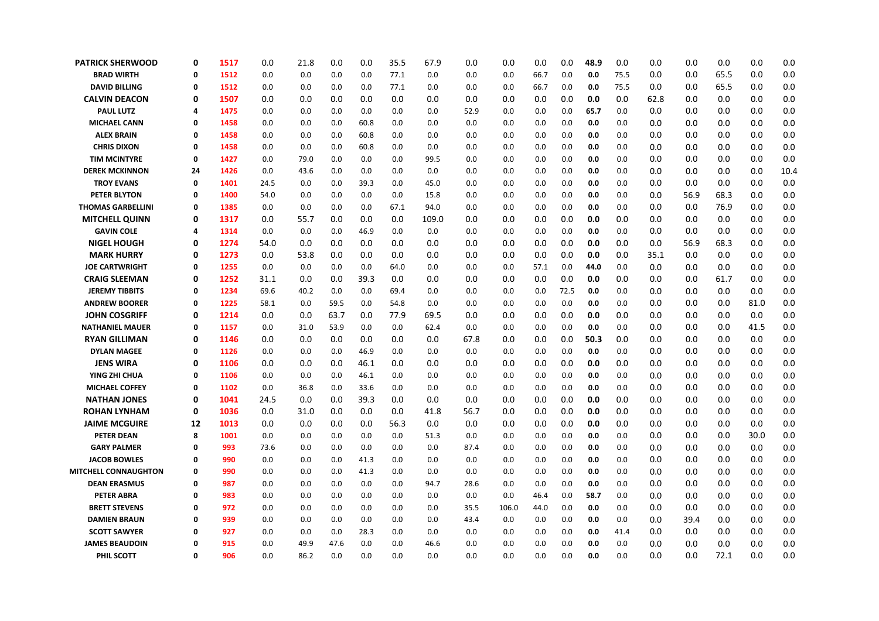| <b>PATRICK SHERWOOD</b>     | 0  | 1517 | 0.0  | 21.8 | 0.0  | 0.0  | 35.5 | 67.9  | 0.0  | 0.0   | 0.0  | 0.0  | 48.9 | 0.0  | 0.0  | 0.0  | 0.0  | 0.0  | 0.0  |
|-----------------------------|----|------|------|------|------|------|------|-------|------|-------|------|------|------|------|------|------|------|------|------|
| <b>BRAD WIRTH</b>           | 0  | 1512 | 0.0  | 0.0  | 0.0  | 0.0  | 77.1 | 0.0   | 0.0  | 0.0   | 66.7 | 0.0  | 0.0  | 75.5 | 0.0  | 0.0  | 65.5 | 0.0  | 0.0  |
| <b>DAVID BILLING</b>        | 0  | 1512 | 0.0  | 0.0  | 0.0  | 0.0  | 77.1 | 0.0   | 0.0  | 0.0   | 66.7 | 0.0  | 0.0  | 75.5 | 0.0  | 0.0  | 65.5 | 0.0  | 0.0  |
| <b>CALVIN DEACON</b>        | 0  | 1507 | 0.0  | 0.0  | 0.0  | 0.0  | 0.0  | 0.0   | 0.0  | 0.0   | 0.0  | 0.0  | 0.0  | 0.0  | 62.8 | 0.0  | 0.0  | 0.0  | 0.0  |
| <b>PAUL LUTZ</b>            | 4  | 1475 | 0.0  | 0.0  | 0.0  | 0.0  | 0.0  | 0.0   | 52.9 | 0.0   | 0.0  | 0.0  | 65.7 | 0.0  | 0.0  | 0.0  | 0.0  | 0.0  | 0.0  |
| <b>MICHAEL CANN</b>         | 0  | 1458 | 0.0  | 0.0  | 0.0  | 60.8 | 0.0  | 0.0   | 0.0  | 0.0   | 0.0  | 0.0  | 0.0  | 0.0  | 0.0  | 0.0  | 0.0  | 0.0  | 0.0  |
| <b>ALEX BRAIN</b>           | 0  | 1458 | 0.0  | 0.0  | 0.0  | 60.8 | 0.0  | 0.0   | 0.0  | 0.0   | 0.0  | 0.0  | 0.0  | 0.0  | 0.0  | 0.0  | 0.0  | 0.0  | 0.0  |
| <b>CHRIS DIXON</b>          | 0  | 1458 | 0.0  | 0.0  | 0.0  | 60.8 | 0.0  | 0.0   | 0.0  | 0.0   | 0.0  | 0.0  | 0.0  | 0.0  | 0.0  | 0.0  | 0.0  | 0.0  | 0.0  |
| <b>TIM MCINTYRE</b>         | 0  | 1427 | 0.0  | 79.0 | 0.0  | 0.0  | 0.0  | 99.5  | 0.0  | 0.0   | 0.0  | 0.0  | 0.0  | 0.0  | 0.0  | 0.0  | 0.0  | 0.0  | 0.0  |
| <b>DEREK MCKINNON</b>       | 24 | 1426 | 0.0  | 43.6 | 0.0  | 0.0  | 0.0  | 0.0   | 0.0  | 0.0   | 0.0  | 0.0  | 0.0  | 0.0  | 0.0  | 0.0  | 0.0  | 0.0  | 10.4 |
| <b>TROY EVANS</b>           | 0  | 1401 | 24.5 | 0.0  | 0.0  | 39.3 | 0.0  | 45.0  | 0.0  | 0.0   | 0.0  | 0.0  | 0.0  | 0.0  | 0.0  | 0.0  | 0.0  | 0.0  | 0.0  |
| <b>PETER BLYTON</b>         | 0  | 1400 | 54.0 | 0.0  | 0.0  | 0.0  | 0.0  | 15.8  | 0.0  | 0.0   | 0.0  | 0.0  | 0.0  | 0.0  | 0.0  | 56.9 | 68.3 | 0.0  | 0.0  |
| <b>THOMAS GARBELLINI</b>    | 0  | 1385 | 0.0  | 0.0  | 0.0  | 0.0  | 67.1 | 94.0  | 0.0  | 0.0   | 0.0  | 0.0  | 0.0  | 0.0  | 0.0  | 0.0  | 76.9 | 0.0  | 0.0  |
| <b>MITCHELL QUINN</b>       | 0  | 1317 | 0.0  | 55.7 | 0.0  | 0.0  | 0.0  | 109.0 | 0.0  | 0.0   | 0.0  | 0.0  | 0.0  | 0.0  | 0.0  | 0.0  | 0.0  | 0.0  | 0.0  |
| <b>GAVIN COLE</b>           | 4  | 1314 | 0.0  | 0.0  | 0.0  | 46.9 | 0.0  | 0.0   | 0.0  | 0.0   | 0.0  | 0.0  | 0.0  | 0.0  | 0.0  | 0.0  | 0.0  | 0.0  | 0.0  |
| <b>NIGEL HOUGH</b>          | 0  | 1274 | 54.0 | 0.0  | 0.0  | 0.0  | 0.0  | 0.0   | 0.0  | 0.0   | 0.0  | 0.0  | 0.0  | 0.0  | 0.0  | 56.9 | 68.3 | 0.0  | 0.0  |
| <b>MARK HURRY</b>           | 0  | 1273 | 0.0  | 53.8 | 0.0  | 0.0  | 0.0  | 0.0   | 0.0  | 0.0   | 0.0  | 0.0  | 0.0  | 0.0  | 35.1 | 0.0  | 0.0  | 0.0  | 0.0  |
| <b>JOE CARTWRIGHT</b>       | 0  | 1255 | 0.0  | 0.0  | 0.0  | 0.0  | 64.0 | 0.0   | 0.0  | 0.0   | 57.1 | 0.0  | 44.0 | 0.0  | 0.0  | 0.0  | 0.0  | 0.0  | 0.0  |
| <b>CRAIG SLEEMAN</b>        | 0  | 1252 | 31.1 | 0.0  | 0.0  | 39.3 | 0.0  | 0.0   | 0.0  | 0.0   | 0.0  | 0.0  | 0.0  | 0.0  | 0.0  | 0.0  | 61.7 | 0.0  | 0.0  |
| <b>JEREMY TIBBITS</b>       | 0  | 1234 | 69.6 | 40.2 | 0.0  | 0.0  | 69.4 | 0.0   | 0.0  | 0.0   | 0.0  | 72.5 | 0.0  | 0.0  | 0.0  | 0.0  | 0.0  | 0.0  | 0.0  |
| <b>ANDREW BOORER</b>        | 0  | 1225 | 58.1 | 0.0  | 59.5 | 0.0  | 54.8 | 0.0   | 0.0  | 0.0   | 0.0  | 0.0  | 0.0  | 0.0  | 0.0  | 0.0  | 0.0  | 81.0 | 0.0  |
| <b>JOHN COSGRIFF</b>        | 0  | 1214 | 0.0  | 0.0  | 63.7 | 0.0  | 77.9 | 69.5  | 0.0  | 0.0   | 0.0  | 0.0  | 0.0  | 0.0  | 0.0  | 0.0  | 0.0  | 0.0  | 0.0  |
| <b>NATHANIEL MAUER</b>      | 0  | 1157 | 0.0  | 31.0 | 53.9 | 0.0  | 0.0  | 62.4  | 0.0  | 0.0   | 0.0  | 0.0  | 0.0  | 0.0  | 0.0  | 0.0  | 0.0  | 41.5 | 0.0  |
| <b>RYAN GILLIMAN</b>        | 0  | 1146 | 0.0  | 0.0  | 0.0  | 0.0  | 0.0  | 0.0   | 67.8 | 0.0   | 0.0  | 0.0  | 50.3 | 0.0  | 0.0  | 0.0  | 0.0  | 0.0  | 0.0  |
| <b>DYLAN MAGEE</b>          | 0  | 1126 | 0.0  | 0.0  | 0.0  | 46.9 | 0.0  | 0.0   | 0.0  | 0.0   | 0.0  | 0.0  | 0.0  | 0.0  | 0.0  | 0.0  | 0.0  | 0.0  | 0.0  |
| <b>JENS WIRA</b>            | 0  | 1106 | 0.0  | 0.0  | 0.0  | 46.1 | 0.0  | 0.0   | 0.0  | 0.0   | 0.0  | 0.0  | 0.0  | 0.0  | 0.0  | 0.0  | 0.0  | 0.0  | 0.0  |
| YING ZHI CHUA               | 0  | 1106 | 0.0  | 0.0  | 0.0  | 46.1 | 0.0  | 0.0   | 0.0  | 0.0   | 0.0  | 0.0  | 0.0  | 0.0  | 0.0  | 0.0  | 0.0  | 0.0  | 0.0  |
| <b>MICHAEL COFFEY</b>       | 0  | 1102 | 0.0  | 36.8 | 0.0  | 33.6 | 0.0  | 0.0   | 0.0  | 0.0   | 0.0  | 0.0  | 0.0  | 0.0  | 0.0  | 0.0  | 0.0  | 0.0  | 0.0  |
| <b>NATHAN JONES</b>         | 0  | 1041 | 24.5 | 0.0  | 0.0  | 39.3 | 0.0  | 0.0   | 0.0  | 0.0   | 0.0  | 0.0  | 0.0  | 0.0  | 0.0  | 0.0  | 0.0  | 0.0  | 0.0  |
| <b>ROHAN LYNHAM</b>         | 0  | 1036 | 0.0  | 31.0 | 0.0  | 0.0  | 0.0  | 41.8  | 56.7 | 0.0   | 0.0  | 0.0  | 0.0  | 0.0  | 0.0  | 0.0  | 0.0  | 0.0  | 0.0  |
| <b>JAIME MCGUIRE</b>        | 12 | 1013 | 0.0  | 0.0  | 0.0  | 0.0  | 56.3 | 0.0   | 0.0  | 0.0   | 0.0  | 0.0  | 0.0  | 0.0  | 0.0  | 0.0  | 0.0  | 0.0  | 0.0  |
| <b>PETER DEAN</b>           | 8  | 1001 | 0.0  | 0.0  | 0.0  | 0.0  | 0.0  | 51.3  | 0.0  | 0.0   | 0.0  | 0.0  | 0.0  | 0.0  | 0.0  | 0.0  | 0.0  | 30.0 | 0.0  |
| <b>GARY PALMER</b>          | 0  | 993  | 73.6 | 0.0  | 0.0  | 0.0  | 0.0  | 0.0   | 87.4 | 0.0   | 0.0  | 0.0  | 0.0  | 0.0  | 0.0  | 0.0  | 0.0  | 0.0  | 0.0  |
| <b>JACOB BOWLES</b>         | 0  | 990  | 0.0  | 0.0  | 0.0  | 41.3 | 0.0  | 0.0   | 0.0  | 0.0   | 0.0  | 0.0  | 0.0  | 0.0  | 0.0  | 0.0  | 0.0  | 0.0  | 0.0  |
| <b>MITCHELL CONNAUGHTON</b> | 0  | 990  | 0.0  | 0.0  | 0.0  | 41.3 | 0.0  | 0.0   | 0.0  | 0.0   | 0.0  | 0.0  | 0.0  | 0.0  | 0.0  | 0.0  | 0.0  | 0.0  | 0.0  |
| <b>DEAN ERASMUS</b>         | 0  | 987  | 0.0  | 0.0  | 0.0  | 0.0  | 0.0  | 94.7  | 28.6 | 0.0   | 0.0  | 0.0  | 0.0  | 0.0  | 0.0  | 0.0  | 0.0  | 0.0  | 0.0  |
| <b>PETER ABRA</b>           | 0  | 983  | 0.0  | 0.0  | 0.0  | 0.0  | 0.0  | 0.0   | 0.0  | 0.0   | 46.4 | 0.0  | 58.7 | 0.0  | 0.0  | 0.0  | 0.0  | 0.0  | 0.0  |
| <b>BRETT STEVENS</b>        | 0  | 972  | 0.0  | 0.0  | 0.0  | 0.0  | 0.0  | 0.0   | 35.5 | 106.0 | 44.0 | 0.0  | 0.0  | 0.0  | 0.0  | 0.0  | 0.0  | 0.0  | 0.0  |
| <b>DAMIEN BRAUN</b>         | 0  | 939  | 0.0  | 0.0  | 0.0  | 0.0  | 0.0  | 0.0   | 43.4 | 0.0   | 0.0  | 0.0  | 0.0  | 0.0  | 0.0  | 39.4 | 0.0  | 0.0  | 0.0  |
| <b>SCOTT SAWYER</b>         | 0  | 927  | 0.0  | 0.0  | 0.0  | 28.3 | 0.0  | 0.0   | 0.0  | 0.0   | 0.0  | 0.0  | 0.0  | 41.4 | 0.0  | 0.0  | 0.0  | 0.0  | 0.0  |
| <b>JAMES BEAUDOIN</b>       | 0  | 915  | 0.0  | 49.9 | 47.6 | 0.0  | 0.0  | 46.6  | 0.0  | 0.0   | 0.0  | 0.0  | 0.0  | 0.0  | 0.0  | 0.0  | 0.0  | 0.0  | 0.0  |
| PHIL SCOTT                  | 0  | 906  | 0.0  | 86.2 | 0.0  | 0.0  | 0.0  | 0.0   | 0.0  | 0.0   | 0.0  | 0.0  | 0.0  | 0.0  | 0.0  | 0.0  | 72.1 | 0.0  | 0.0  |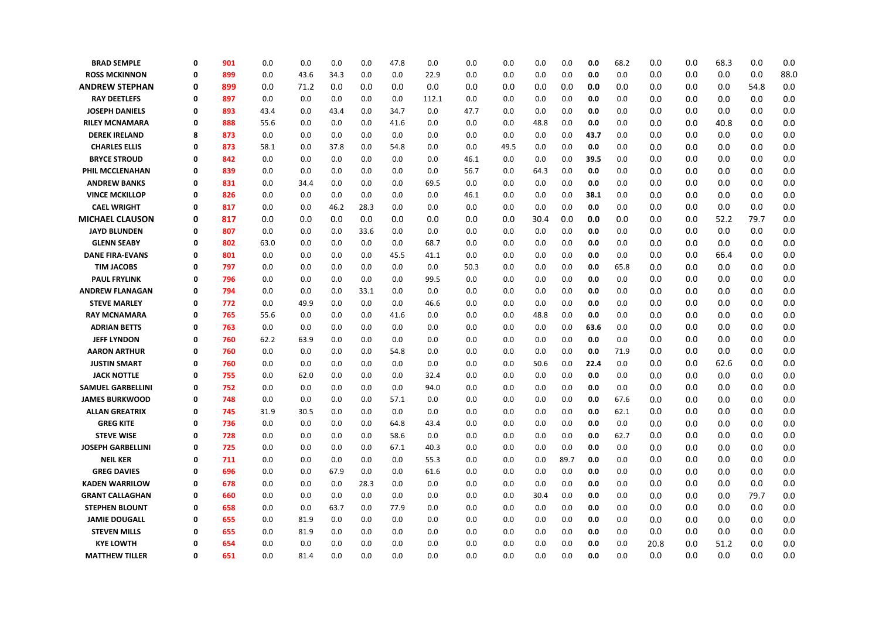| <b>BRAD SEMPLE</b>       | 0        | 901 | 0.0  | 0.0  | 0.0  | 0.0  | 47.8 | 0.0   | 0.0  | 0.0  | 0.0  | 0.0  | 0.0  | 68.2 | 0.0  | 0.0 | 68.3 | 0.0  | 0.0  |
|--------------------------|----------|-----|------|------|------|------|------|-------|------|------|------|------|------|------|------|-----|------|------|------|
| <b>ROSS MCKINNON</b>     | $\Omega$ | 899 | 0.0  | 43.6 | 34.3 | 0.0  | 0.0  | 22.9  | 0.0  | 0.0  | 0.0  | 0.0  | 0.0  | 0.0  | 0.0  | 0.0 | 0.0  | 0.0  | 88.0 |
| <b>ANDREW STEPHAN</b>    | 0        | 899 | 0.0  | 71.2 | 0.0  | 0.0  | 0.0  | 0.0   | 0.0  | 0.0  | 0.0  | 0.0  | 0.0  | 0.0  | 0.0  | 0.0 | 0.0  | 54.8 | 0.0  |
| <b>RAY DEETLEFS</b>      | 0        | 897 | 0.0  | 0.0  | 0.0  | 0.0  | 0.0  | 112.1 | 0.0  | 0.0  | 0.0  | 0.0  | 0.0  | 0.0  | 0.0  | 0.0 | 0.0  | 0.0  | 0.0  |
| <b>JOSEPH DANIELS</b>    | $\Omega$ | 893 | 43.4 | 0.0  | 43.4 | 0.0  | 34.7 | 0.0   | 47.7 | 0.0  | 0.0  | 0.0  | 0.0  | 0.0  | 0.0  | 0.0 | 0.0  | 0.0  | 0.0  |
| <b>RILEY MCNAMARA</b>    | 0        | 888 | 55.6 | 0.0  | 0.0  | 0.0  | 41.6 | 0.0   | 0.0  | 0.0  | 48.8 | 0.0  | 0.0  | 0.0  | 0.0  | 0.0 | 40.8 | 0.0  | 0.0  |
| <b>DEREK IRELAND</b>     | 8        | 873 | 0.0  | 0.0  | 0.0  | 0.0  | 0.0  | 0.0   | 0.0  | 0.0  | 0.0  | 0.0  | 43.7 | 0.0  | 0.0  | 0.0 | 0.0  | 0.0  | 0.0  |
| <b>CHARLES ELLIS</b>     | 0        | 873 | 58.1 | 0.0  | 37.8 | 0.0  | 54.8 | 0.0   | 0.0  | 49.5 | 0.0  | 0.0  | 0.0  | 0.0  | 0.0  | 0.0 | 0.0  | 0.0  | 0.0  |
| <b>BRYCE STROUD</b>      | $\Omega$ | 842 | 0.0  | 0.0  | 0.0  | 0.0  | 0.0  | 0.0   | 46.1 | 0.0  | 0.0  | 0.0  | 39.5 | 0.0  | 0.0  | 0.0 | 0.0  | 0.0  | 0.0  |
| PHIL MCCLENAHAN          | 0        | 839 | 0.0  | 0.0  | 0.0  | 0.0  | 0.0  | 0.0   | 56.7 | 0.0  | 64.3 | 0.0  | 0.0  | 0.0  | 0.0  | 0.0 | 0.0  | 0.0  | 0.0  |
| <b>ANDREW BANKS</b>      | 0        | 831 | 0.0  | 34.4 | 0.0  | 0.0  | 0.0  | 69.5  | 0.0  | 0.0  | 0.0  | 0.0  | 0.0  | 0.0  | 0.0  | 0.0 | 0.0  | 0.0  | 0.0  |
| <b>VINCE MCKILLOP</b>    | $\Omega$ | 826 | 0.0  | 0.0  | 0.0  | 0.0  | 0.0  | 0.0   | 46.1 | 0.0  | 0.0  | 0.0  | 38.1 | 0.0  | 0.0  | 0.0 | 0.0  | 0.0  | 0.0  |
| <b>CAEL WRIGHT</b>       | 0        | 817 | 0.0  | 0.0  | 46.2 | 28.3 | 0.0  | 0.0   | 0.0  | 0.0  | 0.0  | 0.0  | 0.0  | 0.0  | 0.0  | 0.0 | 0.0  | 0.0  | 0.0  |
| <b>MICHAEL CLAUSON</b>   | 0        | 817 | 0.0  | 0.0  | 0.0  | 0.0  | 0.0  | 0.0   | 0.0  | 0.0  | 30.4 | 0.0  | 0.0  | 0.0  | 0.0  | 0.0 | 52.2 | 79.7 | 0.0  |
| <b>JAYD BLUNDEN</b>      | 0        | 807 | 0.0  | 0.0  | 0.0  | 33.6 | 0.0  | 0.0   | 0.0  | 0.0  | 0.0  | 0.0  | 0.0  | 0.0  | 0.0  | 0.0 | 0.0  | 0.0  | 0.0  |
| <b>GLENN SEABY</b>       | $\Omega$ | 802 | 63.0 | 0.0  | 0.0  | 0.0  | 0.0  | 68.7  | 0.0  | 0.0  | 0.0  | 0.0  | 0.0  | 0.0  | 0.0  | 0.0 | 0.0  | 0.0  | 0.0  |
| <b>DANE FIRA-EVANS</b>   | 0        | 801 | 0.0  | 0.0  | 0.0  | 0.0  | 45.5 | 41.1  | 0.0  | 0.0  | 0.0  | 0.0  | 0.0  | 0.0  | 0.0  | 0.0 | 66.4 | 0.0  | 0.0  |
| <b>TIM JACOBS</b>        | 0        | 797 | 0.0  | 0.0  | 0.0  | 0.0  | 0.0  | 0.0   | 50.3 | 0.0  | 0.0  | 0.0  | 0.0  | 65.8 | 0.0  | 0.0 | 0.0  | 0.0  | 0.0  |
| <b>PAUL FRYLINK</b>      | 0        | 796 | 0.0  | 0.0  | 0.0  | 0.0  | 0.0  | 99.5  | 0.0  | 0.0  | 0.0  | 0.0  | 0.0  | 0.0  | 0.0  | 0.0 | 0.0  | 0.0  | 0.0  |
| <b>ANDREW FLANAGAN</b>   | $\Omega$ | 794 | 0.0  | 0.0  | 0.0  | 33.1 | 0.0  | 0.0   | 0.0  | 0.0  | 0.0  | 0.0  | 0.0  | 0.0  | 0.0  | 0.0 | 0.0  | 0.0  | 0.0  |
| <b>STEVE MARLEY</b>      | 0        | 772 | 0.0  | 49.9 | 0.0  | 0.0  | 0.0  | 46.6  | 0.0  | 0.0  | 0.0  | 0.0  | 0.0  | 0.0  | 0.0  | 0.0 | 0.0  | 0.0  | 0.0  |
| <b>RAY MCNAMARA</b>      | 0        | 765 | 55.6 | 0.0  | 0.0  | 0.0  | 41.6 | 0.0   | 0.0  | 0.0  | 48.8 | 0.0  | 0.0  | 0.0  | 0.0  | 0.0 | 0.0  | 0.0  | 0.0  |
| <b>ADRIAN BETTS</b>      | 0        | 763 | 0.0  | 0.0  | 0.0  | 0.0  | 0.0  | 0.0   | 0.0  | 0.0  | 0.0  | 0.0  | 63.6 | 0.0  | 0.0  | 0.0 | 0.0  | 0.0  | 0.0  |
| <b>JEFF LYNDON</b>       | $\Omega$ | 760 | 62.2 | 63.9 | 0.0  | 0.0  | 0.0  | 0.0   | 0.0  | 0.0  | 0.0  | 0.0  | 0.0  | 0.0  | 0.0  | 0.0 | 0.0  | 0.0  | 0.0  |
| <b>AARON ARTHUR</b>      | Ω        | 760 | 0.0  | 0.0  | 0.0  | 0.0  | 54.8 | 0.0   | 0.0  | 0.0  | 0.0  | 0.0  | 0.0  | 71.9 | 0.0  | 0.0 | 0.0  | 0.0  | 0.0  |
| <b>JUSTIN SMART</b>      | 0        | 760 | 0.0  | 0.0  | 0.0  | 0.0  | 0.0  | 0.0   | 0.0  | 0.0  | 50.6 | 0.0  | 22.4 | 0.0  | 0.0  | 0.0 | 62.6 | 0.0  | 0.0  |
| <b>JACK NOTTLE</b>       | 0        | 755 | 0.0  | 62.0 | 0.0  | 0.0  | 0.0  | 32.4  | 0.0  | 0.0  | 0.0  | 0.0  | 0.0  | 0.0  | 0.0  | 0.0 | 0.0  | 0.0  | 0.0  |
| <b>SAMUEL GARBELLINI</b> | 0        | 752 | 0.0  | 0.0  | 0.0  | 0.0  | 0.0  | 94.0  | 0.0  | 0.0  | 0.0  | 0.0  | 0.0  | 0.0  | 0.0  | 0.0 | 0.0  | 0.0  | 0.0  |
| <b>JAMES BURKWOOD</b>    | $\Omega$ | 748 | 0.0  | 0.0  | 0.0  | 0.0  | 57.1 | 0.0   | 0.0  | 0.0  | 0.0  | 0.0  | 0.0  | 67.6 | 0.0  | 0.0 | 0.0  | 0.0  | 0.0  |
| <b>ALLAN GREATRIX</b>    | $\Omega$ | 745 | 31.9 | 30.5 | 0.0  | 0.0  | 0.0  | 0.0   | 0.0  | 0.0  | 0.0  | 0.0  | 0.0  | 62.1 | 0.0  | 0.0 | 0.0  | 0.0  | 0.0  |
| <b>GREG KITE</b>         | 0        | 736 | 0.0  | 0.0  | 0.0  | 0.0  | 64.8 | 43.4  | 0.0  | 0.0  | 0.0  | 0.0  | 0.0  | 0.0  | 0.0  | 0.0 | 0.0  | 0.0  | 0.0  |
| <b>STEVE WISE</b>        | Ω        | 728 | 0.0  | 0.0  | 0.0  | 0.0  | 58.6 | 0.0   | 0.0  | 0.0  | 0.0  | 0.0  | 0.0  | 62.7 | 0.0  | 0.0 | 0.0  | 0.0  | 0.0  |
| <b>JOSEPH GARBELLINI</b> | Ω        | 725 | 0.0  | 0.0  | 0.0  | 0.0  | 67.1 | 40.3  | 0.0  | 0.0  | 0.0  | 0.0  | 0.0  | 0.0  | 0.0  | 0.0 | 0.0  | 0.0  | 0.0  |
| <b>NEIL KER</b>          | $\Omega$ | 711 | 0.0  | 0.0  | 0.0  | 0.0  | 0.0  | 55.3  | 0.0  | 0.0  | 0.0  | 89.7 | 0.0  | 0.0  | 0.0  | 0.0 | 0.0  | 0.0  | 0.0  |
| <b>GREG DAVIES</b>       | 0        | 696 | 0.0  | 0.0  | 67.9 | 0.0  | 0.0  | 61.6  | 0.0  | 0.0  | 0.0  | 0.0  | 0.0  | 0.0  | 0.0  | 0.0 | 0.0  | 0.0  | 0.0  |
| <b>KADEN WARRILOW</b>    | 0        | 678 | 0.0  | 0.0  | 0.0  | 28.3 | 0.0  | 0.0   | 0.0  | 0.0  | 0.0  | 0.0  | 0.0  | 0.0  | 0.0  | 0.0 | 0.0  | 0.0  | 0.0  |
| <b>GRANT CALLAGHAN</b>   | 0        | 660 | 0.0  | 0.0  | 0.0  | 0.0  | 0.0  | 0.0   | 0.0  | 0.0  | 30.4 | 0.0  | 0.0  | 0.0  | 0.0  | 0.0 | 0.0  | 79.7 | 0.0  |
| <b>STEPHEN BLOUNT</b>    | $\Omega$ | 658 | 0.0  | 0.0  | 63.7 | 0.0  | 77.9 | 0.0   | 0.0  | 0.0  | 0.0  | 0.0  | 0.0  | 0.0  | 0.0  | 0.0 | 0.0  | 0.0  | 0.0  |
| <b>JAMIE DOUGALL</b>     | 0        | 655 | 0.0  | 81.9 | 0.0  | 0.0  | 0.0  | 0.0   | 0.0  | 0.0  | 0.0  | 0.0  | 0.0  | 0.0  | 0.0  | 0.0 | 0.0  | 0.0  | 0.0  |
| <b>STEVEN MILLS</b>      | 0        | 655 | 0.0  | 81.9 | 0.0  | 0.0  | 0.0  | 0.0   | 0.0  | 0.0  | 0.0  | 0.0  | 0.0  | 0.0  | 0.0  | 0.0 | 0.0  | 0.0  | 0.0  |
| <b>KYE LOWTH</b>         | Ω        | 654 | 0.0  | 0.0  | 0.0  | 0.0  | 0.0  | 0.0   | 0.0  | 0.0  | 0.0  | 0.0  | 0.0  | 0.0  | 20.8 | 0.0 | 51.2 | 0.0  | 0.0  |
| <b>MATTHEW TILLER</b>    | 0        | 651 | 0.0  | 81.4 | 0.0  | 0.0  | 0.0  | 0.0   | 0.0  | 0.0  | 0.0  | 0.0  | 0.0  | 0.0  | 0.0  | 0.0 | 0.0  | 0.0  | 0.0  |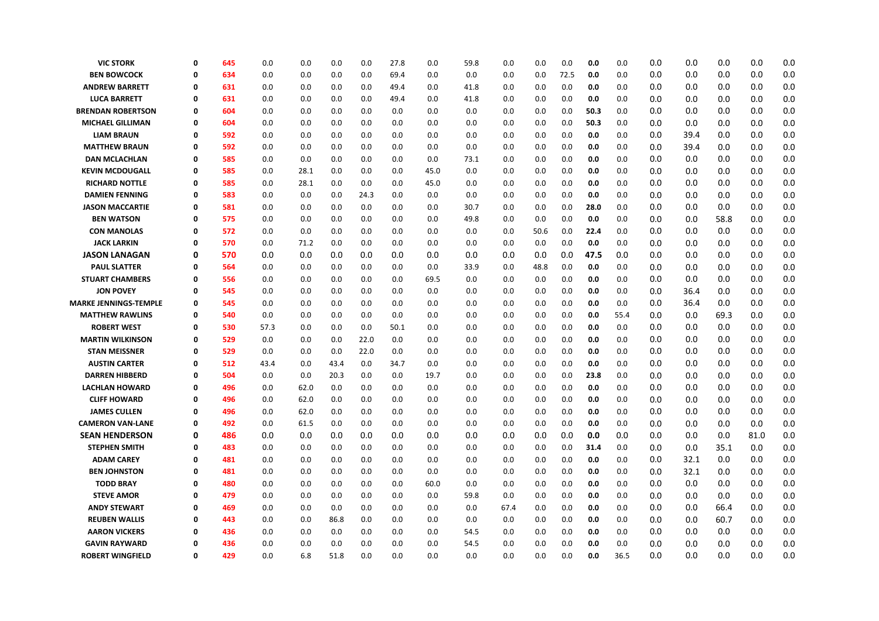| <b>VIC STORK</b>         | $\mathbf 0$ | 645 | 0.0  | 0.0  | 0.0  | 0.0  | 27.8 | 0.0  | 59.8 | 0.0  | 0.0  | 0.0  | 0.0  | 0.0  | 0.0 | 0.0  | 0.0  | 0.0  | 0.0 |
|--------------------------|-------------|-----|------|------|------|------|------|------|------|------|------|------|------|------|-----|------|------|------|-----|
| <b>BEN BOWCOCK</b>       | 0           | 634 | 0.0  | 0.0  | 0.0  | 0.0  | 69.4 | 0.0  | 0.0  | 0.0  | 0.0  | 72.5 | 0.0  | 0.0  | 0.0 | 0.0  | 0.0  | 0.0  | 0.0 |
| <b>ANDREW BARRETT</b>    | 0           | 631 | 0.0  | 0.0  | 0.0  | 0.0  | 49.4 | 0.0  | 41.8 | 0.0  | 0.0  | 0.0  | 0.0  | 0.0  | 0.0 | 0.0  | 0.0  | 0.0  | 0.0 |
| <b>LUCA BARRETT</b>      | 0           | 631 | 0.0  | 0.0  | 0.0  | 0.0  | 49.4 | 0.0  | 41.8 | 0.0  | 0.0  | 0.0  | 0.0  | 0.0  | 0.0 | 0.0  | 0.0  | 0.0  | 0.0 |
| <b>BRENDAN ROBERTSON</b> | 0           | 604 | 0.0  | 0.0  | 0.0  | 0.0  | 0.0  | 0.0  | 0.0  | 0.0  | 0.0  | 0.0  | 50.3 | 0.0  | 0.0 | 0.0  | 0.0  | 0.0  | 0.0 |
| <b>MICHAEL GILLIMAN</b>  | 0           | 604 | 0.0  | 0.0  | 0.0  | 0.0  | 0.0  | 0.0  | 0.0  | 0.0  | 0.0  | 0.0  | 50.3 | 0.0  | 0.0 | 0.0  | 0.0  | 0.0  | 0.0 |
| <b>LIAM BRAUN</b>        | 0           | 592 | 0.0  | 0.0  | 0.0  | 0.0  | 0.0  | 0.0  | 0.0  | 0.0  | 0.0  | 0.0  | 0.0  | 0.0  | 0.0 | 39.4 | 0.0  | 0.0  | 0.0 |
| <b>MATTHEW BRAUN</b>     | 0           | 592 | 0.0  | 0.0  | 0.0  | 0.0  | 0.0  | 0.0  | 0.0  | 0.0  | 0.0  | 0.0  | 0.0  | 0.0  | 0.0 | 39.4 | 0.0  | 0.0  | 0.0 |
| <b>DAN MCLACHLAN</b>     | 0           | 585 | 0.0  | 0.0  | 0.0  | 0.0  | 0.0  | 0.0  | 73.1 | 0.0  | 0.0  | 0.0  | 0.0  | 0.0  | 0.0 | 0.0  | 0.0  | 0.0  | 0.0 |
| <b>KEVIN MCDOUGALL</b>   | 0           | 585 | 0.0  | 28.1 | 0.0  | 0.0  | 0.0  | 45.0 | 0.0  | 0.0  | 0.0  | 0.0  | 0.0  | 0.0  | 0.0 | 0.0  | 0.0  | 0.0  | 0.0 |
| <b>RICHARD NOTTLE</b>    | 0           | 585 | 0.0  | 28.1 | 0.0  | 0.0  | 0.0  | 45.0 | 0.0  | 0.0  | 0.0  | 0.0  | 0.0  | 0.0  | 0.0 | 0.0  | 0.0  | 0.0  | 0.0 |
| <b>DAMIEN FENNING</b>    | 0           | 583 | 0.0  | 0.0  | 0.0  | 24.3 | 0.0  | 0.0  | 0.0  | 0.0  | 0.0  | 0.0  | 0.0  | 0.0  | 0.0 | 0.0  | 0.0  | 0.0  | 0.0 |
| <b>JASON MACCARTIE</b>   | 0           | 581 | 0.0  | 0.0  | 0.0  | 0.0  | 0.0  | 0.0  | 30.7 | 0.0  | 0.0  | 0.0  | 28.0 | 0.0  | 0.0 | 0.0  | 0.0  | 0.0  | 0.0 |
| <b>BEN WATSON</b>        | 0           | 575 | 0.0  | 0.0  | 0.0  | 0.0  | 0.0  | 0.0  | 49.8 | 0.0  | 0.0  | 0.0  | 0.0  | 0.0  | 0.0 | 0.0  | 58.8 | 0.0  | 0.0 |
| <b>CON MANOLAS</b>       | 0           | 572 | 0.0  | 0.0  | 0.0  | 0.0  | 0.0  | 0.0  | 0.0  | 0.0  | 50.6 | 0.0  | 22.4 | 0.0  | 0.0 | 0.0  | 0.0  | 0.0  | 0.0 |
| <b>JACK LARKIN</b>       | 0           | 570 | 0.0  | 71.2 | 0.0  | 0.0  | 0.0  | 0.0  | 0.0  | 0.0  | 0.0  | 0.0  | 0.0  | 0.0  | 0.0 | 0.0  | 0.0  | 0.0  | 0.0 |
| <b>JASON LANAGAN</b>     | 0           | 570 | 0.0  | 0.0  | 0.0  | 0.0  | 0.0  | 0.0  | 0.0  | 0.0  | 0.0  | 0.0  | 47.5 | 0.0  | 0.0 | 0.0  | 0.0  | 0.0  | 0.0 |
| <b>PAUL SLATTER</b>      | 0           | 564 | 0.0  | 0.0  | 0.0  | 0.0  | 0.0  | 0.0  | 33.9 | 0.0  | 48.8 | 0.0  | 0.0  | 0.0  | 0.0 | 0.0  | 0.0  | 0.0  | 0.0 |
| <b>STUART CHAMBERS</b>   | 0           | 556 | 0.0  | 0.0  | 0.0  | 0.0  | 0.0  | 69.5 | 0.0  | 0.0  | 0.0  | 0.0  | 0.0  | 0.0  | 0.0 | 0.0  | 0.0  | 0.0  | 0.0 |
| <b>JON POVEY</b>         | 0           | 545 | 0.0  | 0.0  | 0.0  | 0.0  | 0.0  | 0.0  | 0.0  | 0.0  | 0.0  | 0.0  | 0.0  | 0.0  | 0.0 | 36.4 | 0.0  | 0.0  | 0.0 |
| MARKE JENNINGS-TEMPLE    | 0           | 545 | 0.0  | 0.0  | 0.0  | 0.0  | 0.0  | 0.0  | 0.0  | 0.0  | 0.0  | 0.0  | 0.0  | 0.0  | 0.0 | 36.4 | 0.0  | 0.0  | 0.0 |
| <b>MATTHEW RAWLINS</b>   | 0           | 540 | 0.0  | 0.0  | 0.0  | 0.0  | 0.0  | 0.0  | 0.0  | 0.0  | 0.0  | 0.0  | 0.0  | 55.4 | 0.0 | 0.0  | 69.3 | 0.0  | 0.0 |
| <b>ROBERT WEST</b>       | 0           | 530 | 57.3 | 0.0  | 0.0  | 0.0  | 50.1 | 0.0  | 0.0  | 0.0  | 0.0  | 0.0  | 0.0  | 0.0  | 0.0 | 0.0  | 0.0  | 0.0  | 0.0 |
| <b>MARTIN WILKINSON</b>  | 0           | 529 | 0.0  | 0.0  | 0.0  | 22.0 | 0.0  | 0.0  | 0.0  | 0.0  | 0.0  | 0.0  | 0.0  | 0.0  | 0.0 | 0.0  | 0.0  | 0.0  | 0.0 |
| <b>STAN MEISSNER</b>     | 0           | 529 | 0.0  | 0.0  | 0.0  | 22.0 | 0.0  | 0.0  | 0.0  | 0.0  | 0.0  | 0.0  | 0.0  | 0.0  | 0.0 | 0.0  | 0.0  | 0.0  | 0.0 |
| <b>AUSTIN CARTER</b>     | 0           | 512 | 43.4 | 0.0  | 43.4 | 0.0  | 34.7 | 0.0  | 0.0  | 0.0  | 0.0  | 0.0  | 0.0  | 0.0  | 0.0 | 0.0  | 0.0  | 0.0  | 0.0 |
| <b>DARREN HIBBERD</b>    | 0           | 504 | 0.0  | 0.0  | 20.3 | 0.0  | 0.0  | 19.7 | 0.0  | 0.0  | 0.0  | 0.0  | 23.8 | 0.0  | 0.0 | 0.0  | 0.0  | 0.0  | 0.0 |
| <b>LACHLAN HOWARD</b>    | 0           | 496 | 0.0  | 62.0 | 0.0  | 0.0  | 0.0  | 0.0  | 0.0  | 0.0  | 0.0  | 0.0  | 0.0  | 0.0  | 0.0 | 0.0  | 0.0  | 0.0  | 0.0 |
| <b>CLIFF HOWARD</b>      | 0           | 496 | 0.0  | 62.0 | 0.0  | 0.0  | 0.0  | 0.0  | 0.0  | 0.0  | 0.0  | 0.0  | 0.0  | 0.0  | 0.0 | 0.0  | 0.0  | 0.0  | 0.0 |
| <b>JAMES CULLEN</b>      | 0           | 496 | 0.0  | 62.0 | 0.0  | 0.0  | 0.0  | 0.0  | 0.0  | 0.0  | 0.0  | 0.0  | 0.0  | 0.0  | 0.0 | 0.0  | 0.0  | 0.0  | 0.0 |
| <b>CAMERON VAN-LANE</b>  | 0           | 492 | 0.0  | 61.5 | 0.0  | 0.0  | 0.0  | 0.0  | 0.0  | 0.0  | 0.0  | 0.0  | 0.0  | 0.0  | 0.0 | 0.0  | 0.0  | 0.0  | 0.0 |
| <b>SEAN HENDERSON</b>    | 0           | 486 | 0.0  | 0.0  | 0.0  | 0.0  | 0.0  | 0.0  | 0.0  | 0.0  | 0.0  | 0.0  | 0.0  | 0.0  | 0.0 | 0.0  | 0.0  | 81.0 | 0.0 |
| <b>STEPHEN SMITH</b>     | 0           | 483 | 0.0  | 0.0  | 0.0  | 0.0  | 0.0  | 0.0  | 0.0  | 0.0  | 0.0  | 0.0  | 31.4 | 0.0  | 0.0 | 0.0  | 35.1 | 0.0  | 0.0 |
| <b>ADAM CAREY</b>        | 0           | 481 | 0.0  | 0.0  | 0.0  | 0.0  | 0.0  | 0.0  | 0.0  | 0.0  | 0.0  | 0.0  | 0.0  | 0.0  | 0.0 | 32.1 | 0.0  | 0.0  | 0.0 |
| <b>BEN JOHNSTON</b>      | 0           | 481 | 0.0  | 0.0  | 0.0  | 0.0  | 0.0  | 0.0  | 0.0  | 0.0  | 0.0  | 0.0  | 0.0  | 0.0  | 0.0 | 32.1 | 0.0  | 0.0  | 0.0 |
| <b>TODD BRAY</b>         | 0           | 480 | 0.0  | 0.0  | 0.0  | 0.0  | 0.0  | 60.0 | 0.0  | 0.0  | 0.0  | 0.0  | 0.0  | 0.0  | 0.0 | 0.0  | 0.0  | 0.0  | 0.0 |
| <b>STEVE AMOR</b>        | $\mathbf 0$ | 479 | 0.0  | 0.0  | 0.0  | 0.0  | 0.0  | 0.0  | 59.8 | 0.0  | 0.0  | 0.0  | 0.0  | 0.0  | 0.0 | 0.0  | 0.0  | 0.0  | 0.0 |
| <b>ANDY STEWART</b>      | 0           | 469 | 0.0  | 0.0  | 0.0  | 0.0  | 0.0  | 0.0  | 0.0  | 67.4 | 0.0  | 0.0  | 0.0  | 0.0  | 0.0 | 0.0  | 66.4 | 0.0  | 0.0 |
| <b>REUBEN WALLIS</b>     | 0           | 443 | 0.0  | 0.0  | 86.8 | 0.0  | 0.0  | 0.0  | 0.0  | 0.0  | 0.0  | 0.0  | 0.0  | 0.0  | 0.0 | 0.0  | 60.7 | 0.0  | 0.0 |
| <b>AARON VICKERS</b>     | 0           | 436 | 0.0  | 0.0  | 0.0  | 0.0  | 0.0  | 0.0  | 54.5 | 0.0  | 0.0  | 0.0  | 0.0  | 0.0  | 0.0 | 0.0  | 0.0  | 0.0  | 0.0 |
| <b>GAVIN RAYWARD</b>     | 0           | 436 | 0.0  | 0.0  | 0.0  | 0.0  | 0.0  | 0.0  | 54.5 | 0.0  | 0.0  | 0.0  | 0.0  | 0.0  | 0.0 | 0.0  | 0.0  | 0.0  | 0.0 |
| <b>ROBERT WINGFIELD</b>  | 0           | 429 | 0.0  | 6.8  | 51.8 | 0.0  | 0.0  | 0.0  | 0.0  | 0.0  | 0.0  | 0.0  | 0.0  | 36.5 | 0.0 | 0.0  | 0.0  | 0.0  | 0.0 |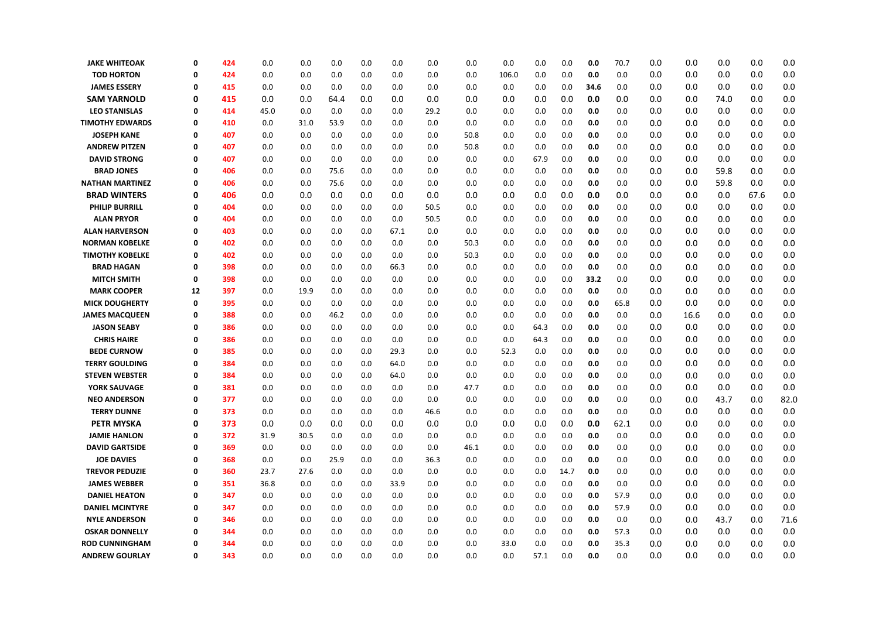| <b>JAKE WHITEOAK</b>   | $\Omega$ | 424 | 0.0  | 0.0  | 0.0  | 0.0 | 0.0  | 0.0  | 0.0  | 0.0   | 0.0  | 0.0  | 0.0  | 70.7 | 0.0 | 0.0  | 0.0  | 0.0  | 0.0  |
|------------------------|----------|-----|------|------|------|-----|------|------|------|-------|------|------|------|------|-----|------|------|------|------|
| <b>TOD HORTON</b>      | 0        | 424 | 0.0  | 0.0  | 0.0  | 0.0 | 0.0  | 0.0  | 0.0  | 106.0 | 0.0  | 0.0  | 0.0  | 0.0  | 0.0 | 0.0  | 0.0  | 0.0  | 0.0  |
| <b>JAMES ESSERY</b>    | $\Omega$ | 415 | 0.0  | 0.0  | 0.0  | 0.0 | 0.0  | 0.0  | 0.0  | 0.0   | 0.0  | 0.0  | 34.6 | 0.0  | 0.0 | 0.0  | 0.0  | 0.0  | 0.0  |
| <b>SAM YARNOLD</b>     | 0        | 415 | 0.0  | 0.0  | 64.4 | 0.0 | 0.0  | 0.0  | 0.0  | 0.0   | 0.0  | 0.0  | 0.0  | 0.0  | 0.0 | 0.0  | 74.0 | 0.0  | 0.0  |
| <b>LEO STANISLAS</b>   | 0        | 414 | 45.0 | 0.0  | 0.0  | 0.0 | 0.0  | 29.2 | 0.0  | 0.0   | 0.0  | 0.0  | 0.0  | 0.0  | 0.0 | 0.0  | 0.0  | 0.0  | 0.0  |
| <b>TIMOTHY EDWARDS</b> | 0        | 410 | 0.0  | 31.0 | 53.9 | 0.0 | 0.0  | 0.0  | 0.0  | 0.0   | 0.0  | 0.0  | 0.0  | 0.0  | 0.0 | 0.0  | 0.0  | 0.0  | 0.0  |
| <b>JOSEPH KANE</b>     | 0        | 407 | 0.0  | 0.0  | 0.0  | 0.0 | 0.0  | 0.0  | 50.8 | 0.0   | 0.0  | 0.0  | 0.0  | 0.0  | 0.0 | 0.0  | 0.0  | 0.0  | 0.0  |
| <b>ANDREW PITZEN</b>   | 0        | 407 | 0.0  | 0.0  | 0.0  | 0.0 | 0.0  | 0.0  | 50.8 | 0.0   | 0.0  | 0.0  | 0.0  | 0.0  | 0.0 | 0.0  | 0.0  | 0.0  | 0.0  |
| <b>DAVID STRONG</b>    | 0        | 407 | 0.0  | 0.0  | 0.0  | 0.0 | 0.0  | 0.0  | 0.0  | 0.0   | 67.9 | 0.0  | 0.0  | 0.0  | 0.0 | 0.0  | 0.0  | 0.0  | 0.0  |
| <b>BRAD JONES</b>      | $\Omega$ | 406 | 0.0  | 0.0  | 75.6 | 0.0 | 0.0  | 0.0  | 0.0  | 0.0   | 0.0  | 0.0  | 0.0  | 0.0  | 0.0 | 0.0  | 59.8 | 0.0  | 0.0  |
| <b>NATHAN MARTINEZ</b> | 0        | 406 | 0.0  | 0.0  | 75.6 | 0.0 | 0.0  | 0.0  | 0.0  | 0.0   | 0.0  | 0.0  | 0.0  | 0.0  | 0.0 | 0.0  | 59.8 | 0.0  | 0.0  |
| <b>BRAD WINTERS</b>    | 0        | 406 | 0.0  | 0.0  | 0.0  | 0.0 | 0.0  | 0.0  | 0.0  | 0.0   | 0.0  | 0.0  | 0.0  | 0.0  | 0.0 | 0.0  | 0.0  | 67.6 | 0.0  |
| <b>PHILIP BURRILL</b>  | 0        | 404 | 0.0  | 0.0  | 0.0  | 0.0 | 0.0  | 50.5 | 0.0  | 0.0   | 0.0  | 0.0  | 0.0  | 0.0  | 0.0 | 0.0  | 0.0  | 0.0  | 0.0  |
| <b>ALAN PRYOR</b>      | 0        | 404 | 0.0  | 0.0  | 0.0  | 0.0 | 0.0  | 50.5 | 0.0  | 0.0   | 0.0  | 0.0  | 0.0  | 0.0  | 0.0 | 0.0  | 0.0  | 0.0  | 0.0  |
| <b>ALAN HARVERSON</b>  | 0        | 403 | 0.0  | 0.0  | 0.0  | 0.0 | 67.1 | 0.0  | 0.0  | 0.0   | 0.0  | 0.0  | 0.0  | 0.0  | 0.0 | 0.0  | 0.0  | 0.0  | 0.0  |
| <b>NORMAN KOBELKE</b>  | 0        | 402 | 0.0  | 0.0  | 0.0  | 0.0 | 0.0  | 0.0  | 50.3 | 0.0   | 0.0  | 0.0  | 0.0  | 0.0  | 0.0 | 0.0  | 0.0  | 0.0  | 0.0  |
| <b>TIMOTHY KOBELKE</b> | 0        | 402 | 0.0  | 0.0  | 0.0  | 0.0 | 0.0  | 0.0  | 50.3 | 0.0   | 0.0  | 0.0  | 0.0  | 0.0  | 0.0 | 0.0  | 0.0  | 0.0  | 0.0  |
| <b>BRAD HAGAN</b>      | 0        | 398 | 0.0  | 0.0  | 0.0  | 0.0 | 66.3 | 0.0  | 0.0  | 0.0   | 0.0  | 0.0  | 0.0  | 0.0  | 0.0 | 0.0  | 0.0  | 0.0  | 0.0  |
| <b>MITCH SMITH</b>     | 0        | 398 | 0.0  | 0.0  | 0.0  | 0.0 | 0.0  | 0.0  | 0.0  | 0.0   | 0.0  | 0.0  | 33.2 | 0.0  | 0.0 | 0.0  | 0.0  | 0.0  | 0.0  |
| <b>MARK COOPER</b>     | 12       | 397 | 0.0  | 19.9 | 0.0  | 0.0 | 0.0  | 0.0  | 0.0  | 0.0   | 0.0  | 0.0  | 0.0  | 0.0  | 0.0 | 0.0  | 0.0  | 0.0  | 0.0  |
| <b>MICK DOUGHERTY</b>  | 0        | 395 | 0.0  | 0.0  | 0.0  | 0.0 | 0.0  | 0.0  | 0.0  | 0.0   | 0.0  | 0.0  | 0.0  | 65.8 | 0.0 | 0.0  | 0.0  | 0.0  | 0.0  |
| <b>JAMES MACQUEEN</b>  | 0        | 388 | 0.0  | 0.0  | 46.2 | 0.0 | 0.0  | 0.0  | 0.0  | 0.0   | 0.0  | 0.0  | 0.0  | 0.0  | 0.0 | 16.6 | 0.0  | 0.0  | 0.0  |
| <b>JASON SEABY</b>     | 0        | 386 | 0.0  | 0.0  | 0.0  | 0.0 | 0.0  | 0.0  | 0.0  | 0.0   | 64.3 | 0.0  | 0.0  | 0.0  | 0.0 | 0.0  | 0.0  | 0.0  | 0.0  |
| <b>CHRIS HAIRE</b>     | 0        | 386 | 0.0  | 0.0  | 0.0  | 0.0 | 0.0  | 0.0  | 0.0  | 0.0   | 64.3 | 0.0  | 0.0  | 0.0  | 0.0 | 0.0  | 0.0  | 0.0  | 0.0  |
| <b>BEDE CURNOW</b>     | $\Omega$ | 385 | 0.0  | 0.0  | 0.0  | 0.0 | 29.3 | 0.0  | 0.0  | 52.3  | 0.0  | 0.0  | 0.0  | 0.0  | 0.0 | 0.0  | 0.0  | 0.0  | 0.0  |
| <b>TERRY GOULDING</b>  | $\Omega$ | 384 | 0.0  | 0.0  | 0.0  | 0.0 | 64.0 | 0.0  | 0.0  | 0.0   | 0.0  | 0.0  | 0.0  | 0.0  | 0.0 | 0.0  | 0.0  | 0.0  | 0.0  |
| <b>STEVEN WEBSTER</b>  | 0        | 384 | 0.0  | 0.0  | 0.0  | 0.0 | 64.0 | 0.0  | 0.0  | 0.0   | 0.0  | 0.0  | 0.0  | 0.0  | 0.0 | 0.0  | 0.0  | 0.0  | 0.0  |
| YORK SAUVAGE           | 0        | 381 | 0.0  | 0.0  | 0.0  | 0.0 | 0.0  | 0.0  | 47.7 | 0.0   | 0.0  | 0.0  | 0.0  | 0.0  | 0.0 | 0.0  | 0.0  | 0.0  | 0.0  |
| <b>NEO ANDERSON</b>    | 0        | 377 | 0.0  | 0.0  | 0.0  | 0.0 | 0.0  | 0.0  | 0.0  | 0.0   | 0.0  | 0.0  | 0.0  | 0.0  | 0.0 | 0.0  | 43.7 | 0.0  | 82.0 |
| <b>TERRY DUNNE</b>     | 0        | 373 | 0.0  | 0.0  | 0.0  | 0.0 | 0.0  | 46.6 | 0.0  | 0.0   | 0.0  | 0.0  | 0.0  | 0.0  | 0.0 | 0.0  | 0.0  | 0.0  | 0.0  |
| <b>PETR MYSKA</b>      | 0        | 373 | 0.0  | 0.0  | 0.0  | 0.0 | 0.0  | 0.0  | 0.0  | 0.0   | 0.0  | 0.0  | 0.0  | 62.1 | 0.0 | 0.0  | 0.0  | 0.0  | 0.0  |
| <b>JAMIE HANLON</b>    | $\Omega$ | 372 | 31.9 | 30.5 | 0.0  | 0.0 | 0.0  | 0.0  | 0.0  | 0.0   | 0.0  | 0.0  | 0.0  | 0.0  | 0.0 | 0.0  | 0.0  | 0.0  | 0.0  |
| <b>DAVID GARTSIDE</b>  | 0        | 369 | 0.0  | 0.0  | 0.0  | 0.0 | 0.0  | 0.0  | 46.1 | 0.0   | 0.0  | 0.0  | 0.0  | 0.0  | 0.0 | 0.0  | 0.0  | 0.0  | 0.0  |
| <b>JOE DAVIES</b>      | 0        | 368 | 0.0  | 0.0  | 25.9 | 0.0 | 0.0  | 36.3 | 0.0  | 0.0   | 0.0  | 0.0  | 0.0  | 0.0  | 0.0 | 0.0  | 0.0  | 0.0  | 0.0  |
| <b>TREVOR PEDUZIE</b>  | 0        | 360 | 23.7 | 27.6 | 0.0  | 0.0 | 0.0  | 0.0  | 0.0  | 0.0   | 0.0  | 14.7 | 0.0  | 0.0  | 0.0 | 0.0  | 0.0  | 0.0  | 0.0  |
| <b>JAMES WEBBER</b>    | 0        | 351 | 36.8 | 0.0  | 0.0  | 0.0 | 33.9 | 0.0  | 0.0  | 0.0   | 0.0  | 0.0  | 0.0  | 0.0  | 0.0 | 0.0  | 0.0  | 0.0  | 0.0  |
| <b>DANIEL HEATON</b>   | 0        | 347 | 0.0  | 0.0  | 0.0  | 0.0 | 0.0  | 0.0  | 0.0  | 0.0   | 0.0  | 0.0  | 0.0  | 57.9 | 0.0 | 0.0  | 0.0  | 0.0  | 0.0  |
| <b>DANIEL MCINTYRE</b> | 0        | 347 | 0.0  | 0.0  | 0.0  | 0.0 | 0.0  | 0.0  | 0.0  | 0.0   | 0.0  | 0.0  | 0.0  | 57.9 | 0.0 | 0.0  | 0.0  | 0.0  | 0.0  |
| <b>NYLE ANDERSON</b>   | 0        | 346 | 0.0  | 0.0  | 0.0  | 0.0 | 0.0  | 0.0  | 0.0  | 0.0   | 0.0  | 0.0  | 0.0  | 0.0  | 0.0 | 0.0  | 43.7 | 0.0  | 71.6 |
| <b>OSKAR DONNELLY</b>  | 0        | 344 | 0.0  | 0.0  | 0.0  | 0.0 | 0.0  | 0.0  | 0.0  | 0.0   | 0.0  | 0.0  | 0.0  | 57.3 | 0.0 | 0.0  | 0.0  | 0.0  | 0.0  |
| <b>ROD CUNNINGHAM</b>  | Ω        | 344 | 0.0  | 0.0  | 0.0  | 0.0 | 0.0  | 0.0  | 0.0  | 33.0  | 0.0  | 0.0  | 0.0  | 35.3 | 0.0 | 0.0  | 0.0  | 0.0  | 0.0  |
| <b>ANDREW GOURLAY</b>  | $\Omega$ | 343 | 0.0  | 0.0  | 0.0  | 0.0 | 0.0  | 0.0  | 0.0  | 0.0   | 57.1 | 0.0  | 0.0  | 0.0  | 0.0 | 0.0  | 0.0  | 0.0  | 0.0  |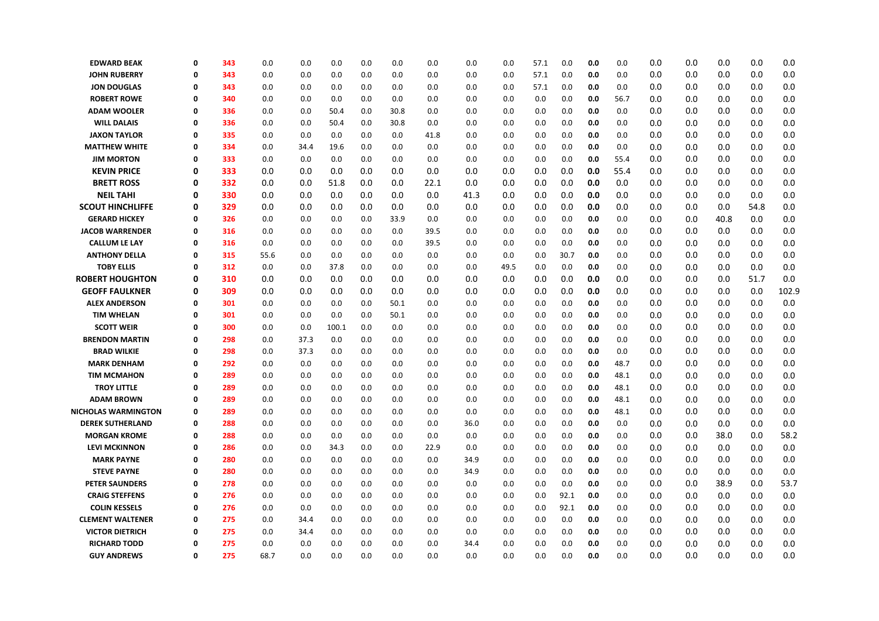| <b>EDWARD BEAK</b>      | $\mathbf 0$ | 343 | 0.0  | 0.0  | 0.0   | 0.0 | 0.0  | 0.0  | 0.0  | 0.0  | 57.1 | 0.0  | 0.0 | 0.0  | 0.0 | 0.0 | 0.0  | 0.0  | 0.0   |
|-------------------------|-------------|-----|------|------|-------|-----|------|------|------|------|------|------|-----|------|-----|-----|------|------|-------|
| <b>JOHN RUBERRY</b>     | 0           | 343 | 0.0  | 0.0  | 0.0   | 0.0 | 0.0  | 0.0  | 0.0  | 0.0  | 57.1 | 0.0  | 0.0 | 0.0  | 0.0 | 0.0 | 0.0  | 0.0  | 0.0   |
| <b>JON DOUGLAS</b>      | 0           | 343 | 0.0  | 0.0  | 0.0   | 0.0 | 0.0  | 0.0  | 0.0  | 0.0  | 57.1 | 0.0  | 0.0 | 0.0  | 0.0 | 0.0 | 0.0  | 0.0  | 0.0   |
| <b>ROBERT ROWE</b>      | 0           | 340 | 0.0  | 0.0  | 0.0   | 0.0 | 0.0  | 0.0  | 0.0  | 0.0  | 0.0  | 0.0  | 0.0 | 56.7 | 0.0 | 0.0 | 0.0  | 0.0  | 0.0   |
| <b>ADAM WOOLER</b>      | 0           | 336 | 0.0  | 0.0  | 50.4  | 0.0 | 30.8 | 0.0  | 0.0  | 0.0  | 0.0  | 0.0  | 0.0 | 0.0  | 0.0 | 0.0 | 0.0  | 0.0  | 0.0   |
| <b>WILL DALAIS</b>      | $\mathbf 0$ | 336 | 0.0  | 0.0  | 50.4  | 0.0 | 30.8 | 0.0  | 0.0  | 0.0  | 0.0  | 0.0  | 0.0 | 0.0  | 0.0 | 0.0 | 0.0  | 0.0  | 0.0   |
| <b>JAXON TAYLOR</b>     | 0           | 335 | 0.0  | 0.0  | 0.0   | 0.0 | 0.0  | 41.8 | 0.0  | 0.0  | 0.0  | 0.0  | 0.0 | 0.0  | 0.0 | 0.0 | 0.0  | 0.0  | 0.0   |
| <b>MATTHEW WHITE</b>    | 0           | 334 | 0.0  | 34.4 | 19.6  | 0.0 | 0.0  | 0.0  | 0.0  | 0.0  | 0.0  | 0.0  | 0.0 | 0.0  | 0.0 | 0.0 | 0.0  | 0.0  | 0.0   |
| <b>JIM MORTON</b>       | 0           | 333 | 0.0  | 0.0  | 0.0   | 0.0 | 0.0  | 0.0  | 0.0  | 0.0  | 0.0  | 0.0  | 0.0 | 55.4 | 0.0 | 0.0 | 0.0  | 0.0  | 0.0   |
| <b>KEVIN PRICE</b>      | 0           | 333 | 0.0  | 0.0  | 0.0   | 0.0 | 0.0  | 0.0  | 0.0  | 0.0  | 0.0  | 0.0  | 0.0 | 55.4 | 0.0 | 0.0 | 0.0  | 0.0  | 0.0   |
| <b>BRETT ROSS</b>       | 0           | 332 | 0.0  | 0.0  | 51.8  | 0.0 | 0.0  | 22.1 | 0.0  | 0.0  | 0.0  | 0.0  | 0.0 | 0.0  | 0.0 | 0.0 | 0.0  | 0.0  | 0.0   |
| <b>NEIL TAHI</b>        | $\mathbf 0$ | 330 | 0.0  | 0.0  | 0.0   | 0.0 | 0.0  | 0.0  | 41.3 | 0.0  | 0.0  | 0.0  | 0.0 | 0.0  | 0.0 | 0.0 | 0.0  | 0.0  | 0.0   |
| <b>SCOUT HINCHLIFFE</b> | 0           | 329 | 0.0  | 0.0  | 0.0   | 0.0 | 0.0  | 0.0  | 0.0  | 0.0  | 0.0  | 0.0  | 0.0 | 0.0  | 0.0 | 0.0 | 0.0  | 54.8 | 0.0   |
| <b>GERARD HICKEY</b>    | 0           | 326 | 0.0  | 0.0  | 0.0   | 0.0 | 33.9 | 0.0  | 0.0  | 0.0  | 0.0  | 0.0  | 0.0 | 0.0  | 0.0 | 0.0 | 40.8 | 0.0  | 0.0   |
| <b>JACOB WARRENDER</b>  | 0           | 316 | 0.0  | 0.0  | 0.0   | 0.0 | 0.0  | 39.5 | 0.0  | 0.0  | 0.0  | 0.0  | 0.0 | 0.0  | 0.0 | 0.0 | 0.0  | 0.0  | 0.0   |
| <b>CALLUM LE LAY</b>    | 0           | 316 | 0.0  | 0.0  | 0.0   | 0.0 | 0.0  | 39.5 | 0.0  | 0.0  | 0.0  | 0.0  | 0.0 | 0.0  | 0.0 | 0.0 | 0.0  | 0.0  | 0.0   |
| <b>ANTHONY DELLA</b>    | 0           | 315 | 55.6 | 0.0  | 0.0   | 0.0 | 0.0  | 0.0  | 0.0  | 0.0  | 0.0  | 30.7 | 0.0 | 0.0  | 0.0 | 0.0 | 0.0  | 0.0  | 0.0   |
| <b>TOBY ELLIS</b>       | 0           | 312 | 0.0  | 0.0  | 37.8  | 0.0 | 0.0  | 0.0  | 0.0  | 49.5 | 0.0  | 0.0  | 0.0 | 0.0  | 0.0 | 0.0 | 0.0  | 0.0  | 0.0   |
| <b>ROBERT HOUGHTON</b>  | $\mathbf 0$ | 310 | 0.0  | 0.0  | 0.0   | 0.0 | 0.0  | 0.0  | 0.0  | 0.0  | 0.0  | 0.0  | 0.0 | 0.0  | 0.0 | 0.0 | 0.0  | 51.7 | 0.0   |
| <b>GEOFF FAULKNER</b>   | $\mathbf 0$ | 309 | 0.0  | 0.0  | 0.0   | 0.0 | 0.0  | 0.0  | 0.0  | 0.0  | 0.0  | 0.0  | 0.0 | 0.0  | 0.0 | 0.0 | 0.0  | 0.0  | 102.9 |
| <b>ALEX ANDERSON</b>    | 0           | 301 | 0.0  | 0.0  | 0.0   | 0.0 | 50.1 | 0.0  | 0.0  | 0.0  | 0.0  | 0.0  | 0.0 | 0.0  | 0.0 | 0.0 | 0.0  | 0.0  | 0.0   |
| <b>TIM WHELAN</b>       | 0           | 301 | 0.0  | 0.0  | 0.0   | 0.0 | 50.1 | 0.0  | 0.0  | 0.0  | 0.0  | 0.0  | 0.0 | 0.0  | 0.0 | 0.0 | 0.0  | 0.0  | 0.0   |
| <b>SCOTT WEIR</b>       | 0           | 300 | 0.0  | 0.0  | 100.1 | 0.0 | 0.0  | 0.0  | 0.0  | 0.0  | 0.0  | 0.0  | 0.0 | 0.0  | 0.0 | 0.0 | 0.0  | 0.0  | 0.0   |
| <b>BRENDON MARTIN</b>   | $\mathbf 0$ | 298 | 0.0  | 37.3 | 0.0   | 0.0 | 0.0  | 0.0  | 0.0  | 0.0  | 0.0  | 0.0  | 0.0 | 0.0  | 0.0 | 0.0 | 0.0  | 0.0  | 0.0   |
| <b>BRAD WILKIE</b>      | 0           | 298 | 0.0  | 37.3 | 0.0   | 0.0 | 0.0  | 0.0  | 0.0  | 0.0  | 0.0  | 0.0  | 0.0 | 0.0  | 0.0 | 0.0 | 0.0  | 0.0  | 0.0   |
| <b>MARK DENHAM</b>      | 0           | 292 | 0.0  | 0.0  | 0.0   | 0.0 | 0.0  | 0.0  | 0.0  | 0.0  | 0.0  | 0.0  | 0.0 | 48.7 | 0.0 | 0.0 | 0.0  | 0.0  | 0.0   |
| <b>TIM MCMAHON</b>      | $\mathbf 0$ | 289 | 0.0  | 0.0  | 0.0   | 0.0 | 0.0  | 0.0  | 0.0  | 0.0  | 0.0  | 0.0  | 0.0 | 48.1 | 0.0 | 0.0 | 0.0  | 0.0  | 0.0   |
| <b>TROY LITTLE</b>      | 0           | 289 | 0.0  | 0.0  | 0.0   | 0.0 | 0.0  | 0.0  | 0.0  | 0.0  | 0.0  | 0.0  | 0.0 | 48.1 | 0.0 | 0.0 | 0.0  | 0.0  | 0.0   |
| <b>ADAM BROWN</b>       | 0           | 289 | 0.0  | 0.0  | 0.0   | 0.0 | 0.0  | 0.0  | 0.0  | 0.0  | 0.0  | 0.0  | 0.0 | 48.1 | 0.0 | 0.0 | 0.0  | 0.0  | 0.0   |
| NICHOLAS WARMINGTON     | $\mathbf 0$ | 289 | 0.0  | 0.0  | 0.0   | 0.0 | 0.0  | 0.0  | 0.0  | 0.0  | 0.0  | 0.0  | 0.0 | 48.1 | 0.0 | 0.0 | 0.0  | 0.0  | 0.0   |
| <b>DEREK SUTHERLAND</b> | 0           | 288 | 0.0  | 0.0  | 0.0   | 0.0 | 0.0  | 0.0  | 36.0 | 0.0  | 0.0  | 0.0  | 0.0 | 0.0  | 0.0 | 0.0 | 0.0  | 0.0  | 0.0   |
| <b>MORGAN KROME</b>     | 0           | 288 | 0.0  | 0.0  | 0.0   | 0.0 | 0.0  | 0.0  | 0.0  | 0.0  | 0.0  | 0.0  | 0.0 | 0.0  | 0.0 | 0.0 | 38.0 | 0.0  | 58.2  |
| <b>LEVI MCKINNON</b>    | 0           | 286 | 0.0  | 0.0  | 34.3  | 0.0 | 0.0  | 22.9 | 0.0  | 0.0  | 0.0  | 0.0  | 0.0 | 0.0  | 0.0 | 0.0 | 0.0  | 0.0  | 0.0   |
| <b>MARK PAYNE</b>       | 0           | 280 | 0.0  | 0.0  | 0.0   | 0.0 | 0.0  | 0.0  | 34.9 | 0.0  | 0.0  | 0.0  | 0.0 | 0.0  | 0.0 | 0.0 | 0.0  | 0.0  | 0.0   |
| <b>STEVE PAYNE</b>      | $\mathbf 0$ | 280 | 0.0  | 0.0  | 0.0   | 0.0 | 0.0  | 0.0  | 34.9 | 0.0  | 0.0  | 0.0  | 0.0 | 0.0  | 0.0 | 0.0 | 0.0  | 0.0  | 0.0   |
| <b>PETER SAUNDERS</b>   | 0           | 278 | 0.0  | 0.0  | 0.0   | 0.0 | 0.0  | 0.0  | 0.0  | 0.0  | 0.0  | 0.0  | 0.0 | 0.0  | 0.0 | 0.0 | 38.9 | 0.0  | 53.7  |
| <b>CRAIG STEFFENS</b>   | $\mathbf 0$ | 276 | 0.0  | 0.0  | 0.0   | 0.0 | 0.0  | 0.0  | 0.0  | 0.0  | 0.0  | 92.1 | 0.0 | 0.0  | 0.0 | 0.0 | 0.0  | 0.0  | 0.0   |
| <b>COLIN KESSELS</b>    | $\mathbf 0$ | 276 | 0.0  | 0.0  | 0.0   | 0.0 | 0.0  | 0.0  | 0.0  | 0.0  | 0.0  | 92.1 | 0.0 | 0.0  | 0.0 | 0.0 | 0.0  | 0.0  | 0.0   |
| <b>CLEMENT WALTENER</b> | 0           | 275 | 0.0  | 34.4 | 0.0   | 0.0 | 0.0  | 0.0  | 0.0  | 0.0  | 0.0  | 0.0  | 0.0 | 0.0  | 0.0 | 0.0 | 0.0  | 0.0  | 0.0   |
| <b>VICTOR DIETRICH</b>  | 0           | 275 | 0.0  | 34.4 | 0.0   | 0.0 | 0.0  | 0.0  | 0.0  | 0.0  | 0.0  | 0.0  | 0.0 | 0.0  | 0.0 | 0.0 | 0.0  | 0.0  | 0.0   |
| <b>RICHARD TODD</b>     | 0           | 275 | 0.0  | 0.0  | 0.0   | 0.0 | 0.0  | 0.0  | 34.4 | 0.0  | 0.0  | 0.0  | 0.0 | 0.0  | 0.0 | 0.0 | 0.0  | 0.0  | 0.0   |
| <b>GUY ANDREWS</b>      | $\mathbf 0$ | 275 | 68.7 | 0.0  | 0.0   | 0.0 | 0.0  | 0.0  | 0.0  | 0.0  | 0.0  | 0.0  | 0.0 | 0.0  | 0.0 | 0.0 | 0.0  | 0.0  | 0.0   |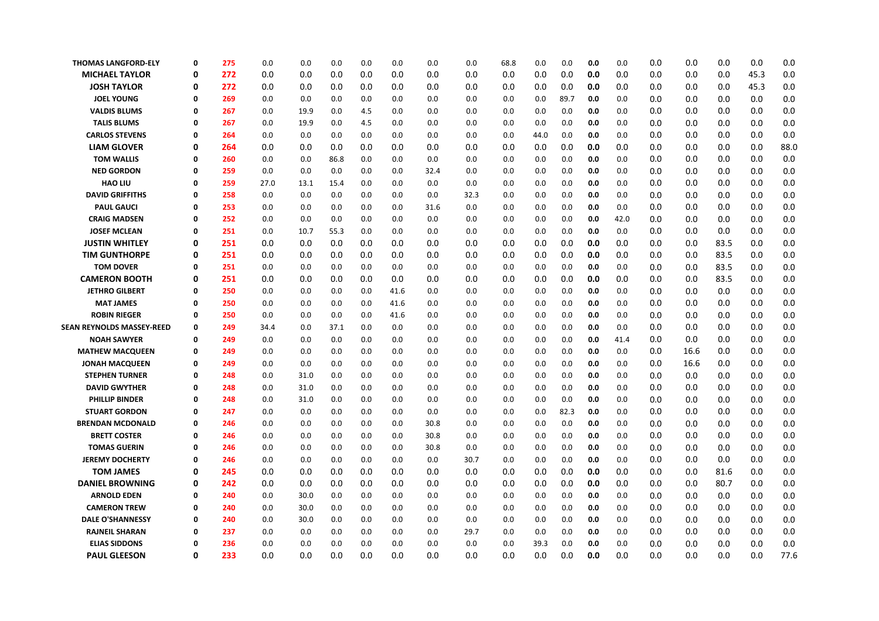| <b>THOMAS LANGFORD-ELY</b> | 0        | 275 | 0.0  | 0.0  | 0.0  | 0.0 | 0.0  | 0.0  | 0.0  | 68.8 | 0.0  | 0.0  | 0.0 | 0.0  | 0.0 | 0.0  | 0.0  | 0.0  | 0.0  |
|----------------------------|----------|-----|------|------|------|-----|------|------|------|------|------|------|-----|------|-----|------|------|------|------|
| <b>MICHAEL TAYLOR</b>      | 0        | 272 | 0.0  | 0.0  | 0.0  | 0.0 | 0.0  | 0.0  | 0.0  | 0.0  | 0.0  | 0.0  | 0.0 | 0.0  | 0.0 | 0.0  | 0.0  | 45.3 | 0.0  |
| <b>JOSH TAYLOR</b>         | 0        | 272 | 0.0  | 0.0  | 0.0  | 0.0 | 0.0  | 0.0  | 0.0  | 0.0  | 0.0  | 0.0  | 0.0 | 0.0  | 0.0 | 0.0  | 0.0  | 45.3 | 0.0  |
| <b>JOEL YOUNG</b>          | 0        | 269 | 0.0  | 0.0  | 0.0  | 0.0 | 0.0  | 0.0  | 0.0  | 0.0  | 0.0  | 89.7 | 0.0 | 0.0  | 0.0 | 0.0  | 0.0  | 0.0  | 0.0  |
| <b>VALDIS BLUMS</b>        | 0        | 267 | 0.0  | 19.9 | 0.0  | 4.5 | 0.0  | 0.0  | 0.0  | 0.0  | 0.0  | 0.0  | 0.0 | 0.0  | 0.0 | 0.0  | 0.0  | 0.0  | 0.0  |
| <b>TALIS BLUMS</b>         | 0        | 267 | 0.0  | 19.9 | 0.0  | 4.5 | 0.0  | 0.0  | 0.0  | 0.0  | 0.0  | 0.0  | 0.0 | 0.0  | 0.0 | 0.0  | 0.0  | 0.0  | 0.0  |
| <b>CARLOS STEVENS</b>      | 0        | 264 | 0.0  | 0.0  | 0.0  | 0.0 | 0.0  | 0.0  | 0.0  | 0.0  | 44.0 | 0.0  | 0.0 | 0.0  | 0.0 | 0.0  | 0.0  | 0.0  | 0.0  |
| <b>LIAM GLOVER</b>         | 0        | 264 | 0.0  | 0.0  | 0.0  | 0.0 | 0.0  | 0.0  | 0.0  | 0.0  | 0.0  | 0.0  | 0.0 | 0.0  | 0.0 | 0.0  | 0.0  | 0.0  | 88.0 |
| <b>TOM WALLIS</b>          | 0        | 260 | 0.0  | 0.0  | 86.8 | 0.0 | 0.0  | 0.0  | 0.0  | 0.0  | 0.0  | 0.0  | 0.0 | 0.0  | 0.0 | 0.0  | 0.0  | 0.0  | 0.0  |
| <b>NED GORDON</b>          | 0        | 259 | 0.0  | 0.0  | 0.0  | 0.0 | 0.0  | 32.4 | 0.0  | 0.0  | 0.0  | 0.0  | 0.0 | 0.0  | 0.0 | 0.0  | 0.0  | 0.0  | 0.0  |
| <b>HAO LIU</b>             | 0        | 259 | 27.0 | 13.1 | 15.4 | 0.0 | 0.0  | 0.0  | 0.0  | 0.0  | 0.0  | 0.0  | 0.0 | 0.0  | 0.0 | 0.0  | 0.0  | 0.0  | 0.0  |
| <b>DAVID GRIFFITHS</b>     | 0        | 258 | 0.0  | 0.0  | 0.0  | 0.0 | 0.0  | 0.0  | 32.3 | 0.0  | 0.0  | 0.0  | 0.0 | 0.0  | 0.0 | 0.0  | 0.0  | 0.0  | 0.0  |
| <b>PAUL GAUCI</b>          | 0        | 253 | 0.0  | 0.0  | 0.0  | 0.0 | 0.0  | 31.6 | 0.0  | 0.0  | 0.0  | 0.0  | 0.0 | 0.0  | 0.0 | 0.0  | 0.0  | 0.0  | 0.0  |
| <b>CRAIG MADSEN</b>        | 0        | 252 | 0.0  | 0.0  | 0.0  | 0.0 | 0.0  | 0.0  | 0.0  | 0.0  | 0.0  | 0.0  | 0.0 | 42.0 | 0.0 | 0.0  | 0.0  | 0.0  | 0.0  |
| <b>JOSEF MCLEAN</b>        | 0        | 251 | 0.0  | 10.7 | 55.3 | 0.0 | 0.0  | 0.0  | 0.0  | 0.0  | 0.0  | 0.0  | 0.0 | 0.0  | 0.0 | 0.0  | 0.0  | 0.0  | 0.0  |
| <b>JUSTIN WHITLEY</b>      | 0        | 251 | 0.0  | 0.0  | 0.0  | 0.0 | 0.0  | 0.0  | 0.0  | 0.0  | 0.0  | 0.0  | 0.0 | 0.0  | 0.0 | 0.0  | 83.5 | 0.0  | 0.0  |
| <b>TIM GUNTHORPE</b>       | 0        | 251 | 0.0  | 0.0  | 0.0  | 0.0 | 0.0  | 0.0  | 0.0  | 0.0  | 0.0  | 0.0  | 0.0 | 0.0  | 0.0 | 0.0  | 83.5 | 0.0  | 0.0  |
| <b>TOM DOVER</b>           | 0        | 251 | 0.0  | 0.0  | 0.0  | 0.0 | 0.0  | 0.0  | 0.0  | 0.0  | 0.0  | 0.0  | 0.0 | 0.0  | 0.0 | 0.0  | 83.5 | 0.0  | 0.0  |
| <b>CAMERON BOOTH</b>       | 0        | 251 | 0.0  | 0.0  | 0.0  | 0.0 | 0.0  | 0.0  | 0.0  | 0.0  | 0.0  | 0.0  | 0.0 | 0.0  | 0.0 | 0.0  | 83.5 | 0.0  | 0.0  |
| <b>JETHRO GILBERT</b>      | 0        | 250 | 0.0  | 0.0  | 0.0  | 0.0 | 41.6 | 0.0  | 0.0  | 0.0  | 0.0  | 0.0  | 0.0 | 0.0  | 0.0 | 0.0  | 0.0  | 0.0  | 0.0  |
| <b>MAT JAMES</b>           | 0        | 250 | 0.0  | 0.0  | 0.0  | 0.0 | 41.6 | 0.0  | 0.0  | 0.0  | 0.0  | 0.0  | 0.0 | 0.0  | 0.0 | 0.0  | 0.0  | 0.0  | 0.0  |
| <b>ROBIN RIEGER</b>        | 0        | 250 | 0.0  | 0.0  | 0.0  | 0.0 | 41.6 | 0.0  | 0.0  | 0.0  | 0.0  | 0.0  | 0.0 | 0.0  | 0.0 | 0.0  | 0.0  | 0.0  | 0.0  |
| SEAN REYNOLDS MASSEY-REED  | 0        | 249 | 34.4 | 0.0  | 37.1 | 0.0 | 0.0  | 0.0  | 0.0  | 0.0  | 0.0  | 0.0  | 0.0 | 0.0  | 0.0 | 0.0  | 0.0  | 0.0  | 0.0  |
| <b>NOAH SAWYER</b>         | 0        | 249 | 0.0  | 0.0  | 0.0  | 0.0 | 0.0  | 0.0  | 0.0  | 0.0  | 0.0  | 0.0  | 0.0 | 41.4 | 0.0 | 0.0  | 0.0  | 0.0  | 0.0  |
| <b>MATHEW MACQUEEN</b>     | 0        | 249 | 0.0  | 0.0  | 0.0  | 0.0 | 0.0  | 0.0  | 0.0  | 0.0  | 0.0  | 0.0  | 0.0 | 0.0  | 0.0 | 16.6 | 0.0  | 0.0  | 0.0  |
| <b>JONAH MACQUEEN</b>      | 0        | 249 | 0.0  | 0.0  | 0.0  | 0.0 | 0.0  | 0.0  | 0.0  | 0.0  | 0.0  | 0.0  | 0.0 | 0.0  | 0.0 | 16.6 | 0.0  | 0.0  | 0.0  |
| <b>STEPHEN TURNER</b>      | 0        | 248 | 0.0  | 31.0 | 0.0  | 0.0 | 0.0  | 0.0  | 0.0  | 0.0  | 0.0  | 0.0  | 0.0 | 0.0  | 0.0 | 0.0  | 0.0  | 0.0  | 0.0  |
| <b>DAVID GWYTHER</b>       | 0        | 248 | 0.0  | 31.0 | 0.0  | 0.0 | 0.0  | 0.0  | 0.0  | 0.0  | 0.0  | 0.0  | 0.0 | 0.0  | 0.0 | 0.0  | 0.0  | 0.0  | 0.0  |
| <b>PHILLIP BINDER</b>      | 0        | 248 | 0.0  | 31.0 | 0.0  | 0.0 | 0.0  | 0.0  | 0.0  | 0.0  | 0.0  | 0.0  | 0.0 | 0.0  | 0.0 | 0.0  | 0.0  | 0.0  | 0.0  |
| <b>STUART GORDON</b>       | 0        | 247 | 0.0  | 0.0  | 0.0  | 0.0 | 0.0  | 0.0  | 0.0  | 0.0  | 0.0  | 82.3 | 0.0 | 0.0  | 0.0 | 0.0  | 0.0  | 0.0  | 0.0  |
| <b>BRENDAN MCDONALD</b>    | 0        | 246 | 0.0  | 0.0  | 0.0  | 0.0 | 0.0  | 30.8 | 0.0  | 0.0  | 0.0  | 0.0  | 0.0 | 0.0  | 0.0 | 0.0  | 0.0  | 0.0  | 0.0  |
| <b>BRETT COSTER</b>        | 0        | 246 | 0.0  | 0.0  | 0.0  | 0.0 | 0.0  | 30.8 | 0.0  | 0.0  | 0.0  | 0.0  | 0.0 | 0.0  | 0.0 | 0.0  | 0.0  | 0.0  | 0.0  |
| <b>TOMAS GUERIN</b>        | 0        | 246 | 0.0  | 0.0  | 0.0  | 0.0 | 0.0  | 30.8 | 0.0  | 0.0  | 0.0  | 0.0  | 0.0 | 0.0  | 0.0 | 0.0  | 0.0  | 0.0  | 0.0  |
| <b>JEREMY DOCHERTY</b>     | $\Omega$ | 246 | 0.0  | 0.0  | 0.0  | 0.0 | 0.0  | 0.0  | 30.7 | 0.0  | 0.0  | 0.0  | 0.0 | 0.0  | 0.0 | 0.0  | 0.0  | 0.0  | 0.0  |
| <b>TOM JAMES</b>           | 0        | 245 | 0.0  | 0.0  | 0.0  | 0.0 | 0.0  | 0.0  | 0.0  | 0.0  | 0.0  | 0.0  | 0.0 | 0.0  | 0.0 | 0.0  | 81.6 | 0.0  | 0.0  |
| <b>DANIEL BROWNING</b>     | 0        | 242 | 0.0  | 0.0  | 0.0  | 0.0 | 0.0  | 0.0  | 0.0  | 0.0  | 0.0  | 0.0  | 0.0 | 0.0  | 0.0 | 0.0  | 80.7 | 0.0  | 0.0  |
| <b>ARNOLD EDEN</b>         | 0        | 240 | 0.0  | 30.0 | 0.0  | 0.0 | 0.0  | 0.0  | 0.0  | 0.0  | 0.0  | 0.0  | 0.0 | 0.0  | 0.0 | 0.0  | 0.0  | 0.0  | 0.0  |
| <b>CAMERON TREW</b>        | 0        | 240 | 0.0  | 30.0 | 0.0  | 0.0 | 0.0  | 0.0  | 0.0  | 0.0  | 0.0  | 0.0  | 0.0 | 0.0  | 0.0 | 0.0  | 0.0  | 0.0  | 0.0  |
| <b>DALE O'SHANNESSY</b>    | 0        | 240 | 0.0  | 30.0 | 0.0  | 0.0 | 0.0  | 0.0  | 0.0  | 0.0  | 0.0  | 0.0  | 0.0 | 0.0  | 0.0 | 0.0  | 0.0  | 0.0  | 0.0  |
| <b>RAJNEIL SHARAN</b>      | 0        | 237 | 0.0  | 0.0  | 0.0  | 0.0 | 0.0  | 0.0  | 29.7 | 0.0  | 0.0  | 0.0  | 0.0 | 0.0  | 0.0 | 0.0  | 0.0  | 0.0  | 0.0  |
| <b>ELIAS SIDDONS</b>       | 0        | 236 | 0.0  | 0.0  | 0.0  | 0.0 | 0.0  | 0.0  | 0.0  | 0.0  | 39.3 | 0.0  | 0.0 | 0.0  | 0.0 | 0.0  | 0.0  | 0.0  | 0.0  |
| <b>PAUL GLEESON</b>        | 0        | 233 | 0.0  | 0.0  | 0.0  | 0.0 | 0.0  | 0.0  | 0.0  | 0.0  | 0.0  | 0.0  | 0.0 | 0.0  | 0.0 | 0.0  | 0.0  | 0.0  | 77.6 |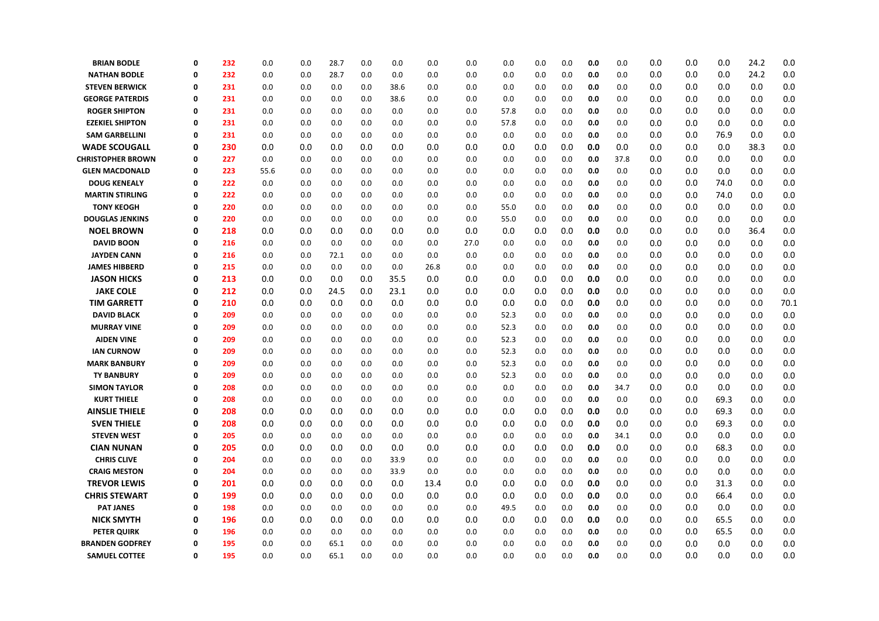| <b>BRIAN BODLE</b>       | 0        | 232 | 0.0  | 0.0 | 28.7 | 0.0 | 0.0  | 0.0  | 0.0  | 0.0  | 0.0 | 0.0 | 0.0 | 0.0  | 0.0 | 0.0 | 0.0  | 24.2 | 0.0  |
|--------------------------|----------|-----|------|-----|------|-----|------|------|------|------|-----|-----|-----|------|-----|-----|------|------|------|
| <b>NATHAN BODLE</b>      | 0        | 232 | 0.0  | 0.0 | 28.7 | 0.0 | 0.0  | 0.0  | 0.0  | 0.0  | 0.0 | 0.0 | 0.0 | 0.0  | 0.0 | 0.0 | 0.0  | 24.2 | 0.0  |
| <b>STEVEN BERWICK</b>    | 0        | 231 | 0.0  | 0.0 | 0.0  | 0.0 | 38.6 | 0.0  | 0.0  | 0.0  | 0.0 | 0.0 | 0.0 | 0.0  | 0.0 | 0.0 | 0.0  | 0.0  | 0.0  |
| <b>GEORGE PATERDIS</b>   | 0        | 231 | 0.0  | 0.0 | 0.0  | 0.0 | 38.6 | 0.0  | 0.0  | 0.0  | 0.0 | 0.0 | 0.0 | 0.0  | 0.0 | 0.0 | 0.0  | 0.0  | 0.0  |
| <b>ROGER SHIPTON</b>     | $\Omega$ | 231 | 0.0  | 0.0 | 0.0  | 0.0 | 0.0  | 0.0  | 0.0  | 57.8 | 0.0 | 0.0 | 0.0 | 0.0  | 0.0 | 0.0 | 0.0  | 0.0  | 0.0  |
| <b>EZEKIEL SHIPTON</b>   | $\Omega$ | 231 | 0.0  | 0.0 | 0.0  | 0.0 | 0.0  | 0.0  | 0.0  | 57.8 | 0.0 | 0.0 | 0.0 | 0.0  | 0.0 | 0.0 | 0.0  | 0.0  | 0.0  |
| <b>SAM GARBELLINI</b>    | Ω        | 231 | 0.0  | 0.0 | 0.0  | 0.0 | 0.0  | 0.0  | 0.0  | 0.0  | 0.0 | 0.0 | 0.0 | 0.0  | 0.0 | 0.0 | 76.9 | 0.0  | 0.0  |
| <b>WADE SCOUGALL</b>     | 0        | 230 | 0.0  | 0.0 | 0.0  | 0.0 | 0.0  | 0.0  | 0.0  | 0.0  | 0.0 | 0.0 | 0.0 | 0.0  | 0.0 | 0.0 | 0.0  | 38.3 | 0.0  |
| <b>CHRISTOPHER BROWN</b> | 0        | 227 | 0.0  | 0.0 | 0.0  | 0.0 | 0.0  | 0.0  | 0.0  | 0.0  | 0.0 | 0.0 | 0.0 | 37.8 | 0.0 | 0.0 | 0.0  | 0.0  | 0.0  |
| <b>GLEN MACDONALD</b>    | 0        | 223 | 55.6 | 0.0 | 0.0  | 0.0 | 0.0  | 0.0  | 0.0  | 0.0  | 0.0 | 0.0 | 0.0 | 0.0  | 0.0 | 0.0 | 0.0  | 0.0  | 0.0  |
| <b>DOUG KENEALY</b>      | 0        | 222 | 0.0  | 0.0 | 0.0  | 0.0 | 0.0  | 0.0  | 0.0  | 0.0  | 0.0 | 0.0 | 0.0 | 0.0  | 0.0 | 0.0 | 74.0 | 0.0  | 0.0  |
| <b>MARTIN STIRLING</b>   | 0        | 222 | 0.0  | 0.0 | 0.0  | 0.0 | 0.0  | 0.0  | 0.0  | 0.0  | 0.0 | 0.0 | 0.0 | 0.0  | 0.0 | 0.0 | 74.0 | 0.0  | 0.0  |
| <b>TONY KEOGH</b>        | 0        | 220 | 0.0  | 0.0 | 0.0  | 0.0 | 0.0  | 0.0  | 0.0  | 55.0 | 0.0 | 0.0 | 0.0 | 0.0  | 0.0 | 0.0 | 0.0  | 0.0  | 0.0  |
| <b>DOUGLAS JENKINS</b>   | $\Omega$ | 220 | 0.0  | 0.0 | 0.0  | 0.0 | 0.0  | 0.0  | 0.0  | 55.0 | 0.0 | 0.0 | 0.0 | 0.0  | 0.0 | 0.0 | 0.0  | 0.0  | 0.0  |
| <b>NOEL BROWN</b>        | 0        | 218 | 0.0  | 0.0 | 0.0  | 0.0 | 0.0  | 0.0  | 0.0  | 0.0  | 0.0 | 0.0 | 0.0 | 0.0  | 0.0 | 0.0 | 0.0  | 36.4 | 0.0  |
| <b>DAVID BOON</b>        | 0        | 216 | 0.0  | 0.0 | 0.0  | 0.0 | 0.0  | 0.0  | 27.0 | 0.0  | 0.0 | 0.0 | 0.0 | 0.0  | 0.0 | 0.0 | 0.0  | 0.0  | 0.0  |
| <b>JAYDEN CANN</b>       | 0        | 216 | 0.0  | 0.0 | 72.1 | 0.0 | 0.0  | 0.0  | 0.0  | 0.0  | 0.0 | 0.0 | 0.0 | 0.0  | 0.0 | 0.0 | 0.0  | 0.0  | 0.0  |
| <b>JAMES HIBBERD</b>     | $\Omega$ | 215 | 0.0  | 0.0 | 0.0  | 0.0 | 0.0  | 26.8 | 0.0  | 0.0  | 0.0 | 0.0 | 0.0 | 0.0  | 0.0 | 0.0 | 0.0  | 0.0  | 0.0  |
| <b>JASON HICKS</b>       | 0        | 213 | 0.0  | 0.0 | 0.0  | 0.0 | 35.5 | 0.0  | 0.0  | 0.0  | 0.0 | 0.0 | 0.0 | 0.0  | 0.0 | 0.0 | 0.0  | 0.0  | 0.0  |
| <b>JAKE COLE</b>         | 0        | 212 | 0.0  | 0.0 | 24.5 | 0.0 | 23.1 | 0.0  | 0.0  | 0.0  | 0.0 | 0.0 | 0.0 | 0.0  | 0.0 | 0.0 | 0.0  | 0.0  | 0.0  |
| <b>TIM GARRETT</b>       | 0        | 210 | 0.0  | 0.0 | 0.0  | 0.0 | 0.0  | 0.0  | 0.0  | 0.0  | 0.0 | 0.0 | 0.0 | 0.0  | 0.0 | 0.0 | 0.0  | 0.0  | 70.1 |
| <b>DAVID BLACK</b>       | 0        | 209 | 0.0  | 0.0 | 0.0  | 0.0 | 0.0  | 0.0  | 0.0  | 52.3 | 0.0 | 0.0 | 0.0 | 0.0  | 0.0 | 0.0 | 0.0  | 0.0  | 0.0  |
| <b>MURRAY VINE</b>       | Ω        | 209 | 0.0  | 0.0 | 0.0  | 0.0 | 0.0  | 0.0  | 0.0  | 52.3 | 0.0 | 0.0 | 0.0 | 0.0  | 0.0 | 0.0 | 0.0  | 0.0  | 0.0  |
| <b>AIDEN VINE</b>        | 0        | 209 | 0.0  | 0.0 | 0.0  | 0.0 | 0.0  | 0.0  | 0.0  | 52.3 | 0.0 | 0.0 | 0.0 | 0.0  | 0.0 | 0.0 | 0.0  | 0.0  | 0.0  |
| <b>IAN CURNOW</b>        | $\Omega$ | 209 | 0.0  | 0.0 | 0.0  | 0.0 | 0.0  | 0.0  | 0.0  | 52.3 | 0.0 | 0.0 | 0.0 | 0.0  | 0.0 | 0.0 | 0.0  | 0.0  | 0.0  |
| <b>MARK BANBURY</b>      | Ω        | 209 | 0.0  | 0.0 | 0.0  | 0.0 | 0.0  | 0.0  | 0.0  | 52.3 | 0.0 | 0.0 | 0.0 | 0.0  | 0.0 | 0.0 | 0.0  | 0.0  | 0.0  |
| <b>TY BANBURY</b>        | 0        | 209 | 0.0  | 0.0 | 0.0  | 0.0 | 0.0  | 0.0  | 0.0  | 52.3 | 0.0 | 0.0 | 0.0 | 0.0  | 0.0 | 0.0 | 0.0  | 0.0  | 0.0  |
| <b>SIMON TAYLOR</b>      | 0        | 208 | 0.0  | 0.0 | 0.0  | 0.0 | 0.0  | 0.0  | 0.0  | 0.0  | 0.0 | 0.0 | 0.0 | 34.7 | 0.0 | 0.0 | 0.0  | 0.0  | 0.0  |
| <b>KURT THIELE</b>       | 0        | 208 | 0.0  | 0.0 | 0.0  | 0.0 | 0.0  | 0.0  | 0.0  | 0.0  | 0.0 | 0.0 | 0.0 | 0.0  | 0.0 | 0.0 | 69.3 | 0.0  | 0.0  |
| <b>AINSLIE THIELE</b>    | 0        | 208 | 0.0  | 0.0 | 0.0  | 0.0 | 0.0  | 0.0  | 0.0  | 0.0  | 0.0 | 0.0 | 0.0 | 0.0  | 0.0 | 0.0 | 69.3 | 0.0  | 0.0  |
| <b>SVEN THIELE</b>       | 0        | 208 | 0.0  | 0.0 | 0.0  | 0.0 | 0.0  | 0.0  | 0.0  | 0.0  | 0.0 | 0.0 | 0.0 | 0.0  | 0.0 | 0.0 | 69.3 | 0.0  | 0.0  |
| <b>STEVEN WEST</b>       | Ω        | 205 | 0.0  | 0.0 | 0.0  | 0.0 | 0.0  | 0.0  | 0.0  | 0.0  | 0.0 | 0.0 | 0.0 | 34.1 | 0.0 | 0.0 | 0.0  | 0.0  | 0.0  |
| <b>CIAN NUNAN</b>        | 0        | 205 | 0.0  | 0.0 | 0.0  | 0.0 | 0.0  | 0.0  | 0.0  | 0.0  | 0.0 | 0.0 | 0.0 | 0.0  | 0.0 | 0.0 | 68.3 | 0.0  | 0.0  |
| <b>CHRIS CLIVE</b>       | 0        | 204 | 0.0  | 0.0 | 0.0  | 0.0 | 33.9 | 0.0  | 0.0  | 0.0  | 0.0 | 0.0 | 0.0 | 0.0  | 0.0 | 0.0 | 0.0  | 0.0  | 0.0  |
| <b>CRAIG MESTON</b>      | 0        | 204 | 0.0  | 0.0 | 0.0  | 0.0 | 33.9 | 0.0  | 0.0  | 0.0  | 0.0 | 0.0 | 0.0 | 0.0  | 0.0 | 0.0 | 0.0  | 0.0  | 0.0  |
| <b>TREVOR LEWIS</b>      | 0        | 201 | 0.0  | 0.0 | 0.0  | 0.0 | 0.0  | 13.4 | 0.0  | 0.0  | 0.0 | 0.0 | 0.0 | 0.0  | 0.0 | 0.0 | 31.3 | 0.0  | 0.0  |
| <b>CHRIS STEWART</b>     | 0        | 199 | 0.0  | 0.0 | 0.0  | 0.0 | 0.0  | 0.0  | 0.0  | 0.0  | 0.0 | 0.0 | 0.0 | 0.0  | 0.0 | 0.0 | 66.4 | 0.0  | 0.0  |
| <b>PAT JANES</b>         | 0        | 198 | 0.0  | 0.0 | 0.0  | 0.0 | 0.0  | 0.0  | 0.0  | 49.5 | 0.0 | 0.0 | 0.0 | 0.0  | 0.0 | 0.0 | 0.0  | 0.0  | 0.0  |
| <b>NICK SMYTH</b>        | 0        | 196 | 0.0  | 0.0 | 0.0  | 0.0 | 0.0  | 0.0  | 0.0  | 0.0  | 0.0 | 0.0 | 0.0 | 0.0  | 0.0 | 0.0 | 65.5 | 0.0  | 0.0  |
| <b>PETER QUIRK</b>       | 0        | 196 | 0.0  | 0.0 | 0.0  | 0.0 | 0.0  | 0.0  | 0.0  | 0.0  | 0.0 | 0.0 | 0.0 | 0.0  | 0.0 | 0.0 | 65.5 | 0.0  | 0.0  |
| <b>BRANDEN GODFREY</b>   | Ω        | 195 | 0.0  | 0.0 | 65.1 | 0.0 | 0.0  | 0.0  | 0.0  | 0.0  | 0.0 | 0.0 | 0.0 | 0.0  | 0.0 | 0.0 | 0.0  | 0.0  | 0.0  |
| <b>SAMUEL COTTEE</b>     | 0        | 195 | 0.0  | 0.0 | 65.1 | 0.0 | 0.0  | 0.0  | 0.0  | 0.0  | 0.0 | 0.0 | 0.0 | 0.0  | 0.0 | 0.0 | 0.0  | 0.0  | 0.0  |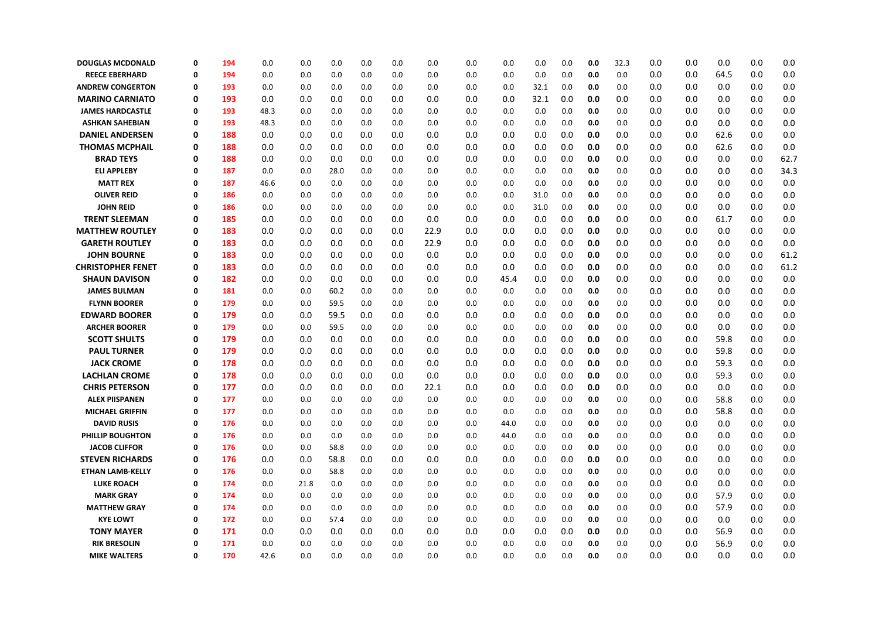| <b>DOUGLAS MCDONALD</b>  | 0 | 194 | 0.0  | 0.0  | 0.0  | 0.0 | 0.0 | 0.0  | 0.0 | 0.0  | 0.0  | 0.0 | 0.0 | 32.3    | 0.0 | 0.0 | 0.0  | 0.0 | 0.0     |
|--------------------------|---|-----|------|------|------|-----|-----|------|-----|------|------|-----|-----|---------|-----|-----|------|-----|---------|
| <b>REECE EBERHARD</b>    | 0 | 194 | 0.0  | 0.0  | 0.0  | 0.0 | 0.0 | 0.0  | 0.0 | 0.0  | 0.0  | 0.0 | 0.0 | 0.0     | 0.0 | 0.0 | 64.5 | 0.0 | 0.0     |
| <b>ANDREW CONGERTON</b>  | 0 | 193 | 0.0  | 0.0  | 0.0  | 0.0 | 0.0 | 0.0  | 0.0 | 0.0  | 32.1 | 0.0 | 0.0 | 0.0     | 0.0 | 0.0 | 0.0  | 0.0 | 0.0     |
| <b>MARINO CARNIATO</b>   | 0 | 193 | 0.0  | 0.0  | 0.0  | 0.0 | 0.0 | 0.0  | 0.0 | 0.0  | 32.1 | 0.0 | 0.0 | 0.0     | 0.0 | 0.0 | 0.0  | 0.0 | 0.0     |
| <b>JAMES HARDCASTLE</b>  | 0 | 193 | 48.3 | 0.0  | 0.0  | 0.0 | 0.0 | 0.0  | 0.0 | 0.0  | 0.0  | 0.0 | 0.0 | 0.0     | 0.0 | 0.0 | 0.0  | 0.0 | 0.0     |
| <b>ASHKAN SAHEBIAN</b>   | 0 | 193 | 48.3 | 0.0  | 0.0  | 0.0 | 0.0 | 0.0  | 0.0 | 0.0  | 0.0  | 0.0 | 0.0 | 0.0     | 0.0 | 0.0 | 0.0  | 0.0 | 0.0     |
| <b>DANIEL ANDERSEN</b>   | 0 | 188 | 0.0  | 0.0  | 0.0  | 0.0 | 0.0 | 0.0  | 0.0 | 0.0  | 0.0  | 0.0 | 0.0 | 0.0     | 0.0 | 0.0 | 62.6 | 0.0 | 0.0     |
| <b>THOMAS MCPHAIL</b>    | 0 | 188 | 0.0  | 0.0  | 0.0  | 0.0 | 0.0 | 0.0  | 0.0 | 0.0  | 0.0  | 0.0 | 0.0 | 0.0     | 0.0 | 0.0 | 62.6 | 0.0 | 0.0     |
| <b>BRAD TEYS</b>         | 0 | 188 | 0.0  | 0.0  | 0.0  | 0.0 | 0.0 | 0.0  | 0.0 | 0.0  | 0.0  | 0.0 | 0.0 | $0.0\,$ | 0.0 | 0.0 | 0.0  | 0.0 | 62.7    |
| <b>ELI APPLEBY</b>       | 0 | 187 | 0.0  | 0.0  | 28.0 | 0.0 | 0.0 | 0.0  | 0.0 | 0.0  | 0.0  | 0.0 | 0.0 | 0.0     | 0.0 | 0.0 | 0.0  | 0.0 | 34.3    |
| <b>MATT REX</b>          | 0 | 187 | 46.6 | 0.0  | 0.0  | 0.0 | 0.0 | 0.0  | 0.0 | 0.0  | 0.0  | 0.0 | 0.0 | 0.0     | 0.0 | 0.0 | 0.0  | 0.0 | 0.0     |
| <b>OLIVER REID</b>       | 0 | 186 | 0.0  | 0.0  | 0.0  | 0.0 | 0.0 | 0.0  | 0.0 | 0.0  | 31.0 | 0.0 | 0.0 | 0.0     | 0.0 | 0.0 | 0.0  | 0.0 | 0.0     |
| <b>JOHN REID</b>         | 0 | 186 | 0.0  | 0.0  | 0.0  | 0.0 | 0.0 | 0.0  | 0.0 | 0.0  | 31.0 | 0.0 | 0.0 | 0.0     | 0.0 | 0.0 | 0.0  | 0.0 | 0.0     |
| <b>TRENT SLEEMAN</b>     | 0 | 185 | 0.0  | 0.0  | 0.0  | 0.0 | 0.0 | 0.0  | 0.0 | 0.0  | 0.0  | 0.0 | 0.0 | 0.0     | 0.0 | 0.0 | 61.7 | 0.0 | 0.0     |
| <b>MATTHEW ROUTLEY</b>   | 0 | 183 | 0.0  | 0.0  | 0.0  | 0.0 | 0.0 | 22.9 | 0.0 | 0.0  | 0.0  | 0.0 | 0.0 | 0.0     | 0.0 | 0.0 | 0.0  | 0.0 | 0.0     |
| <b>GARETH ROUTLEY</b>    | 0 | 183 | 0.0  | 0.0  | 0.0  | 0.0 | 0.0 | 22.9 | 0.0 | 0.0  | 0.0  | 0.0 | 0.0 | 0.0     | 0.0 | 0.0 | 0.0  | 0.0 | 0.0     |
| <b>JOHN BOURNE</b>       | 0 | 183 | 0.0  | 0.0  | 0.0  | 0.0 | 0.0 | 0.0  | 0.0 | 0.0  | 0.0  | 0.0 | 0.0 | 0.0     | 0.0 | 0.0 | 0.0  | 0.0 | 61.2    |
| <b>CHRISTOPHER FENET</b> | 0 | 183 | 0.0  | 0.0  | 0.0  | 0.0 | 0.0 | 0.0  | 0.0 | 0.0  | 0.0  | 0.0 | 0.0 | 0.0     | 0.0 | 0.0 | 0.0  | 0.0 | 61.2    |
| <b>SHAUN DAVISON</b>     | 0 | 182 | 0.0  | 0.0  | 0.0  | 0.0 | 0.0 | 0.0  | 0.0 | 45.4 | 0.0  | 0.0 | 0.0 | 0.0     | 0.0 | 0.0 | 0.0  | 0.0 | 0.0     |
| <b>JAMES BULMAN</b>      | 0 | 181 | 0.0  | 0.0  | 60.2 | 0.0 | 0.0 | 0.0  | 0.0 | 0.0  | 0.0  | 0.0 | 0.0 | 0.0     | 0.0 | 0.0 | 0.0  | 0.0 | 0.0     |
| <b>FLYNN BOORER</b>      | 0 | 179 | 0.0  | 0.0  | 59.5 | 0.0 | 0.0 | 0.0  | 0.0 | 0.0  | 0.0  | 0.0 | 0.0 | 0.0     | 0.0 | 0.0 | 0.0  | 0.0 | 0.0     |
| <b>EDWARD BOORER</b>     | 0 | 179 | 0.0  | 0.0  | 59.5 | 0.0 | 0.0 | 0.0  | 0.0 | 0.0  | 0.0  | 0.0 | 0.0 | 0.0     | 0.0 | 0.0 | 0.0  | 0.0 | 0.0     |
| <b>ARCHER BOORER</b>     | 0 | 179 | 0.0  | 0.0  | 59.5 | 0.0 | 0.0 | 0.0  | 0.0 | 0.0  | 0.0  | 0.0 | 0.0 | 0.0     | 0.0 | 0.0 | 0.0  | 0.0 | 0.0     |
| <b>SCOTT SHULTS</b>      | 0 | 179 | 0.0  | 0.0  | 0.0  | 0.0 | 0.0 | 0.0  | 0.0 | 0.0  | 0.0  | 0.0 | 0.0 | 0.0     | 0.0 | 0.0 | 59.8 | 0.0 | 0.0     |
| <b>PAUL TURNER</b>       | 0 | 179 | 0.0  | 0.0  | 0.0  | 0.0 | 0.0 | 0.0  | 0.0 | 0.0  | 0.0  | 0.0 | 0.0 | 0.0     | 0.0 | 0.0 | 59.8 | 0.0 | 0.0     |
| <b>JACK CROME</b>        | 0 | 178 | 0.0  | 0.0  | 0.0  | 0.0 | 0.0 | 0.0  | 0.0 | 0.0  | 0.0  | 0.0 | 0.0 | 0.0     | 0.0 | 0.0 | 59.3 | 0.0 | 0.0     |
| <b>LACHLAN CROME</b>     | 0 | 178 | 0.0  | 0.0  | 0.0  | 0.0 | 0.0 | 0.0  | 0.0 | 0.0  | 0.0  | 0.0 | 0.0 | 0.0     | 0.0 | 0.0 | 59.3 | 0.0 | 0.0     |
| <b>CHRIS PETERSON</b>    | 0 | 177 | 0.0  | 0.0  | 0.0  | 0.0 | 0.0 | 22.1 | 0.0 | 0.0  | 0.0  | 0.0 | 0.0 | 0.0     | 0.0 | 0.0 | 0.0  | 0.0 | 0.0     |
| <b>ALEX PIISPANEN</b>    | 0 | 177 | 0.0  | 0.0  | 0.0  | 0.0 | 0.0 | 0.0  | 0.0 | 0.0  | 0.0  | 0.0 | 0.0 | 0.0     | 0.0 | 0.0 | 58.8 | 0.0 | 0.0     |
| <b>MICHAEL GRIFFIN</b>   | 0 | 177 | 0.0  | 0.0  | 0.0  | 0.0 | 0.0 | 0.0  | 0.0 | 0.0  | 0.0  | 0.0 | 0.0 | 0.0     | 0.0 | 0.0 | 58.8 | 0.0 | 0.0     |
| <b>DAVID RUSIS</b>       | 0 | 176 | 0.0  | 0.0  | 0.0  | 0.0 | 0.0 | 0.0  | 0.0 | 44.0 | 0.0  | 0.0 | 0.0 | 0.0     | 0.0 | 0.0 | 0.0  | 0.0 | 0.0     |
| <b>PHILLIP BOUGHTON</b>  | 0 | 176 | 0.0  | 0.0  | 0.0  | 0.0 | 0.0 | 0.0  | 0.0 | 44.0 | 0.0  | 0.0 | 0.0 | 0.0     | 0.0 | 0.0 | 0.0  | 0.0 | 0.0     |
| <b>JACOB CLIFFOR</b>     | 0 | 176 | 0.0  | 0.0  | 58.8 | 0.0 | 0.0 | 0.0  | 0.0 | 0.0  | 0.0  | 0.0 | 0.0 | 0.0     | 0.0 | 0.0 | 0.0  | 0.0 | 0.0     |
| <b>STEVEN RICHARDS</b>   | 0 | 176 | 0.0  | 0.0  | 58.8 | 0.0 | 0.0 | 0.0  | 0.0 | 0.0  | 0.0  | 0.0 | 0.0 | 0.0     | 0.0 | 0.0 | 0.0  | 0.0 | 0.0     |
| <b>ETHAN LAMB-KELLY</b>  | 0 | 176 | 0.0  | 0.0  | 58.8 | 0.0 | 0.0 | 0.0  | 0.0 | 0.0  | 0.0  | 0.0 | 0.0 | 0.0     | 0.0 | 0.0 | 0.0  | 0.0 | 0.0     |
| <b>LUKE ROACH</b>        | 0 | 174 | 0.0  | 21.8 | 0.0  | 0.0 | 0.0 | 0.0  | 0.0 | 0.0  | 0.0  | 0.0 | 0.0 | 0.0     | 0.0 | 0.0 | 0.0  | 0.0 | 0.0     |
| <b>MARK GRAY</b>         | 0 | 174 | 0.0  | 0.0  | 0.0  | 0.0 | 0.0 | 0.0  | 0.0 | 0.0  | 0.0  | 0.0 | 0.0 | 0.0     | 0.0 | 0.0 | 57.9 | 0.0 | 0.0     |
| <b>MATTHEW GRAY</b>      | 0 | 174 | 0.0  | 0.0  | 0.0  | 0.0 | 0.0 | 0.0  | 0.0 | 0.0  | 0.0  | 0.0 | 0.0 | 0.0     | 0.0 | 0.0 | 57.9 | 0.0 | 0.0     |
| <b>KYE LOWT</b>          | 0 | 172 | 0.0  | 0.0  | 57.4 | 0.0 | 0.0 | 0.0  | 0.0 | 0.0  | 0.0  | 0.0 | 0.0 | 0.0     | 0.0 | 0.0 | 0.0  | 0.0 | 0.0     |
| <b>TONY MAYER</b>        | 0 | 171 | 0.0  | 0.0  | 0.0  | 0.0 | 0.0 | 0.0  | 0.0 | 0.0  | 0.0  | 0.0 | 0.0 | 0.0     | 0.0 | 0.0 | 56.9 | 0.0 | 0.0     |
| <b>RIK BRESOLIN</b>      | 0 | 171 | 0.0  | 0.0  | 0.0  | 0.0 | 0.0 | 0.0  | 0.0 | 0.0  | 0.0  | 0.0 | 0.0 | 0.0     | 0.0 | 0.0 | 56.9 | 0.0 | 0.0     |
| <b>MIKE WALTERS</b>      | 0 | 170 | 42.6 | 0.0  | 0.0  | 0.0 | 0.0 | 0.0  | 0.0 | 0.0  | 0.0  | 0.0 | 0.0 | 0.0     | 0.0 | 0.0 | 0.0  | 0.0 | $0.0\,$ |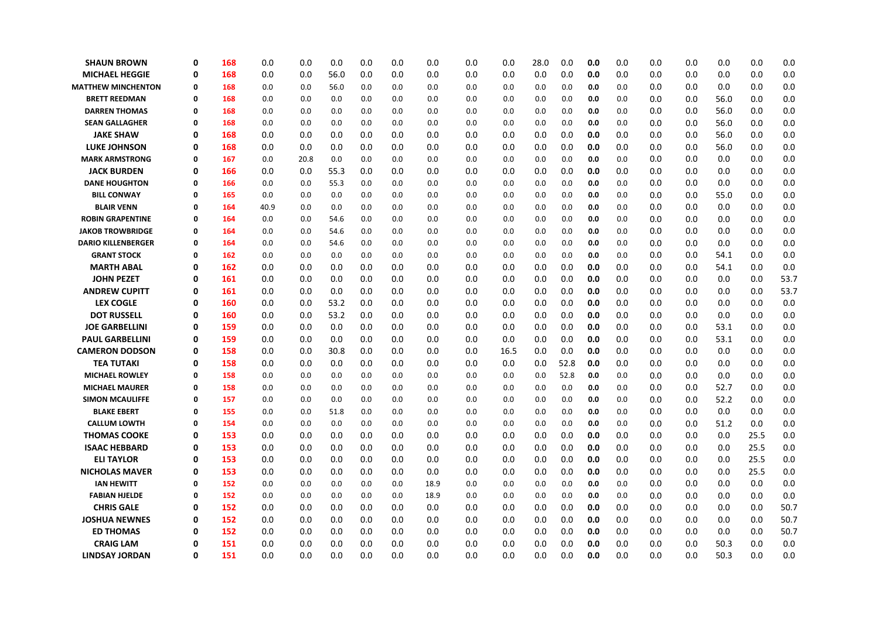| <b>SHAUN BROWN</b>        | 0           | 168 | 0.0  | 0.0  | 0.0  | 0.0 | 0.0 | 0.0  | 0.0 | 0.0  | 28.0 | 0.0  | 0.0 | 0.0 | 0.0 | 0.0 | 0.0  | 0.0  | 0.0  |
|---------------------------|-------------|-----|------|------|------|-----|-----|------|-----|------|------|------|-----|-----|-----|-----|------|------|------|
| <b>MICHAEL HEGGIE</b>     | 0           | 168 | 0.0  | 0.0  | 56.0 | 0.0 | 0.0 | 0.0  | 0.0 | 0.0  | 0.0  | 0.0  | 0.0 | 0.0 | 0.0 | 0.0 | 0.0  | 0.0  | 0.0  |
| <b>MATTHEW MINCHENTON</b> | 0           | 168 | 0.0  | 0.0  | 56.0 | 0.0 | 0.0 | 0.0  | 0.0 | 0.0  | 0.0  | 0.0  | 0.0 | 0.0 | 0.0 | 0.0 | 0.0  | 0.0  | 0.0  |
| <b>BRETT REEDMAN</b>      | 0           | 168 | 0.0  | 0.0  | 0.0  | 0.0 | 0.0 | 0.0  | 0.0 | 0.0  | 0.0  | 0.0  | 0.0 | 0.0 | 0.0 | 0.0 | 56.0 | 0.0  | 0.0  |
| <b>DARREN THOMAS</b>      | 0           | 168 | 0.0  | 0.0  | 0.0  | 0.0 | 0.0 | 0.0  | 0.0 | 0.0  | 0.0  | 0.0  | 0.0 | 0.0 | 0.0 | 0.0 | 56.0 | 0.0  | 0.0  |
| <b>SEAN GALLAGHER</b>     | 0           | 168 | 0.0  | 0.0  | 0.0  | 0.0 | 0.0 | 0.0  | 0.0 | 0.0  | 0.0  | 0.0  | 0.0 | 0.0 | 0.0 | 0.0 | 56.0 | 0.0  | 0.0  |
| <b>JAKE SHAW</b>          | 0           | 168 | 0.0  | 0.0  | 0.0  | 0.0 | 0.0 | 0.0  | 0.0 | 0.0  | 0.0  | 0.0  | 0.0 | 0.0 | 0.0 | 0.0 | 56.0 | 0.0  | 0.0  |
| <b>LUKE JOHNSON</b>       | 0           | 168 | 0.0  | 0.0  | 0.0  | 0.0 | 0.0 | 0.0  | 0.0 | 0.0  | 0.0  | 0.0  | 0.0 | 0.0 | 0.0 | 0.0 | 56.0 | 0.0  | 0.0  |
| <b>MARK ARMSTRONG</b>     | 0           | 167 | 0.0  | 20.8 | 0.0  | 0.0 | 0.0 | 0.0  | 0.0 | 0.0  | 0.0  | 0.0  | 0.0 | 0.0 | 0.0 | 0.0 | 0.0  | 0.0  | 0.0  |
| <b>JACK BURDEN</b>        | 0           | 166 | 0.0  | 0.0  | 55.3 | 0.0 | 0.0 | 0.0  | 0.0 | 0.0  | 0.0  | 0.0  | 0.0 | 0.0 | 0.0 | 0.0 | 0.0  | 0.0  | 0.0  |
| <b>DANE HOUGHTON</b>      | 0           | 166 | 0.0  | 0.0  | 55.3 | 0.0 | 0.0 | 0.0  | 0.0 | 0.0  | 0.0  | 0.0  | 0.0 | 0.0 | 0.0 | 0.0 | 0.0  | 0.0  | 0.0  |
| <b>BILL CONWAY</b>        | $\Omega$    | 165 | 0.0  | 0.0  | 0.0  | 0.0 | 0.0 | 0.0  | 0.0 | 0.0  | 0.0  | 0.0  | 0.0 | 0.0 | 0.0 | 0.0 | 55.0 | 0.0  | 0.0  |
| <b>BLAIR VENN</b>         | 0           | 164 | 40.9 | 0.0  | 0.0  | 0.0 | 0.0 | 0.0  | 0.0 | 0.0  | 0.0  | 0.0  | 0.0 | 0.0 | 0.0 | 0.0 | 0.0  | 0.0  | 0.0  |
| <b>ROBIN GRAPENTINE</b>   | 0           | 164 | 0.0  | 0.0  | 54.6 | 0.0 | 0.0 | 0.0  | 0.0 | 0.0  | 0.0  | 0.0  | 0.0 | 0.0 | 0.0 | 0.0 | 0.0  | 0.0  | 0.0  |
| <b>JAKOB TROWBRIDGE</b>   | 0           | 164 | 0.0  | 0.0  | 54.6 | 0.0 | 0.0 | 0.0  | 0.0 | 0.0  | 0.0  | 0.0  | 0.0 | 0.0 | 0.0 | 0.0 | 0.0  | 0.0  | 0.0  |
| <b>DARIO KILLENBERGER</b> | 0           | 164 | 0.0  | 0.0  | 54.6 | 0.0 | 0.0 | 0.0  | 0.0 | 0.0  | 0.0  | 0.0  | 0.0 | 0.0 | 0.0 | 0.0 | 0.0  | 0.0  | 0.0  |
| <b>GRANT STOCK</b>        | 0           | 162 | 0.0  | 0.0  | 0.0  | 0.0 | 0.0 | 0.0  | 0.0 | 0.0  | 0.0  | 0.0  | 0.0 | 0.0 | 0.0 | 0.0 | 54.1 | 0.0  | 0.0  |
| <b>MARTH ABAL</b>         | 0           | 162 | 0.0  | 0.0  | 0.0  | 0.0 | 0.0 | 0.0  | 0.0 | 0.0  | 0.0  | 0.0  | 0.0 | 0.0 | 0.0 | 0.0 | 54.1 | 0.0  | 0.0  |
| <b>JOHN PEZET</b>         | 0           | 161 | 0.0  | 0.0  | 0.0  | 0.0 | 0.0 | 0.0  | 0.0 | 0.0  | 0.0  | 0.0  | 0.0 | 0.0 | 0.0 | 0.0 | 0.0  | 0.0  | 53.7 |
| <b>ANDREW CUPITT</b>      | 0           | 161 | 0.0  | 0.0  | 0.0  | 0.0 | 0.0 | 0.0  | 0.0 | 0.0  | 0.0  | 0.0  | 0.0 | 0.0 | 0.0 | 0.0 | 0.0  | 0.0  | 53.7 |
| <b>LEX COGLE</b>          | 0           | 160 | 0.0  | 0.0  | 53.2 | 0.0 | 0.0 | 0.0  | 0.0 | 0.0  | 0.0  | 0.0  | 0.0 | 0.0 | 0.0 | 0.0 | 0.0  | 0.0  | 0.0  |
| <b>DOT RUSSELL</b>        | 0           | 160 | 0.0  | 0.0  | 53.2 | 0.0 | 0.0 | 0.0  | 0.0 | 0.0  | 0.0  | 0.0  | 0.0 | 0.0 | 0.0 | 0.0 | 0.0  | 0.0  | 0.0  |
| <b>JOE GARBELLINI</b>     | 0           | 159 | 0.0  | 0.0  | 0.0  | 0.0 | 0.0 | 0.0  | 0.0 | 0.0  | 0.0  | 0.0  | 0.0 | 0.0 | 0.0 | 0.0 | 53.1 | 0.0  | 0.0  |
| <b>PAUL GARBELLINI</b>    | 0           | 159 | 0.0  | 0.0  | 0.0  | 0.0 | 0.0 | 0.0  | 0.0 | 0.0  | 0.0  | 0.0  | 0.0 | 0.0 | 0.0 | 0.0 | 53.1 | 0.0  | 0.0  |
| <b>CAMERON DODSON</b>     | 0           | 158 | 0.0  | 0.0  | 30.8 | 0.0 | 0.0 | 0.0  | 0.0 | 16.5 | 0.0  | 0.0  | 0.0 | 0.0 | 0.0 | 0.0 | 0.0  | 0.0  | 0.0  |
| TEA TUTAKI                | 0           | 158 | 0.0  | 0.0  | 0.0  | 0.0 | 0.0 | 0.0  | 0.0 | 0.0  | 0.0  | 52.8 | 0.0 | 0.0 | 0.0 | 0.0 | 0.0  | 0.0  | 0.0  |
| <b>MICHAEL ROWLEY</b>     | 0           | 158 | 0.0  | 0.0  | 0.0  | 0.0 | 0.0 | 0.0  | 0.0 | 0.0  | 0.0  | 52.8 | 0.0 | 0.0 | 0.0 | 0.0 | 0.0  | 0.0  | 0.0  |
| <b>MICHAEL MAURER</b>     | 0           | 158 | 0.0  | 0.0  | 0.0  | 0.0 | 0.0 | 0.0  | 0.0 | 0.0  | 0.0  | 0.0  | 0.0 | 0.0 | 0.0 | 0.0 | 52.7 | 0.0  | 0.0  |
| <b>SIMON MCAULIFFE</b>    | $\mathbf 0$ | 157 | 0.0  | 0.0  | 0.0  | 0.0 | 0.0 | 0.0  | 0.0 | 0.0  | 0.0  | 0.0  | 0.0 | 0.0 | 0.0 | 0.0 | 52.2 | 0.0  | 0.0  |
| <b>BLAKE EBERT</b>        | 0           | 155 | 0.0  | 0.0  | 51.8 | 0.0 | 0.0 | 0.0  | 0.0 | 0.0  | 0.0  | 0.0  | 0.0 | 0.0 | 0.0 | 0.0 | 0.0  | 0.0  | 0.0  |
| <b>CALLUM LOWTH</b>       | 0           | 154 | 0.0  | 0.0  | 0.0  | 0.0 | 0.0 | 0.0  | 0.0 | 0.0  | 0.0  | 0.0  | 0.0 | 0.0 | 0.0 | 0.0 | 51.2 | 0.0  | 0.0  |
| <b>THOMAS COOKE</b>       | 0           | 153 | 0.0  | 0.0  | 0.0  | 0.0 | 0.0 | 0.0  | 0.0 | 0.0  | 0.0  | 0.0  | 0.0 | 0.0 | 0.0 | 0.0 | 0.0  | 25.5 | 0.0  |
| <b>ISAAC HEBBARD</b>      | 0           | 153 | 0.0  | 0.0  | 0.0  | 0.0 | 0.0 | 0.0  | 0.0 | 0.0  | 0.0  | 0.0  | 0.0 | 0.0 | 0.0 | 0.0 | 0.0  | 25.5 | 0.0  |
| <b>ELI TAYLOR</b>         | 0           | 153 | 0.0  | 0.0  | 0.0  | 0.0 | 0.0 | 0.0  | 0.0 | 0.0  | 0.0  | 0.0  | 0.0 | 0.0 | 0.0 | 0.0 | 0.0  | 25.5 | 0.0  |
| <b>NICHOLAS MAVER</b>     | 0           | 153 | 0.0  | 0.0  | 0.0  | 0.0 | 0.0 | 0.0  | 0.0 | 0.0  | 0.0  | 0.0  | 0.0 | 0.0 | 0.0 | 0.0 | 0.0  | 25.5 | 0.0  |
| <b>IAN HEWITT</b>         | 0           | 152 | 0.0  | 0.0  | 0.0  | 0.0 | 0.0 | 18.9 | 0.0 | 0.0  | 0.0  | 0.0  | 0.0 | 0.0 | 0.0 | 0.0 | 0.0  | 0.0  | 0.0  |
| <b>FABIAN HJELDE</b>      | 0           | 152 | 0.0  | 0.0  | 0.0  | 0.0 | 0.0 | 18.9 | 0.0 | 0.0  | 0.0  | 0.0  | 0.0 | 0.0 | 0.0 | 0.0 | 0.0  | 0.0  | 0.0  |
| <b>CHRIS GALE</b>         | 0           | 152 | 0.0  | 0.0  | 0.0  | 0.0 | 0.0 | 0.0  | 0.0 | 0.0  | 0.0  | 0.0  | 0.0 | 0.0 | 0.0 | 0.0 | 0.0  | 0.0  | 50.7 |
| <b>JOSHUA NEWNES</b>      | 0           | 152 | 0.0  | 0.0  | 0.0  | 0.0 | 0.0 | 0.0  | 0.0 | 0.0  | 0.0  | 0.0  | 0.0 | 0.0 | 0.0 | 0.0 | 0.0  | 0.0  | 50.7 |
| <b>ED THOMAS</b>          | 0           | 152 | 0.0  | 0.0  | 0.0  | 0.0 | 0.0 | 0.0  | 0.0 | 0.0  | 0.0  | 0.0  | 0.0 | 0.0 | 0.0 | 0.0 | 0.0  | 0.0  | 50.7 |
| <b>CRAIG LAM</b>          | 0           | 151 | 0.0  | 0.0  | 0.0  | 0.0 | 0.0 | 0.0  | 0.0 | 0.0  | 0.0  | 0.0  | 0.0 | 0.0 | 0.0 | 0.0 | 50.3 | 0.0  | 0.0  |
| <b>LINDSAY JORDAN</b>     | 0           | 151 | 0.0  | 0.0  | 0.0  | 0.0 | 0.0 | 0.0  | 0.0 | 0.0  | 0.0  | 0.0  | 0.0 | 0.0 | 0.0 | 0.0 | 50.3 | 0.0  | 0.0  |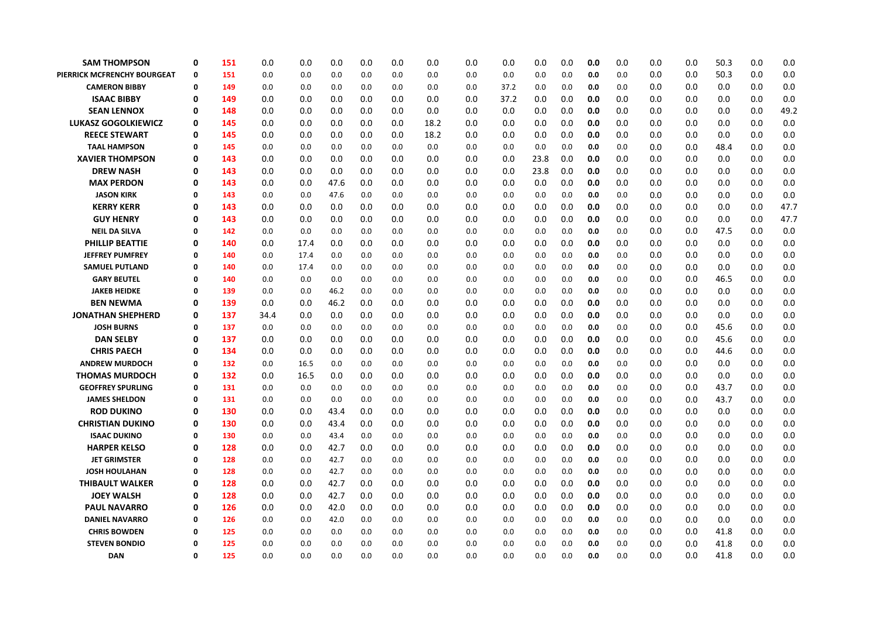| <b>SAM THOMPSON</b>                        | 0           | 151        | 0.0        | 0.0        | 0.0          | 0.0        | 0.0        | 0.0        | 0.0        | 0.0        | 0.0        | 0.0        | 0.0        | 0.0        | 0.0        | 0.0        | 50.3       | 0.0        | 0.0        |
|--------------------------------------------|-------------|------------|------------|------------|--------------|------------|------------|------------|------------|------------|------------|------------|------------|------------|------------|------------|------------|------------|------------|
| PIERRICK MCFRENCHY BOURGEAT                | 0           | 151        | 0.0        | 0.0        | 0.0          | 0.0        | 0.0        | 0.0        | 0.0        | 0.0        | 0.0        | 0.0        | 0.0        | 0.0        | 0.0        | 0.0        | 50.3       | 0.0        | 0.0        |
| <b>CAMERON BIBBY</b>                       | $\mathbf 0$ | 149        | 0.0        | 0.0        | 0.0          | 0.0        | 0.0        | 0.0        | 0.0        | 37.2       | 0.0        | 0.0        | 0.0        | 0.0        | 0.0        | 0.0        | 0.0        | 0.0        | 0.0        |
| <b>ISAAC BIBBY</b>                         | 0           | 149        | 0.0        | 0.0        | 0.0          | 0.0        | 0.0        | 0.0        | 0.0        | 37.2       | 0.0        | 0.0        | 0.0        | 0.0        | 0.0        | 0.0        | 0.0        | 0.0        | 0.0        |
| <b>SEAN LENNOX</b>                         | 0           | 148        | 0.0        | 0.0        | 0.0          | 0.0        | 0.0        | 0.0        | 0.0        | 0.0        | 0.0        | 0.0        | 0.0        | 0.0        | 0.0        | 0.0        | 0.0        | 0.0        | 49.2       |
| <b>LUKASZ GOGOLKIEWICZ</b>                 | 0           | 145        | 0.0        | 0.0        | 0.0          | 0.0        | 0.0        | 18.2       | 0.0        | 0.0        | 0.0        | 0.0        | 0.0        | 0.0        | 0.0        | 0.0        | 0.0        | 0.0        | 0.0        |
| <b>REECE STEWART</b>                       | 0           | 145        | 0.0        | 0.0        | 0.0          | 0.0        | 0.0        | 18.2       | 0.0        | 0.0        | 0.0        | 0.0        | 0.0        | 0.0        | 0.0        | 0.0        | 0.0        | 0.0        | 0.0        |
| <b>TAAL HAMPSON</b>                        | 0           | 145        | 0.0        | 0.0        | 0.0          | 0.0        | 0.0        | 0.0        | 0.0        | 0.0        | 0.0        | 0.0        | 0.0        | 0.0        | 0.0        | 0.0        | 48.4       | 0.0        | 0.0        |
| <b>XAVIER THOMPSON</b>                     | 0           | 143        | 0.0        | 0.0        | 0.0          | 0.0        | 0.0        | 0.0        | 0.0        | 0.0        | 23.8       | 0.0        | 0.0        | 0.0        | 0.0        | 0.0        | 0.0        | 0.0        | 0.0        |
| <b>DREW NASH</b>                           | $\mathbf 0$ | 143        | 0.0        | 0.0        | 0.0          | 0.0        | 0.0        | 0.0        | 0.0        | 0.0        | 23.8       | 0.0        | 0.0        | 0.0        | 0.0        | 0.0        | 0.0        | 0.0        | 0.0        |
| <b>MAX PERDON</b>                          | 0           | 143        | 0.0        | 0.0        | 47.6         | 0.0        | 0.0        | 0.0        | 0.0        | 0.0        | 0.0        | 0.0        | 0.0        | 0.0        | 0.0        | 0.0        | 0.0        | 0.0        | 0.0        |
| <b>JASON KIRK</b>                          | 0           | 143        | 0.0        | 0.0        | 47.6         | 0.0        | 0.0        | 0.0        | 0.0        | 0.0        | 0.0        | 0.0        | 0.0        | 0.0        | 0.0        | 0.0        | 0.0        | 0.0        | 0.0        |
| <b>KERRY KERR</b>                          | 0           | 143        | 0.0        | 0.0        | 0.0          | 0.0        | 0.0        | 0.0        | 0.0        | 0.0        | 0.0        | 0.0        | 0.0        | 0.0        | 0.0        | 0.0        | 0.0        | 0.0        | 47.7       |
| <b>GUY HENRY</b>                           | $\mathbf 0$ | 143        | 0.0        | 0.0        | 0.0          | 0.0        | 0.0        | 0.0        | 0.0        | 0.0        | 0.0        | 0.0        | 0.0        | 0.0        | 0.0        | 0.0        | 0.0        | 0.0        | 47.7       |
| <b>NEIL DA SILVA</b>                       | 0           | 142        | 0.0        | 0.0        | 0.0          | 0.0        | 0.0        | 0.0        | 0.0        | 0.0        | 0.0        | 0.0        | 0.0        | 0.0        | 0.0        | 0.0        | 47.5       | 0.0        | 0.0        |
| <b>PHILLIP BEATTIE</b>                     | 0           | 140        | 0.0        | 17.4       | 0.0          | 0.0        | 0.0        | 0.0        | 0.0        | 0.0        | 0.0        | 0.0        | 0.0        | 0.0        | 0.0        | 0.0        | 0.0        | 0.0        | 0.0        |
| <b>JEFFREY PUMFREY</b>                     | 0           | 140        | 0.0        | 17.4       | 0.0          | 0.0        | 0.0        | 0.0        | 0.0        | 0.0        | 0.0        | 0.0        | 0.0        | 0.0        | 0.0        | 0.0        | 0.0        | 0.0        | 0.0        |
| <b>SAMUEL PUTLAND</b>                      | $\Omega$    | 140        | 0.0        | 17.4       | 0.0          | 0.0        | 0.0        | 0.0        | 0.0        | 0.0        | 0.0        | 0.0        | 0.0        | 0.0        | 0.0        | 0.0        | 0.0        | 0.0        | 0.0        |
| <b>GARY BEUTEL</b>                         | 0           | 140        | 0.0        | 0.0        | 0.0          | 0.0        | 0.0        | 0.0        | 0.0        | 0.0        | 0.0        | 0.0        | 0.0        | 0.0        | 0.0        | 0.0        | 46.5       | 0.0        | 0.0        |
| <b>JAKEB HEIDKE</b>                        | 0           | 139        | 0.0        | 0.0        | 46.2         | 0.0        | 0.0        | 0.0        | 0.0        | 0.0        | 0.0        | 0.0        | 0.0        | 0.0        | 0.0        | 0.0        | 0.0        | 0.0        | 0.0        |
| <b>BEN NEWMA</b>                           | $\mathbf 0$ | 139        | 0.0        | 0.0        | 46.2         | 0.0        | 0.0        | 0.0        | 0.0        | 0.0        | 0.0        | 0.0        | 0.0        | 0.0        | 0.0        | 0.0        | 0.0        | 0.0        | 0.0        |
| <b>JONATHAN SHEPHERD</b>                   | 0           | 137        | 34.4       | 0.0        | 0.0          | 0.0        | 0.0        | 0.0        | 0.0        | 0.0        | 0.0        | 0.0        | 0.0        | 0.0        | 0.0        | 0.0        | 0.0        | 0.0        | 0.0        |
| <b>JOSH BURNS</b>                          | 0           | 137        | 0.0        | 0.0        | 0.0          | 0.0        | 0.0        | 0.0        | 0.0        | 0.0        | 0.0        | 0.0        | 0.0        | 0.0        | 0.0        | 0.0        | 45.6       | 0.0        | 0.0        |
| <b>DAN SELBY</b>                           | 0           | 137        | 0.0        | 0.0        | 0.0          | 0.0        | 0.0        | 0.0        | 0.0        | 0.0        | 0.0        | 0.0        | 0.0        | 0.0        | 0.0        | 0.0        | 45.6       | 0.0        | 0.0        |
| CHRIS PAECH                                | $\mathbf 0$ | 134        | 0.0        | 0.0        | 0.0          | 0.0        | 0.0        | 0.0        | 0.0        | 0.0        | 0.0        | 0.0        | 0.0        | 0.0        | 0.0        | 0.0        | 44.6       | 0.0        | 0.0        |
| <b>ANDREW MURDOCH</b>                      | 0           | 132        | 0.0        | 16.5       | 0.0          | 0.0        | 0.0        | 0.0        | 0.0        | 0.0        | 0.0        | 0.0        | 0.0        | 0.0        | 0.0        | 0.0        | 0.0        | 0.0        | 0.0        |
| <b>THOMAS MURDOCH</b>                      | 0           | 132        | 0.0        | 16.5       | 0.0          | 0.0        | 0.0        | 0.0        | 0.0        | 0.0        | 0.0        | 0.0        | 0.0        | 0.0        | 0.0        | 0.0        | 0.0        | 0.0        | 0.0        |
| <b>GEOFFREY SPURLING</b>                   | 0           | 131        | 0.0        | 0.0        | 0.0          | 0.0        | 0.0        | 0.0        | 0.0        | 0.0        | 0.0        | 0.0        | 0.0        | 0.0        | 0.0        | 0.0        | 43.7       | 0.0        | 0.0        |
| <b>JAMES SHELDON</b>                       | $\Omega$    | 131        | 0.0        | 0.0        | 0.0          | 0.0        | 0.0        | 0.0        | 0.0        | 0.0        | 0.0        | 0.0        | 0.0        | 0.0        | 0.0        | 0.0        | 43.7       | 0.0        | 0.0        |
| <b>ROD DUKINO</b>                          | $\mathbf 0$ | 130        | 0.0        | 0.0        | 43.4         | 0.0        | 0.0        | 0.0        | 0.0        | 0.0        | 0.0        | 0.0        | 0.0        | 0.0        | 0.0        | 0.0        | 0.0        | 0.0        | 0.0        |
| <b>CHRISTIAN DUKINO</b>                    | 0<br>0      | 130        | 0.0        | 0.0        | 43.4         | 0.0        | 0.0        | 0.0        | 0.0        | 0.0        | 0.0        | 0.0        | 0.0        | 0.0        | 0.0        | 0.0        | 0.0        | 0.0        | 0.0        |
| <b>ISAAC DUKINO</b><br><b>HARPER KELSO</b> | 0           | 130<br>128 | 0.0<br>0.0 | 0.0<br>0.0 | 43.4<br>42.7 | 0.0<br>0.0 | 0.0<br>0.0 | 0.0<br>0.0 | 0.0<br>0.0 | 0.0<br>0.0 | 0.0<br>0.0 | 0.0<br>0.0 | 0.0<br>0.0 | 0.0<br>0.0 | 0.0<br>0.0 | 0.0<br>0.0 | 0.0<br>0.0 | 0.0<br>0.0 | 0.0<br>0.0 |
| <b>JET GRIMSTER</b>                        | $\Omega$    | 128        | 0.0        | 0.0        | 42.7         | 0.0        | 0.0        | 0.0        | 0.0        | 0.0        | 0.0        | 0.0        | 0.0        | 0.0        | 0.0        | 0.0        | 0.0        | 0.0        | 0.0        |
| <b>JOSH HOULAHAN</b>                       | 0           | 128        | 0.0        | 0.0        | 42.7         | 0.0        | 0.0        | 0.0        | 0.0        | 0.0        | 0.0        | 0.0        | 0.0        | 0.0        | 0.0        | 0.0        | 0.0        | 0.0        | 0.0        |
| <b>THIBAULT WALKER</b>                     | 0           | 128        | 0.0        | 0.0        | 42.7         | 0.0        | 0.0        | 0.0        | 0.0        | 0.0        | 0.0        | 0.0        | 0.0        | 0.0        | 0.0        | 0.0        | 0.0        | 0.0        | 0.0        |
| <b>JOEY WALSH</b>                          | $\mathbf 0$ | 128        | 0.0        | 0.0        | 42.7         | 0.0        | 0.0        | 0.0        | 0.0        | 0.0        | 0.0        | 0.0        | 0.0        | 0.0        | 0.0        | 0.0        | 0.0        | 0.0        | 0.0        |
| <b>PAUL NAVARRO</b>                        | $\mathbf 0$ | 126        | 0.0        | 0.0        | 42.0         | 0.0        | 0.0        | 0.0        | 0.0        | 0.0        | 0.0        | 0.0        | 0.0        | 0.0        | 0.0        | 0.0        | 0.0        | 0.0        | 0.0        |
| <b>DANIEL NAVARRO</b>                      | 0           | 126        | 0.0        | 0.0        | 42.0         | 0.0        | 0.0        | 0.0        | 0.0        | 0.0        | 0.0        | 0.0        | 0.0        | 0.0        | 0.0        | 0.0        | 0.0        | 0.0        | 0.0        |
| <b>CHRIS BOWDEN</b>                        | 0           | 125        | 0.0        | 0.0        | 0.0          | 0.0        | 0.0        | 0.0        | 0.0        | 0.0        | 0.0        | 0.0        | 0.0        | 0.0        | 0.0        | 0.0        | 41.8       | 0.0        | 0.0        |
| <b>STEVEN BONDIO</b>                       | $\Omega$    | 125        | 0.0        | 0.0        | 0.0          | 0.0        | 0.0        | 0.0        | 0.0        | 0.0        | 0.0        | 0.0        | 0.0        | 0.0        | 0.0        | 0.0        | 41.8       | 0.0        | 0.0        |
| <b>DAN</b>                                 | $\Omega$    | 125        | 0.0        | 0.0        | 0.0          | 0.0        | 0.0        | 0.0        | 0.0        | 0.0        | 0.0        | 0.0        | 0.0        | 0.0        | 0.0        | 0.0        | 41.8       | 0.0        | 0.0        |
|                                            |             |            |            |            |              |            |            |            |            |            |            |            |            |            |            |            |            |            |            |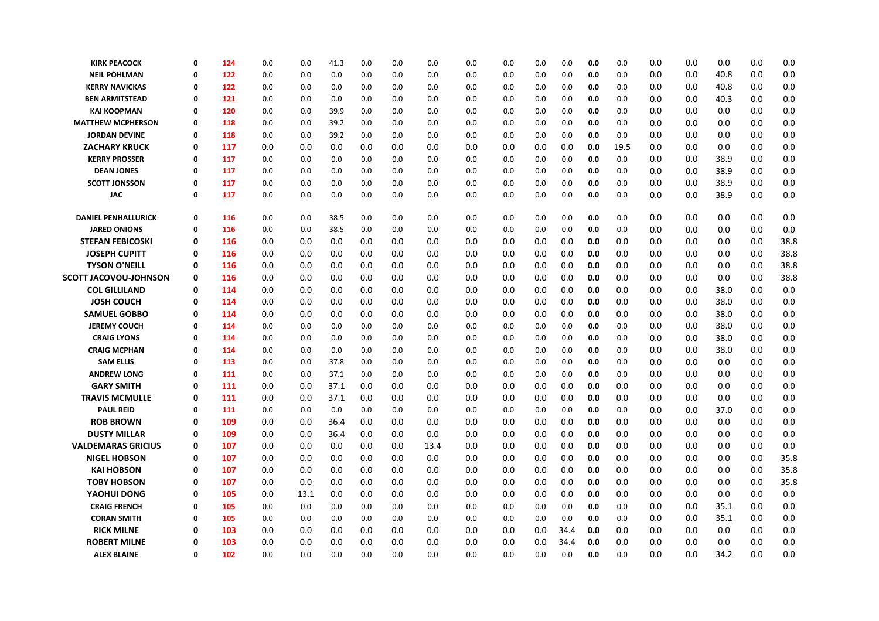| <b>KIRK PEACOCK</b>        | 0           | 124 | 0.0 | 0.0  | 41.3 | 0.0 | 0.0 | 0.0  | 0.0 | 0.0 | 0.0 | 0.0  | 0.0 | 0.0  | 0.0 | 0.0 | 0.0  | 0.0 | 0.0  |
|----------------------------|-------------|-----|-----|------|------|-----|-----|------|-----|-----|-----|------|-----|------|-----|-----|------|-----|------|
| <b>NEIL POHLMAN</b>        | 0           | 122 | 0.0 | 0.0  | 0.0  | 0.0 | 0.0 | 0.0  | 0.0 | 0.0 | 0.0 | 0.0  | 0.0 | 0.0  | 0.0 | 0.0 | 40.8 | 0.0 | 0.0  |
| <b>KERRY NAVICKAS</b>      | 0           | 122 | 0.0 | 0.0  | 0.0  | 0.0 | 0.0 | 0.0  | 0.0 | 0.0 | 0.0 | 0.0  | 0.0 | 0.0  | 0.0 | 0.0 | 40.8 | 0.0 | 0.0  |
| <b>BEN ARMITSTEAD</b>      | 0           | 121 | 0.0 | 0.0  | 0.0  | 0.0 | 0.0 | 0.0  | 0.0 | 0.0 | 0.0 | 0.0  | 0.0 | 0.0  | 0.0 | 0.0 | 40.3 | 0.0 | 0.0  |
| <b>KAI KOOPMAN</b>         | 0           | 120 | 0.0 | 0.0  | 39.9 | 0.0 | 0.0 | 0.0  | 0.0 | 0.0 | 0.0 | 0.0  | 0.0 | 0.0  | 0.0 | 0.0 | 0.0  | 0.0 | 0.0  |
| <b>MATTHEW MCPHERSON</b>   | 0           | 118 | 0.0 | 0.0  | 39.2 | 0.0 | 0.0 | 0.0  | 0.0 | 0.0 | 0.0 | 0.0  | 0.0 | 0.0  | 0.0 | 0.0 | 0.0  | 0.0 | 0.0  |
| <b>JORDAN DEVINE</b>       | $\Omega$    | 118 | 0.0 | 0.0  | 39.2 | 0.0 | 0.0 | 0.0  | 0.0 | 0.0 | 0.0 | 0.0  | 0.0 | 0.0  | 0.0 | 0.0 | 0.0  | 0.0 | 0.0  |
| <b>ZACHARY KRUCK</b>       | 0           | 117 | 0.0 | 0.0  | 0.0  | 0.0 | 0.0 | 0.0  | 0.0 | 0.0 | 0.0 | 0.0  | 0.0 | 19.5 | 0.0 | 0.0 | 0.0  | 0.0 | 0.0  |
| <b>KERRY PROSSER</b>       | 0           | 117 | 0.0 | 0.0  | 0.0  | 0.0 | 0.0 | 0.0  | 0.0 | 0.0 | 0.0 | 0.0  | 0.0 | 0.0  | 0.0 | 0.0 | 38.9 | 0.0 | 0.0  |
| <b>DEAN JONES</b>          | 0           | 117 | 0.0 | 0.0  | 0.0  | 0.0 | 0.0 | 0.0  | 0.0 | 0.0 | 0.0 | 0.0  | 0.0 | 0.0  | 0.0 | 0.0 | 38.9 | 0.0 | 0.0  |
| <b>SCOTT JONSSON</b>       | Ω           | 117 | 0.0 | 0.0  | 0.0  | 0.0 | 0.0 | 0.0  | 0.0 | 0.0 | 0.0 | 0.0  | 0.0 | 0.0  | 0.0 | 0.0 | 38.9 | 0.0 | 0.0  |
| <b>JAC</b>                 | $\mathbf 0$ | 117 | 0.0 | 0.0  | 0.0  | 0.0 | 0.0 | 0.0  | 0.0 | 0.0 | 0.0 | 0.0  | 0.0 | 0.0  | 0.0 | 0.0 | 38.9 | 0.0 | 0.0  |
| <b>DANIEL PENHALLURICK</b> | 0           | 116 | 0.0 | 0.0  | 38.5 | 0.0 | 0.0 | 0.0  | 0.0 | 0.0 | 0.0 | 0.0  | 0.0 | 0.0  | 0.0 | 0.0 | 0.0  | 0.0 | 0.0  |
| <b>JARED ONIONS</b>        | $\mathbf 0$ | 116 | 0.0 | 0.0  | 38.5 | 0.0 | 0.0 | 0.0  | 0.0 | 0.0 | 0.0 | 0.0  | 0.0 | 0.0  | 0.0 | 0.0 | 0.0  | 0.0 | 0.0  |
| <b>STEFAN FEBICOSKI</b>    | 0           | 116 | 0.0 | 0.0  | 0.0  | 0.0 | 0.0 | 0.0  | 0.0 | 0.0 | 0.0 | 0.0  | 0.0 | 0.0  | 0.0 | 0.0 | 0.0  | 0.0 | 38.8 |
| <b>JOSEPH CUPITT</b>       | 0           | 116 | 0.0 | 0.0  | 0.0  | 0.0 | 0.0 | 0.0  | 0.0 | 0.0 | 0.0 | 0.0  | 0.0 | 0.0  | 0.0 | 0.0 | 0.0  | 0.0 | 38.8 |
| <b>TYSON O'NEILL</b>       | 0           | 116 | 0.0 | 0.0  | 0.0  | 0.0 | 0.0 | 0.0  | 0.0 | 0.0 | 0.0 | 0.0  | 0.0 | 0.0  | 0.0 | 0.0 | 0.0  | 0.0 | 38.8 |
| SCOTT JACOVOU-JOHNSON      | 0           | 116 | 0.0 | 0.0  | 0.0  | 0.0 | 0.0 | 0.0  | 0.0 | 0.0 | 0.0 | 0.0  | 0.0 | 0.0  | 0.0 | 0.0 | 0.0  | 0.0 | 38.8 |
| <b>COL GILLILAND</b>       | 0           | 114 | 0.0 | 0.0  | 0.0  | 0.0 | 0.0 | 0.0  | 0.0 | 0.0 | 0.0 | 0.0  | 0.0 | 0.0  | 0.0 | 0.0 | 38.0 | 0.0 | 0.0  |
| <b>JOSH COUCH</b>          | 0           | 114 | 0.0 | 0.0  | 0.0  | 0.0 | 0.0 | 0.0  | 0.0 | 0.0 | 0.0 | 0.0  | 0.0 | 0.0  | 0.0 | 0.0 | 38.0 | 0.0 | 0.0  |
| <b>SAMUEL GOBBO</b>        | 0           | 114 | 0.0 | 0.0  | 0.0  | 0.0 | 0.0 | 0.0  | 0.0 | 0.0 | 0.0 | 0.0  | 0.0 | 0.0  | 0.0 | 0.0 | 38.0 | 0.0 | 0.0  |
| <b>JEREMY COUCH</b>        | $\Omega$    | 114 | 0.0 | 0.0  | 0.0  | 0.0 | 0.0 | 0.0  | 0.0 | 0.0 | 0.0 | 0.0  | 0.0 | 0.0  | 0.0 | 0.0 | 38.0 | 0.0 | 0.0  |
| <b>CRAIG LYONS</b>         | $\Omega$    | 114 | 0.0 | 0.0  | 0.0  | 0.0 | 0.0 | 0.0  | 0.0 | 0.0 | 0.0 | 0.0  | 0.0 | 0.0  | 0.0 | 0.0 | 38.0 | 0.0 | 0.0  |
| <b>CRAIG MCPHAN</b>        | $\Omega$    | 114 | 0.0 | 0.0  | 0.0  | 0.0 | 0.0 | 0.0  | 0.0 | 0.0 | 0.0 | 0.0  | 0.0 | 0.0  | 0.0 | 0.0 | 38.0 | 0.0 | 0.0  |
| <b>SAM ELLIS</b>           | 0           | 113 | 0.0 | 0.0  | 37.8 | 0.0 | 0.0 | 0.0  | 0.0 | 0.0 | 0.0 | 0.0  | 0.0 | 0.0  | 0.0 | 0.0 | 0.0  | 0.0 | 0.0  |
| <b>ANDREW LONG</b>         | 0           | 111 | 0.0 | 0.0  | 37.1 | 0.0 | 0.0 | 0.0  | 0.0 | 0.0 | 0.0 | 0.0  | 0.0 | 0.0  | 0.0 | 0.0 | 0.0  | 0.0 | 0.0  |
| <b>GARY SMITH</b>          | 0           | 111 | 0.0 | 0.0  | 37.1 | 0.0 | 0.0 | 0.0  | 0.0 | 0.0 | 0.0 | 0.0  | 0.0 | 0.0  | 0.0 | 0.0 | 0.0  | 0.0 | 0.0  |
| <b>TRAVIS MCMULLE</b>      | 0           | 111 | 0.0 | 0.0  | 37.1 | 0.0 | 0.0 | 0.0  | 0.0 | 0.0 | 0.0 | 0.0  | 0.0 | 0.0  | 0.0 | 0.0 | 0.0  | 0.0 | 0.0  |
| <b>PAUL REID</b>           | 0           | 111 | 0.0 | 0.0  | 0.0  | 0.0 | 0.0 | 0.0  | 0.0 | 0.0 | 0.0 | 0.0  | 0.0 | 0.0  | 0.0 | 0.0 | 37.0 | 0.0 | 0.0  |
| <b>ROB BROWN</b>           | 0           | 109 | 0.0 | 0.0  | 36.4 | 0.0 | 0.0 | 0.0  | 0.0 | 0.0 | 0.0 | 0.0  | 0.0 | 0.0  | 0.0 | 0.0 | 0.0  | 0.0 | 0.0  |
| <b>DUSTY MILLAR</b>        | 0           | 109 | 0.0 | 0.0  | 36.4 | 0.0 | 0.0 | 0.0  | 0.0 | 0.0 | 0.0 | 0.0  | 0.0 | 0.0  | 0.0 | 0.0 | 0.0  | 0.0 | 0.0  |
| <b>VALDEMARAS GRICIUS</b>  | 0           | 107 | 0.0 | 0.0  | 0.0  | 0.0 | 0.0 | 13.4 | 0.0 | 0.0 | 0.0 | 0.0  | 0.0 | 0.0  | 0.0 | 0.0 | 0.0  | 0.0 | 0.0  |
| <b>NIGEL HOBSON</b>        | 0           | 107 | 0.0 | 0.0  | 0.0  | 0.0 | 0.0 | 0.0  | 0.0 | 0.0 | 0.0 | 0.0  | 0.0 | 0.0  | 0.0 | 0.0 | 0.0  | 0.0 | 35.8 |
| <b>KAI HOBSON</b>          | 0           | 107 | 0.0 | 0.0  | 0.0  | 0.0 | 0.0 | 0.0  | 0.0 | 0.0 | 0.0 | 0.0  | 0.0 | 0.0  | 0.0 | 0.0 | 0.0  | 0.0 | 35.8 |
| <b>TOBY HOBSON</b>         | 0           | 107 | 0.0 | 0.0  | 0.0  | 0.0 | 0.0 | 0.0  | 0.0 | 0.0 | 0.0 | 0.0  | 0.0 | 0.0  | 0.0 | 0.0 | 0.0  | 0.0 | 35.8 |
| YAOHUI DONG                | 0           | 105 | 0.0 | 13.1 | 0.0  | 0.0 | 0.0 | 0.0  | 0.0 | 0.0 | 0.0 | 0.0  | 0.0 | 0.0  | 0.0 | 0.0 | 0.0  | 0.0 | 0.0  |
| <b>CRAIG FRENCH</b>        | 0           | 105 | 0.0 | 0.0  | 0.0  | 0.0 | 0.0 | 0.0  | 0.0 | 0.0 | 0.0 | 0.0  | 0.0 | 0.0  | 0.0 | 0.0 | 35.1 | 0.0 | 0.0  |
| <b>CORAN SMITH</b>         | $\Omega$    | 105 | 0.0 | 0.0  | 0.0  | 0.0 | 0.0 | 0.0  | 0.0 | 0.0 | 0.0 | 0.0  | 0.0 | 0.0  | 0.0 | 0.0 | 35.1 | 0.0 | 0.0  |
| <b>RICK MILNE</b>          | 0           | 103 | 0.0 | 0.0  | 0.0  | 0.0 | 0.0 | 0.0  | 0.0 | 0.0 | 0.0 | 34.4 | 0.0 | 0.0  | 0.0 | 0.0 | 0.0  | 0.0 | 0.0  |
| <b>ROBERT MILNE</b>        | 0           | 103 | 0.0 | 0.0  | 0.0  | 0.0 | 0.0 | 0.0  | 0.0 | 0.0 | 0.0 | 34.4 | 0.0 | 0.0  | 0.0 | 0.0 | 0.0  | 0.0 | 0.0  |
| <b>ALEX BLAINE</b>         | 0           | 102 | 0.0 | 0.0  | 0.0  | 0.0 | 0.0 | 0.0  | 0.0 | 0.0 | 0.0 | 0.0  | 0.0 | 0.0  | 0.0 | 0.0 | 34.2 | 0.0 | 0.0  |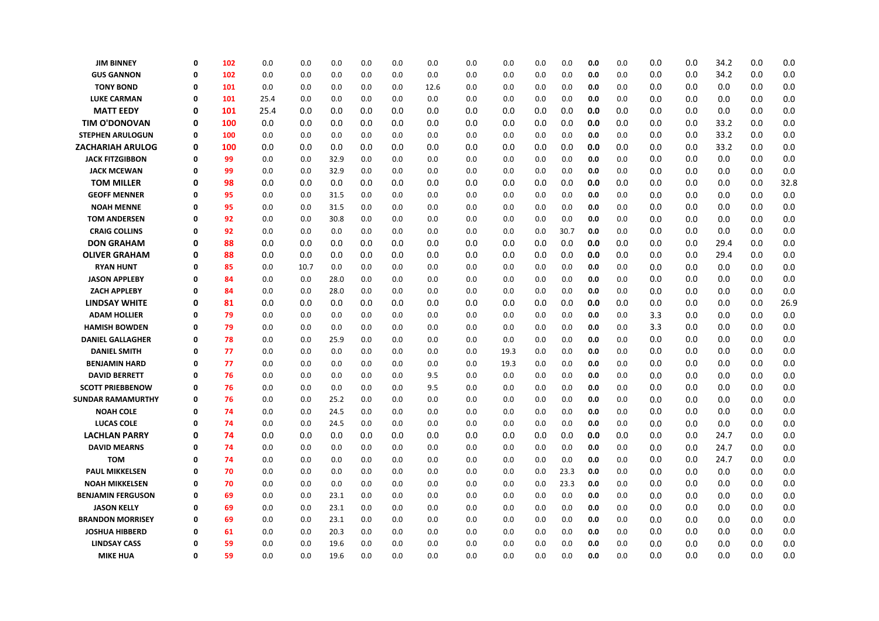| <b>JIM BINNEY</b>        | 0           | 102 | 0.0  | 0.0  | 0.0  | 0.0 | 0.0 | 0.0  | 0.0 | 0.0  | 0.0 | 0.0  | 0.0 | 0.0 | 0.0 | 0.0 | 34.2 | 0.0 | 0.0  |
|--------------------------|-------------|-----|------|------|------|-----|-----|------|-----|------|-----|------|-----|-----|-----|-----|------|-----|------|
| <b>GUS GANNON</b>        | 0           | 102 | 0.0  | 0.0  | 0.0  | 0.0 | 0.0 | 0.0  | 0.0 | 0.0  | 0.0 | 0.0  | 0.0 | 0.0 | 0.0 | 0.0 | 34.2 | 0.0 | 0.0  |
| <b>TONY BOND</b>         | 0           | 101 | 0.0  | 0.0  | 0.0  | 0.0 | 0.0 | 12.6 | 0.0 | 0.0  | 0.0 | 0.0  | 0.0 | 0.0 | 0.0 | 0.0 | 0.0  | 0.0 | 0.0  |
| <b>LUKE CARMAN</b>       | 0           | 101 | 25.4 | 0.0  | 0.0  | 0.0 | 0.0 | 0.0  | 0.0 | 0.0  | 0.0 | 0.0  | 0.0 | 0.0 | 0.0 | 0.0 | 0.0  | 0.0 | 0.0  |
| <b>MATT EEDY</b>         | 0           | 101 | 25.4 | 0.0  | 0.0  | 0.0 | 0.0 | 0.0  | 0.0 | 0.0  | 0.0 | 0.0  | 0.0 | 0.0 | 0.0 | 0.0 | 0.0  | 0.0 | 0.0  |
| <b>TIM O'DONOVAN</b>     | 0           | 100 | 0.0  | 0.0  | 0.0  | 0.0 | 0.0 | 0.0  | 0.0 | 0.0  | 0.0 | 0.0  | 0.0 | 0.0 | 0.0 | 0.0 | 33.2 | 0.0 | 0.0  |
| <b>STEPHEN ARULOGUN</b>  | $\Omega$    | 100 | 0.0  | 0.0  | 0.0  | 0.0 | 0.0 | 0.0  | 0.0 | 0.0  | 0.0 | 0.0  | 0.0 | 0.0 | 0.0 | 0.0 | 33.2 | 0.0 | 0.0  |
| <b>ZACHARIAH ARULOG</b>  | 0           | 100 | 0.0  | 0.0  | 0.0  | 0.0 | 0.0 | 0.0  | 0.0 | 0.0  | 0.0 | 0.0  | 0.0 | 0.0 | 0.0 | 0.0 | 33.2 | 0.0 | 0.0  |
| <b>JACK FITZGIBBON</b>   | 0           | 99  | 0.0  | 0.0  | 32.9 | 0.0 | 0.0 | 0.0  | 0.0 | 0.0  | 0.0 | 0.0  | 0.0 | 0.0 | 0.0 | 0.0 | 0.0  | 0.0 | 0.0  |
| <b>JACK MCEWAN</b>       | 0           | 99  | 0.0  | 0.0  | 32.9 | 0.0 | 0.0 | 0.0  | 0.0 | 0.0  | 0.0 | 0.0  | 0.0 | 0.0 | 0.0 | 0.0 | 0.0  | 0.0 | 0.0  |
| <b>TOM MILLER</b>        | 0           | 98  | 0.0  | 0.0  | 0.0  | 0.0 | 0.0 | 0.0  | 0.0 | 0.0  | 0.0 | 0.0  | 0.0 | 0.0 | 0.0 | 0.0 | 0.0  | 0.0 | 32.8 |
| <b>GEOFF MENNER</b>      | 0           | 95  | 0.0  | 0.0  | 31.5 | 0.0 | 0.0 | 0.0  | 0.0 | 0.0  | 0.0 | 0.0  | 0.0 | 0.0 | 0.0 | 0.0 | 0.0  | 0.0 | 0.0  |
| <b>NOAH MENNE</b>        | 0           | 95  | 0.0  | 0.0  | 31.5 | 0.0 | 0.0 | 0.0  | 0.0 | 0.0  | 0.0 | 0.0  | 0.0 | 0.0 | 0.0 | 0.0 | 0.0  | 0.0 | 0.0  |
| <b>TOM ANDERSEN</b>      | $\Omega$    | 92  | 0.0  | 0.0  | 30.8 | 0.0 | 0.0 | 0.0  | 0.0 | 0.0  | 0.0 | 0.0  | 0.0 | 0.0 | 0.0 | 0.0 | 0.0  | 0.0 | 0.0  |
| <b>CRAIG COLLINS</b>     | $\Omega$    | 92  | 0.0  | 0.0  | 0.0  | 0.0 | 0.0 | 0.0  | 0.0 | 0.0  | 0.0 | 30.7 | 0.0 | 0.0 | 0.0 | 0.0 | 0.0  | 0.0 | 0.0  |
| <b>DON GRAHAM</b>        | $\Omega$    | 88  | 0.0  | 0.0  | 0.0  | 0.0 | 0.0 | 0.0  | 0.0 | 0.0  | 0.0 | 0.0  | 0.0 | 0.0 | 0.0 | 0.0 | 29.4 | 0.0 | 0.0  |
| <b>OLIVER GRAHAM</b>     | 0           | 88  | 0.0  | 0.0  | 0.0  | 0.0 | 0.0 | 0.0  | 0.0 | 0.0  | 0.0 | 0.0  | 0.0 | 0.0 | 0.0 | 0.0 | 29.4 | 0.0 | 0.0  |
| <b>RYAN HUNT</b>         | 0           | 85  | 0.0  | 10.7 | 0.0  | 0.0 | 0.0 | 0.0  | 0.0 | 0.0  | 0.0 | 0.0  | 0.0 | 0.0 | 0.0 | 0.0 | 0.0  | 0.0 | 0.0  |
| <b>JASON APPLEBY</b>     | $\Omega$    | 84  | 0.0  | 0.0  | 28.0 | 0.0 | 0.0 | 0.0  | 0.0 | 0.0  | 0.0 | 0.0  | 0.0 | 0.0 | 0.0 | 0.0 | 0.0  | 0.0 | 0.0  |
| <b>ZACH APPLEBY</b>      | $\Omega$    | 84  | 0.0  | 0.0  | 28.0 | 0.0 | 0.0 | 0.0  | 0.0 | 0.0  | 0.0 | 0.0  | 0.0 | 0.0 | 0.0 | 0.0 | 0.0  | 0.0 | 0.0  |
| <b>LINDSAY WHITE</b>     | 0           | 81  | 0.0  | 0.0  | 0.0  | 0.0 | 0.0 | 0.0  | 0.0 | 0.0  | 0.0 | 0.0  | 0.0 | 0.0 | 0.0 | 0.0 | 0.0  | 0.0 | 26.9 |
| <b>ADAM HOLLIER</b>      | 0           | 79  | 0.0  | 0.0  | 0.0  | 0.0 | 0.0 | 0.0  | 0.0 | 0.0  | 0.0 | 0.0  | 0.0 | 0.0 | 3.3 | 0.0 | 0.0  | 0.0 | 0.0  |
| <b>HAMISH BOWDEN</b>     | $\Omega$    | 79  | 0.0  | 0.0  | 0.0  | 0.0 | 0.0 | 0.0  | 0.0 | 0.0  | 0.0 | 0.0  | 0.0 | 0.0 | 3.3 | 0.0 | 0.0  | 0.0 | 0.0  |
| <b>DANIEL GALLAGHER</b>  | $\Omega$    | 78  | 0.0  | 0.0  | 25.9 | 0.0 | 0.0 | 0.0  | 0.0 | 0.0  | 0.0 | 0.0  | 0.0 | 0.0 | 0.0 | 0.0 | 0.0  | 0.0 | 0.0  |
| <b>DANIEL SMITH</b>      | Ω           | 77  | 0.0  | 0.0  | 0.0  | 0.0 | 0.0 | 0.0  | 0.0 | 19.3 | 0.0 | 0.0  | 0.0 | 0.0 | 0.0 | 0.0 | 0.0  | 0.0 | 0.0  |
| <b>BENJAMIN HARD</b>     | 0           | 77  | 0.0  | 0.0  | 0.0  | 0.0 | 0.0 | 0.0  | 0.0 | 19.3 | 0.0 | 0.0  | 0.0 | 0.0 | 0.0 | 0.0 | 0.0  | 0.0 | 0.0  |
| <b>DAVID BERRETT</b>     | 0           | 76  | 0.0  | 0.0  | 0.0  | 0.0 | 0.0 | 9.5  | 0.0 | 0.0  | 0.0 | 0.0  | 0.0 | 0.0 | 0.0 | 0.0 | 0.0  | 0.0 | 0.0  |
| <b>SCOTT PRIEBBENOW</b>  | $\Omega$    | 76  | 0.0  | 0.0  | 0.0  | 0.0 | 0.0 | 9.5  | 0.0 | 0.0  | 0.0 | 0.0  | 0.0 | 0.0 | 0.0 | 0.0 | 0.0  | 0.0 | 0.0  |
| <b>SUNDAR RAMAMURTHY</b> | 0           | 76  | 0.0  | 0.0  | 25.2 | 0.0 | 0.0 | 0.0  | 0.0 | 0.0  | 0.0 | 0.0  | 0.0 | 0.0 | 0.0 | 0.0 | 0.0  | 0.0 | 0.0  |
| <b>NOAH COLE</b>         | 0           | 74  | 0.0  | 0.0  | 24.5 | 0.0 | 0.0 | 0.0  | 0.0 | 0.0  | 0.0 | 0.0  | 0.0 | 0.0 | 0.0 | 0.0 | 0.0  | 0.0 | 0.0  |
| <b>LUCAS COLE</b>        | 0           | 74  | 0.0  | 0.0  | 24.5 | 0.0 | 0.0 | 0.0  | 0.0 | 0.0  | 0.0 | 0.0  | 0.0 | 0.0 | 0.0 | 0.0 | 0.0  | 0.0 | 0.0  |
| <b>LACHLAN PARRY</b>     | $\mathbf 0$ | 74  | 0.0  | 0.0  | 0.0  | 0.0 | 0.0 | 0.0  | 0.0 | 0.0  | 0.0 | 0.0  | 0.0 | 0.0 | 0.0 | 0.0 | 24.7 | 0.0 | 0.0  |
| <b>DAVID MEARNS</b>      | $\Omega$    | 74  | 0.0  | 0.0  | 0.0  | 0.0 | 0.0 | 0.0  | 0.0 | 0.0  | 0.0 | 0.0  | 0.0 | 0.0 | 0.0 | 0.0 | 24.7 | 0.0 | 0.0  |
| <b>TOM</b>               | 0           | 74  | 0.0  | 0.0  | 0.0  | 0.0 | 0.0 | 0.0  | 0.0 | 0.0  | 0.0 | 0.0  | 0.0 | 0.0 | 0.0 | 0.0 | 24.7 | 0.0 | 0.0  |
| <b>PAUL MIKKELSEN</b>    | 0           | 70  | 0.0  | 0.0  | 0.0  | 0.0 | 0.0 | 0.0  | 0.0 | 0.0  | 0.0 | 23.3 | 0.0 | 0.0 | 0.0 | 0.0 | 0.0  | 0.0 | 0.0  |
| <b>NOAH MIKKELSEN</b>    | 0           | 70  | 0.0  | 0.0  | 0.0  | 0.0 | 0.0 | 0.0  | 0.0 | 0.0  | 0.0 | 23.3 | 0.0 | 0.0 | 0.0 | 0.0 | 0.0  | 0.0 | 0.0  |
| <b>BENJAMIN FERGUSON</b> | $\Omega$    | 69  | 0.0  | 0.0  | 23.1 | 0.0 | 0.0 | 0.0  | 0.0 | 0.0  | 0.0 | 0.0  | 0.0 | 0.0 | 0.0 | 0.0 | 0.0  | 0.0 | 0.0  |
| <b>JASON KELLY</b>       | 0           | 69  | 0.0  | 0.0  | 23.1 | 0.0 | 0.0 | 0.0  | 0.0 | 0.0  | 0.0 | 0.0  | 0.0 | 0.0 | 0.0 | 0.0 | 0.0  | 0.0 | 0.0  |
| <b>BRANDON MORRISEY</b>  | 0           | 69  | 0.0  | 0.0  | 23.1 | 0.0 | 0.0 | 0.0  | 0.0 | 0.0  | 0.0 | 0.0  | 0.0 | 0.0 | 0.0 | 0.0 | 0.0  | 0.0 | 0.0  |
| <b>JOSHUA HIBBERD</b>    | 0           | 61  | 0.0  | 0.0  | 20.3 | 0.0 | 0.0 | 0.0  | 0.0 | 0.0  | 0.0 | 0.0  | 0.0 | 0.0 | 0.0 | 0.0 | 0.0  | 0.0 | 0.0  |
| <b>LINDSAY CASS</b>      | 0           | 59  | 0.0  | 0.0  | 19.6 | 0.0 | 0.0 | 0.0  | 0.0 | 0.0  | 0.0 | 0.0  | 0.0 | 0.0 | 0.0 | 0.0 | 0.0  | 0.0 | 0.0  |
| <b>MIKE HUA</b>          | Ω           | 59  | 0.0  | 0.0  | 19.6 | 0.0 | 0.0 | 0.0  | 0.0 | 0.0  | 0.0 | 0.0  | 0.0 | 0.0 | 0.0 | 0.0 | 0.0  | 0.0 | 0.0  |